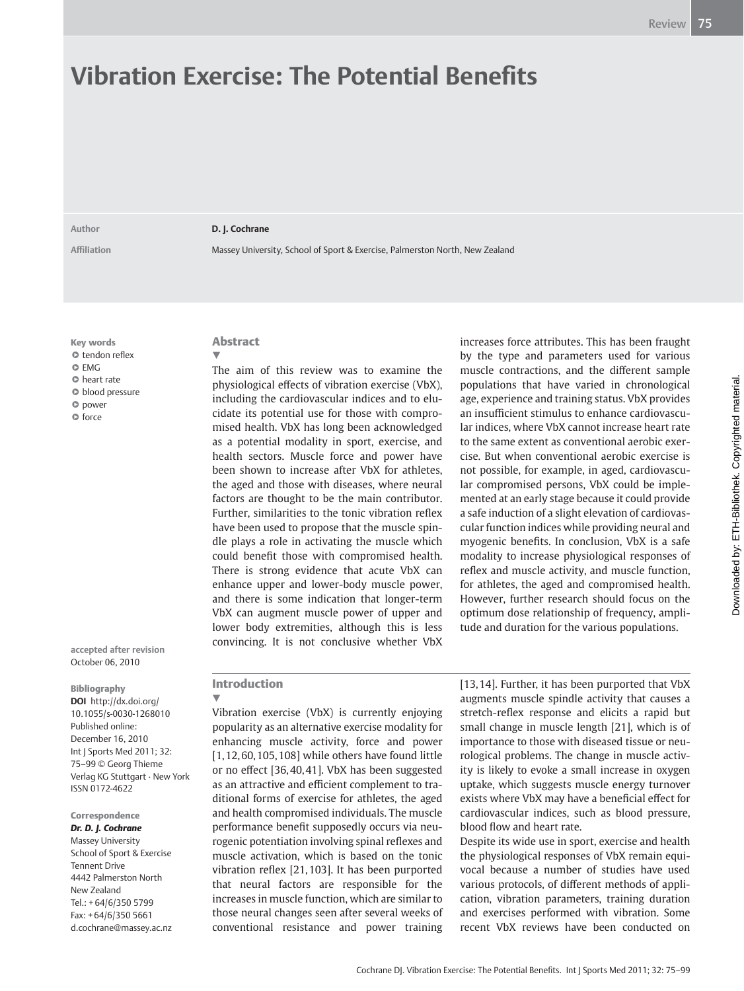# **Vibration Exercise: The Potential Benefits**

**Author D. J. Cochrane** 

**Affi liation** Massey University, School of Sport & Exercise, Palmerston North, New Zealand

Key words  $\bullet$  tendon reflex  $\odot$  EMG **O** heart rate  $\bullet$  blood pressure ●▶ power ●▶ force

**accepted after revision**  October 06, 2010

Bibliography **DOI** http://dx.doi.org/ 10.1055/s-0030-1268010 Published online: December 16, 2010 Int J Sports Med 2011; 32: 75 – 99 © Georg Thieme Verlag KG Stuttgart · New York ISSN 0172-4622

Correspondence *Dr. D. J. Cochrane*

 Massey University School of Sport & Exercise Tennent Drive 4442 Palmerston North New Zealand Tel.: +64/6/350 5799 Fax: +64/6/350 5661 d.cochrane@massey.ac.nz

## Abstract

▼ The aim of this review was to examine the physiological effects of vibration exercise (VbX), including the cardiovascular indices and to elucidate its potential use for those with compromised health. VbX has long been acknowledged as a potential modality in sport, exercise, and health sectors. Muscle force and power have been shown to increase after VbX for athletes, the aged and those with diseases, where neural factors are thought to be the main contributor. Further, similarities to the tonic vibration reflex have been used to propose that the muscle spindle plays a role in activating the muscle which could benefit those with compromised health. There is strong evidence that acute VbX can enhance upper and lower-body muscle power, and there is some indication that longer-term VbX can augment muscle power of upper and lower body extremities, although this is less convincing. It is not conclusive whether VbX

increases force attributes. This has been fraught by the type and parameters used for various muscle contractions, and the different sample populations that have varied in chronological age, experience and training status. VbX provides an insufficient stimulus to enhance cardiovascular indices, where VbX cannot increase heart rate to the same extent as conventional aerobic exercise. But when conventional aerobic exercise is not possible, for example, in aged, cardiovascular compromised persons, VbX could be implemented at an early stage because it could provide a safe induction of a slight elevation of cardiovascular function indices while providing neural and myogenic benefits. In conclusion, VbX is a safe modality to increase physiological responses of reflex and muscle activity, and muscle function, for athletes, the aged and compromised health. However, further research should focus on the optimum dose relationship of frequency, amplitude and duration for the various populations.

Introduction

#### ▼

 Vibration exercise (VbX) is currently enjoying popularity as an alternative exercise modality for enhancing muscle activity, force and power [1, 12, 60, 105, 108] while others have found little or no effect [36, 40, 41]. VbX has been suggested as an attractive and efficient complement to traditional forms of exercise for athletes, the aged and health compromised individuals. The muscle performance benefit supposedly occurs via neurogenic potentiation involving spinal reflexes and muscle activation, which is based on the tonic vibration reflex [21,103]. It has been purported that neural factors are responsible for the increases in muscle function, which are similar to those neural changes seen after several weeks of conventional resistance and power training

[13, 14]. Further, it has been purported that VbX augments muscle spindle activity that causes a stretch-reflex response and elicits a rapid but small change in muscle length [21], which is of importance to those with diseased tissue or neurological problems. The change in muscle activity is likely to evoke a small increase in oxygen uptake, which suggests muscle energy turnover exists where VbX may have a beneficial effect for cardiovascular indices, such as blood pressure, blood flow and heart rate.

 Despite its wide use in sport, exercise and health the physiological responses of VbX remain equivocal because a number of studies have used various protocols, of different methods of application, vibration parameters, training duration and exercises performed with vibration. Some recent VbX reviews have been conducted on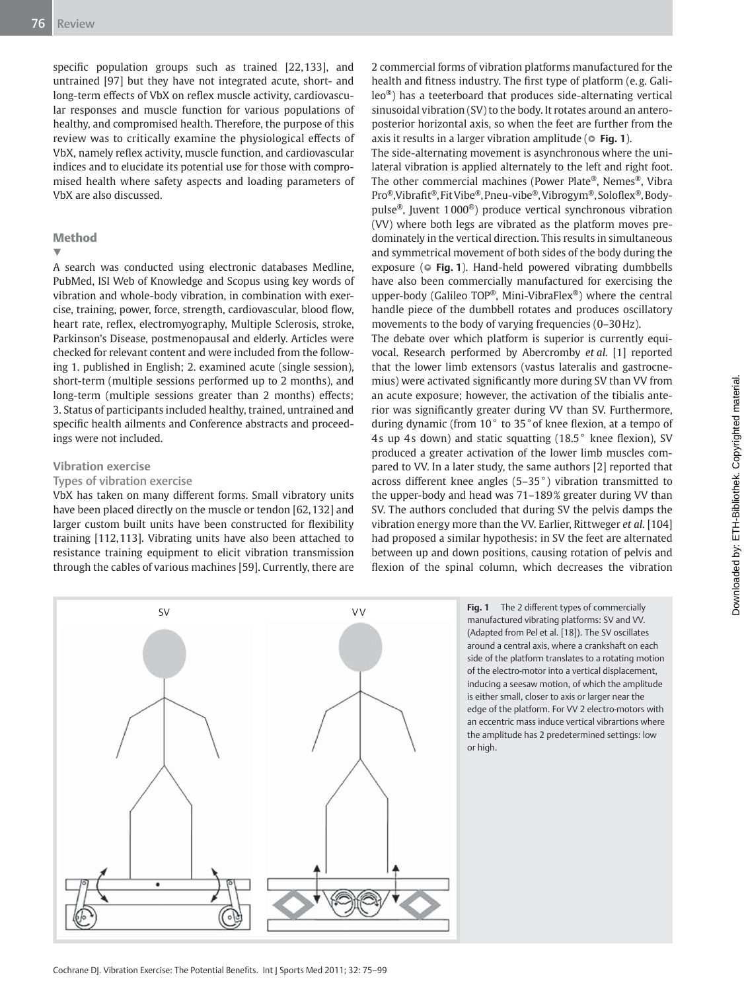specific population groups such as trained [22,133], and untrained [97] but they have not integrated acute, short- and long-term effects of VbX on reflex muscle activity, cardiovascular responses and muscle function for various populations of healthy, and compromised health. Therefore, the purpose of this review was to critically examine the physiological effects of VbX, namely reflex activity, muscle function, and cardiovascular indices and to elucidate its potential use for those with compromised health where safety aspects and loading parameters of VbX are also discussed.

## Method

#### ▼

 A search was conducted using electronic databases Medline, PubMed, ISI Web of Knowledge and Scopus using key words of vibration and whole-body vibration, in combination with exercise, training, power, force, strength, cardiovascular, blood flow, heart rate, reflex, electromyography, Multiple Sclerosis, stroke, Parkinson's Disease, postmenopausal and elderly. Articles were checked for relevant content and were included from the following 1. published in English; 2. examined acute (single session), short-term (multiple sessions performed up to 2 months), and long-term (multiple sessions greater than 2 months) effects; 3. Status of participants included healthy, trained, untrained and specific health ailments and Conference abstracts and proceedings were not included.

#### **Vibration exercise**

#### Types of vibration exercise

VbX has taken on many different forms. Small vibratory units have been placed directly on the muscle or tendon [62, 132] and larger custom built units have been constructed for flexibility training [112, 113] . Vibrating units have also been attached to resistance training equipment to elicit vibration transmission through the cables of various machines [59] . Currently, there are

2 commercial forms of vibration platforms manufactured for the health and fitness industry. The first type of platform (e.g. Gali $leo<sup>®</sup>$ ) has a teeterboard that produces side-alternating vertical sinusoidal vibration (SV) to the body. It rotates around an anteroposterior horizontal axis, so when the feet are further from the axis it results in a larger vibration amplitude ( $\circ$  Fig. 1).

 The side-alternating movement is asynchronous where the unilateral vibration is applied alternately to the left and right foot. The other commercial machines (Power Plate®, Nemes®, Vibra Pro®,Vibrafit®, Fit Vibe®, Pneu-vibe®, Vibrogym®, Soloflex®, Bodypulse®, Juvent 1000®) produce vertical synchronous vibration (VV) where both legs are vibrated as the platform moves predominately in the vertical direction. This results in simultaneous and symmetrical movement of both sides of the body during the exposure ( $\circ$  Fig. 1). Hand-held powered vibrating dumbbells have also been commercially manufactured for exercising the upper-body (Galileo TOP®, Mini-VibraFlex®) where the central handle piece of the dumbbell rotates and produces oscillatory movements to the body of varying frequencies (0-30Hz).

 The debate over which platform is superior is currently equivocal. Research performed by Abercromby *et al.* [1] reported that the lower limb extensors (vastus lateralis and gastrocnemius) were activated significantly more during SV than VV from an acute exposure; however, the activation of the tibialis anterior was significantly greater during VV than SV. Furthermore, during dynamic (from 10° to 35° of knee flexion, at a tempo of 4s up 4s down) and static squatting (18.5° knee flexion), SV produced a greater activation of the lower limb muscles compared to VV. In a later study, the same authors [2] reported that across different knee angles  $(5-35)$  vibration transmitted to the upper-body and head was 71–189% greater during VV than SV. The authors concluded that during SV the pelvis damps the vibration energy more than the VV. Earlier, Rittweger *et al.* [104] had proposed a similar hypothesis: in SV the feet are alternated between up and down positions, causing rotation of pelvis and flexion of the spinal column, which decreases the vibration



manufactured vibrating platforms: SV and VV. (Adapted from Pel et al. [18]). The SV oscillates around a central axis, where a crankshaft on each side of the platform translates to a rotating motion of the electro-motor into a vertical displacement, inducing a seesaw motion, of which the amplitude is either small, closer to axis or larger near the edge of the platform. For VV 2 electro-motors with an eccentric mass induce vertical vibrartions where the amplitude has 2 predetermined settings: low or high.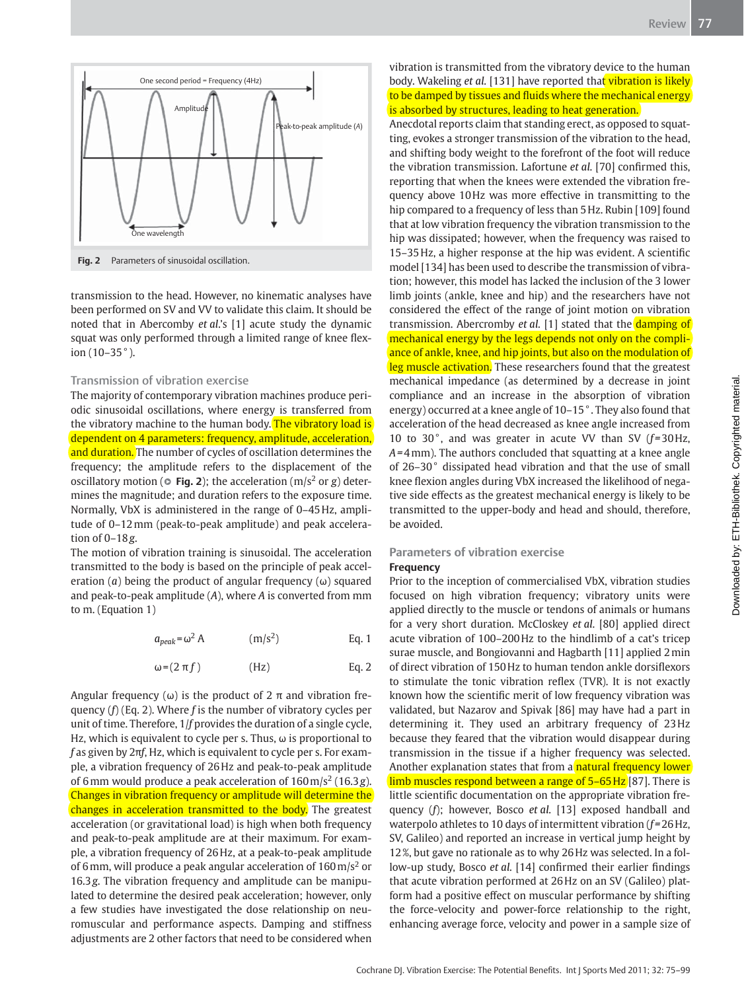

**Fig. 2** Parameters of sinusoidal oscillation.

transmission to the head. However, no kinematic analyses have been performed on SV and VV to validate this claim. It should be noted that in Abercomby et al.'s [1] acute study the dynamic squat was only performed through a limited range of knee flexion  $(10 - 35)$ °).

## Transmission of vibration exercise

 The majority of contemporary vibration machines produce periodic sinusoidal oscillations, where energy is transferred from the vibratory machine to the human body. The vibratory load is dependent on 4 parameters: frequency, amplitude, acceleration, and duration. The number of cycles of oscillation determines the frequency; the amplitude refers to the displacement of the oscillatory motion ( $\circ$  **Fig. 2**); the acceleration (m/s<sup>2</sup> or *g*) determines the magnitude; and duration refers to the exposure time. Normally, VbX is administered in the range of 0-45 Hz, amplitude of 0-12 mm (peak-to-peak amplitude) and peak acceleration of 0-18 g.

 The motion of vibration training is sinusoidal. The acceleration transmitted to the body is based on the principle of peak acceleration ( $a$ ) being the product of angular frequency ( $\omega$ ) squared and peak-to-peak amplitude (A), where A is converted from mm to m. (Equation 1)

$$
a_{peak} = \omega^2 A \qquad (m/s^2) \qquad \text{Eq. 1}
$$

 $\omega = (2 \pi f)$  (Hz) Eq. 2

Angular frequency ( $\omega$ ) is the product of 2  $\pi$  and vibration frequency  $(f)$  (Eq. 2). Where  $f$  is the number of vibratory cycles per unit of time. Therefore, 1/*f* provides the duration of a single cycle, Hz, which is equivalent to cycle per s. Thus, ω is proportional to *f* as given by 2π*f*, Hz, which is equivalent to cycle per s. For example, a vibration frequency of 26 Hz and peak-to-peak amplitude of 6 mm would produce a peak acceleration of  $160 \,\mathrm{m/s^2}$  ( $16.3 \,\mathrm{g}$ ). Changes in vibration frequency or amplitude will determine the changes in acceleration transmitted to the body. The greatest acceleration (or gravitational load) is high when both frequency and peak-to-peak amplitude are at their maximum. For example, a vibration frequency of 26 Hz, at a peak-to-peak amplitude of 6 mm, will produce a peak angular acceleration of  $160 \,\mathrm{m/s^2}$  or 16.3 *g* . The vibration frequency and amplitude can be manipulated to determine the desired peak acceleration; however, only a few studies have investigated the dose relationship on neuromuscular and performance aspects. Damping and stiffness adjustments are 2 other factors that need to be considered when

## vibration is transmitted from the vibratory device to the human body. Wakeling *et al.* [131] have reported that vibration is likely to be damped by tissues and fluids where the mechanical energy is absorbed by structures, leading to heat generation.

 Anecdotal reports claim that standing erect, as opposed to squatting, evokes a stronger transmission of the vibration to the head, and shifting body weight to the forefront of the foot will reduce the vibration transmission. Lafortune et al. [70] confirmed this, reporting that when the knees were extended the vibration frequency above 10Hz was more effective in transmitting to the hip compared to a frequency of less than 5 Hz. Rubin [109] found that at low vibration frequency the vibration transmission to the hip was dissipated; however, when the frequency was raised to 15-35 Hz, a higher response at the hip was evident. A scientific model [134] has been used to describe the transmission of vibration; however, this model has lacked the inclusion of the 3 lower limb joints (ankle, knee and hip) and the researchers have not considered the effect of the range of joint motion on vibration transmission. Abercromby *et al.* [1] stated that the damping of mechanical energy by the legs depends not only on the compliance of ankle, knee, and hip joints, but also on the modulation of leg muscle activation. These researchers found that the greatest mechanical impedance (as determined by a decrease in joint compliance and an increase in the absorption of vibration energy) occurred at a knee angle of 10–15°. They also found that acceleration of the head decreased as knee angle increased from 10 to 30°, and was greater in acute VV than SV ( $f=30$ Hz, *A =* 4 mm). The authors concluded that squatting at a knee angle of 26-30° dissipated head vibration and that the use of small knee flexion angles during VbX increased the likelihood of negative side effects as the greatest mechanical energy is likely to be transmitted to the upper-body and head and should, therefore, be avoided.

## **Parameters of vibration exercise**

#### **Frequency**

 Prior to the inception of commercialised VbX, vibration studies focused on high vibration frequency; vibratory units were applied directly to the muscle or tendons of animals or humans for a very short duration. McCloskey *et al.* [80] applied direct acute vibration of 100-200 Hz to the hindlimb of a cat's tricep surae muscle, and Bongiovanni and Hagbarth [11] applied 2 min of direct vibration of 150 Hz to human tendon ankle dorsiflexors to stimulate the tonic vibration reflex (TVR). It is not exactly known how the scientific merit of low frequency vibration was validated, but Nazarov and Spivak [86] may have had a part in determining it. They used an arbitrary frequency of 23 Hz because they feared that the vibration would disappear during transmission in the tissue if a higher frequency was selected. Another explanation states that from a natural frequency lower limb muscles respond between a range of 5–65 Hz [87]. There is little scientific documentation on the appropriate vibration frequency (f); however, Bosco *et al.* [13] exposed handball and waterpolo athletes to 10 days of intermittent vibration ( $f = 26$  Hz, SV, Galileo) and reported an increase in vertical jump height by 12 % , but gave no rationale as to why 26 Hz was selected. In a follow-up study, Bosco *et al.* [14] confirmed their earlier findings that acute vibration performed at 26 Hz on an SV (Galileo) platform had a positive effect on muscular performance by shifting the force-velocity and power-force relationship to the right, enhancing average force, velocity and power in a sample size of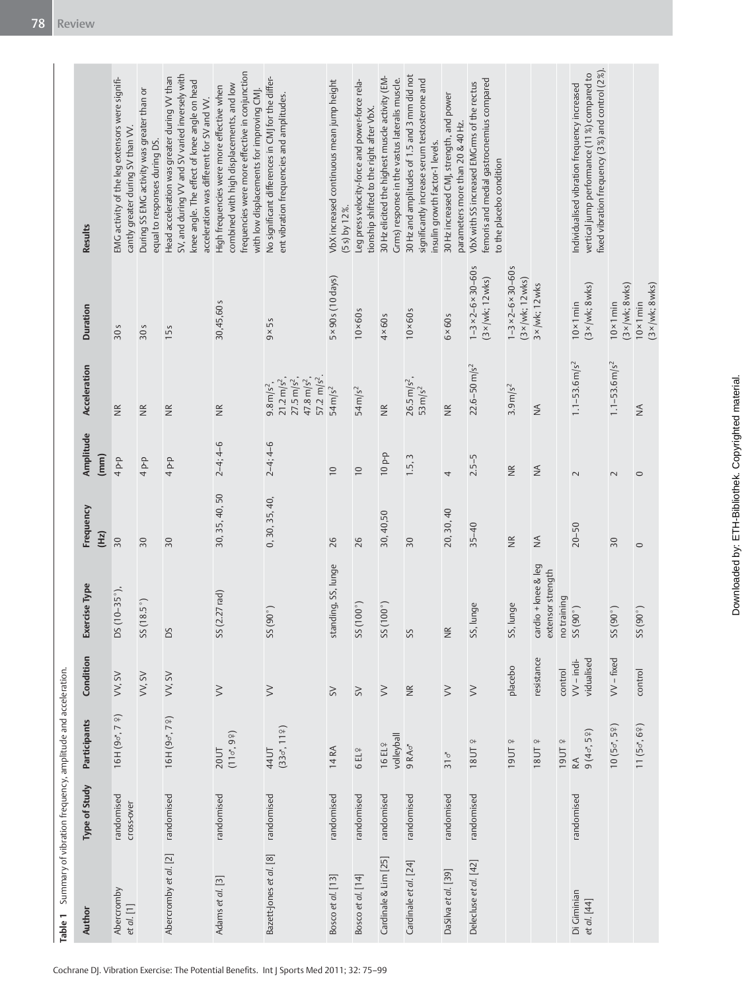|                                                                        | Results<br>Duration  | EMG activity of the leg extensors were signifi-<br>cantly greater during SV than VV.<br>30s | During SS EMG activity was greater than or<br>equal to responses during DS.<br>30s | SV, and during VV and SV varied inversely with<br>Head acceleration was greater during VV than<br>knee angle. The effect of knee angle on head<br>acceleration was different for SV and VV.<br>15s | frequencies were more effective in conjunction<br>combined with high displacements, and low<br>High frequencies were more effective when<br>with low displacements for improving CMJ.<br>30,45,60s | No significant differences in CMJ for the differ-<br>ent vibration frequencies and amplitudes.<br>$9 \times 5$ s              | VbX increased continuous mean jump height<br>$(5s)$ by 12%.<br>$5 \times 90$ s (10 days) | Leg press velocity-force and power-force rela-<br>tionship shifted to the right after VbX<br>$10 \times 60$ s | 30 Hz elicited the highest muscle activity (EM-<br>Grms) response in the vastus lateralis muscle.<br>$4 \times 60$ s | 30 Hz and amplitudes of 1.5 and 3 mm did not<br>significantly increase serum testosterone and<br>insulin growth factor-1 levels.<br>$10 \times 60$ s | 30 Hz increased CMJ, strength, and power<br>parameters more than 20 & 40 Hz.<br>$6 \times 60$ s | femoris and medial gastrocnemius compared<br>VbX with SS increased EMGrms of the rectus<br>to the placebo condition<br>$1 - 3 \times 2 - 6 \times 30 - 60$ s<br>$(3 \times$ /wk; 12 wks) | $1 - 3 \times 2 - 6 \times 30 - 60$ s<br>$(3 \times / wk; 12wks)$ | $3 \times$ /wk; 12 wks                        |                        | fixed vibration frequency (3 %) and control (2 %).<br>vertical jump performance (11%) compared to<br>Individualised vibration frequency increased<br>$(3 \times$ /wk; $8$ wks)<br>$10 \times 1$ min | $10 \times 1$ min             | $(3 \times \text{/wk}; 8 \text{wks})$ |
|------------------------------------------------------------------------|----------------------|---------------------------------------------------------------------------------------------|------------------------------------------------------------------------------------|----------------------------------------------------------------------------------------------------------------------------------------------------------------------------------------------------|----------------------------------------------------------------------------------------------------------------------------------------------------------------------------------------------------|-------------------------------------------------------------------------------------------------------------------------------|------------------------------------------------------------------------------------------|---------------------------------------------------------------------------------------------------------------|----------------------------------------------------------------------------------------------------------------------|------------------------------------------------------------------------------------------------------------------------------------------------------|-------------------------------------------------------------------------------------------------|------------------------------------------------------------------------------------------------------------------------------------------------------------------------------------------|-------------------------------------------------------------------|-----------------------------------------------|------------------------|-----------------------------------------------------------------------------------------------------------------------------------------------------------------------------------------------------|-------------------------------|---------------------------------------|
|                                                                        | Acceleration         | $\widetilde{\Xi}$                                                                           | $\widetilde{\Xi}$                                                                  | $\widetilde{\Xi}$                                                                                                                                                                                  | $\widetilde{\Xi}$                                                                                                                                                                                  | 57.2 $m/s^2$<br>$27.5 \,\mathrm{m/s^2}$ ,<br>$47.8 \,\mathrm{m/s^2}$ ,<br>$21.2 \,\mathrm{m/s^2}$<br>$9.8 \,\mathrm{m/s^2}$ , | $54 \text{ m/s}^2$                                                                       | $54 \, \text{m/s}^2$                                                                                          | $\widetilde{\Xi}$                                                                                                    | $26.5 \,\mathrm{m/s^2}$ ,<br>$53 \,\mathrm{m/s^2}$                                                                                                   | $\frac{\alpha}{\beta}$                                                                          | $22.6 - 50$ m/s <sup>2</sup>                                                                                                                                                             | $3.9 \,\mathrm{m/s^2}$                                            | $\leq$                                        |                        | $1.1 - 53.6 \,\mathrm{m/s^2}$                                                                                                                                                                       | $1.1 - 53.6 \,\mathrm{m/s^2}$ |                                       |
|                                                                        | Amplitude<br>(mm)    | 4 p-p                                                                                       | 4 p-p                                                                              | 4 p-p                                                                                                                                                                                              | $2 - 4; 4 - 6$                                                                                                                                                                                     | $2 - 4; 4 - 6$                                                                                                                | $\supseteq$                                                                              | $\overline{10}$                                                                                               | $10P-P$                                                                                                              | 1.5, 3                                                                                                                                               | 4                                                                                               | $2.5 - 5$                                                                                                                                                                                | $\frac{R}{2}$                                                     | $\lessgtr$                                    |                        | $\sim$                                                                                                                                                                                              | $\sim$                        |                                       |
|                                                                        | Frequency<br>(Hz)    | 30                                                                                          | 30                                                                                 | 30                                                                                                                                                                                                 | 30, 35, 40, 50                                                                                                                                                                                     | 0, 30, 35, 40,                                                                                                                | 26                                                                                       | 26                                                                                                            | 30, 40, 50                                                                                                           | 30                                                                                                                                                   | 20, 30, 40                                                                                      | $35 - 40$                                                                                                                                                                                | $\widetilde{\Xi}$                                                 | $\lessgtr$                                    |                        | $20 - 50$                                                                                                                                                                                           | 30                            |                                       |
|                                                                        | <b>Exercise Type</b> | $10 - 35^\circ$ ),<br>DS(1)                                                                 | $8.5^{\circ}$<br>5S(1)                                                             | ΔS                                                                                                                                                                                                 | .27rad)<br>SS(2)                                                                                                                                                                                   | (0,0)<br>SS <sub>(9</sub>                                                                                                     | standing, SS, lunge                                                                      | $00^{\circ}$<br>5S(1)                                                                                         | $00^{\circ}$<br>5S(1)                                                                                                | SS                                                                                                                                                   | $\frac{R}{Z}$                                                                                   | SS, lunge                                                                                                                                                                                | SS, lunge                                                         | io + knee & leg<br>extensor strength<br>cardi | no training            | SS (90°)                                                                                                                                                                                            | (°0)<br>e) SS                 |                                       |
|                                                                        | Condition            | VV, SV                                                                                      | VV, SV                                                                             | W, SV                                                                                                                                                                                              | $\gtrsim$                                                                                                                                                                                          | $\gtrsim$                                                                                                                     | $\gtrsim$                                                                                | $\lesssim$                                                                                                    | $\geq$                                                                                                               | $\widetilde{\Xi}$                                                                                                                                    | $\geq$                                                                                          | $\gtrsim$                                                                                                                                                                                | placebo                                                           | resistance                                    | control                | vidualised<br>$W$ – indi-                                                                                                                                                                           | $VV - fixed$                  |                                       |
|                                                                        | Participants         | 16H(9o', 7 º)                                                                               |                                                                                    | 16H (9%, 7%)                                                                                                                                                                                       | $(11\sigma, 99)$<br>20UT                                                                                                                                                                           | $(33\sigma, 11\,$<br>44 UT                                                                                                    | <b>14 RA</b>                                                                             | 6 EL <sub>2</sub>                                                                                             | volleyball<br>16 EL <sub>2</sub>                                                                                     | 9RA <sub>d</sub>                                                                                                                                     | 310 <sup>7</sup>                                                                                | $\circ\hspace{-1.5mm}$<br>18UT                                                                                                                                                           | $\circ\hspace{-1.5mm}$<br><b>TU61</b>                             | $\circ$<br><b>18UT</b>                        | $\circ$<br><b>TU61</b> | 9(40, 58)<br>RA                                                                                                                                                                                     | $10(5\sigma, 5\sqrt{2})$      |                                       |
|                                                                        | Type of Study        | randomised<br>cross-over                                                                    |                                                                                    | randomised                                                                                                                                                                                         | randomised                                                                                                                                                                                         | randomised                                                                                                                    | randomised                                                                               | randomised                                                                                                    | randomised                                                                                                           | randomised                                                                                                                                           | randomised                                                                                      | randomised                                                                                                                                                                               |                                                                   |                                               |                        | randomised                                                                                                                                                                                          |                               |                                       |
| Summary of vibration frequency, amplitude and acceleration.<br>Table 1 | Author               | Abercromby<br>et al. [1]                                                                    |                                                                                    | Abercromby et al. [2]                                                                                                                                                                              | Adams et al. [3]                                                                                                                                                                                   | Bazett-Jones et al. [8]                                                                                                       | Bosco et al. [13]                                                                        | Bosco et al. [14]                                                                                             | Cardinale & Lim [25]                                                                                                 | Cardinale et al. [24]                                                                                                                                | DaSilva et al. [39]                                                                             | Delecluse et al. [42]                                                                                                                                                                    |                                                                   |                                               |                        | Di Giminian<br>et al. [44]                                                                                                                                                                          |                               |                                       |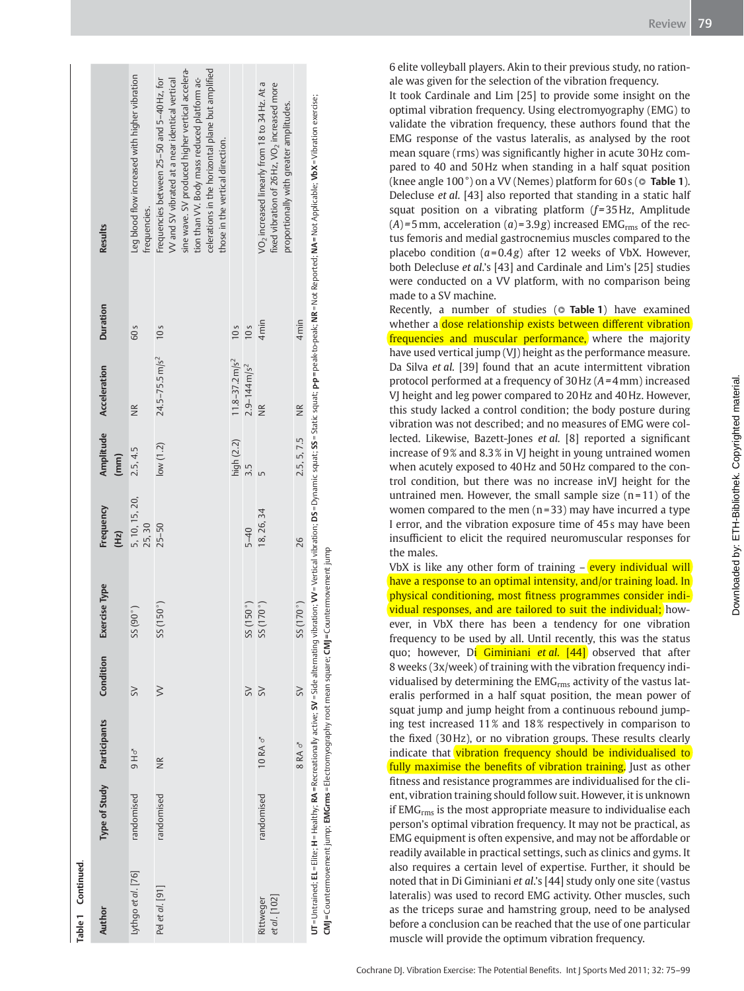| Table 1 Continued.        |                            |                      |           |                                                                                                    |                         |                   |                                |                 |                                                                                                                                                                                                                                                                                           |
|---------------------------|----------------------------|----------------------|-----------|----------------------------------------------------------------------------------------------------|-------------------------|-------------------|--------------------------------|-----------------|-------------------------------------------------------------------------------------------------------------------------------------------------------------------------------------------------------------------------------------------------------------------------------------------|
| Author                    | Type of Study Participants |                      | Condition | <b>Exercise Type</b>                                                                               | Frequency<br>(Hz)       | Amplitude<br>(mm) | Acceleration                   | <b>Duration</b> | <b>Results</b>                                                                                                                                                                                                                                                                            |
| Lythgo et al. [76]        | randomised                 | $9H\sigma$           | $\gtrsim$ | $(90^\circ)$<br>$\overline{SS}$                                                                    | 5, 10, 15, 20,<br>25,30 | 2.5, 4.5          | $\frac{1}{2}$                  | 60s             | Leg blood flow increased with higher vibration<br>frequencies.                                                                                                                                                                                                                            |
| Pel et al. [91]           | randomised                 | $\widetilde{\Xi}$    | $\geq$    | (150°)<br>$\overline{SS}$                                                                          | $25 - 50$               | low(1.2)          | $24.5 - 75.5$ m/s <sup>2</sup> | 10 <sub>s</sub> | sine wave. SV produced higher vertical accelera-<br>celerations in the horizontal plane but amplified<br>tion than VV. Body mass reduced platform ac-<br>VV and SV vibrated at a near identical vertical<br>requencies between 25-50 and 5-40 Hz, for<br>those in the vertical direction. |
|                           |                            |                      |           |                                                                                                    |                         | high (2.2)        | $11.8 - 37.2$ m/s <sup>2</sup> | 10s             |                                                                                                                                                                                                                                                                                           |
|                           |                            |                      | $\gtrsim$ | (150°)<br>$\overline{ss}$                                                                          | $5 - 40$                | 3.5               | $2.9 - 144 \text{ m/s}^2$      | 10 <sub>5</sub> |                                                                                                                                                                                                                                                                                           |
| et al. [102]<br>Rittweger | randomised                 | 10 RA o <sup>r</sup> | $\aleph$  | (170°)<br>$\overline{SS}$                                                                          | 18, 26, 34              | ഗ                 | $\widetilde{\Xi}$              | 4 min           | VO <sub>2</sub> increased linearly from 18 to 34 Hz. At a<br>fixed vibration of 26 Hz, VO <sub>2</sub> increased more<br>proportionally with greater amplitudes.                                                                                                                          |
|                           |                            | 8 RA o <sup>x</sup>  | 5V        | (170°)<br>$\widetilde{\mathrm{SS}}$                                                                | 26                      | 2.5, 5, 7.5       | $\widetilde{\Xi}$              | 4 min           |                                                                                                                                                                                                                                                                                           |
|                           |                            |                      |           | CMJ = Countermovement jump; EMGrms = Electromyography root mean square; CMJ = Countermovement jump |                         |                   |                                |                 | UT = Untrained; EL = Elite; H = Healthy; RA = Recreationally active; SV = Side alternating vibration; WV = Vertical vibration; DS = Dynamic squat; SS = Static squat; DP = peak-to-peak, NR = Not Reported; NA = Not Applicabl                                                            |

 It took Cardinale and Lim [25] to provide some insight on the optimal vibration frequency. Using electromyography (EMG) to validate the vibration frequency, these authors found that the EMG response of the vastus lateralis, as analysed by the root mean square (rms) was signi fi cantly higher in acute 30 Hz compared to 40 and 50 Hz when standing in a half squat position (knee angle 100°) on a VV (Nemes) platform for 60 s ( $\circ$  Table 1). Delecluse *et al.* [43] also reported that standing in a static half squat position on a vibrating platform ( $f = 35$  Hz, Amplitude  $(A)$ =5 mm, acceleration  $(a)$ =3.9g) increased EMG<sub>rms</sub> of the rectus femoris and medial gastrocnemius muscles compared to the  $p$ lacebo condition  $(a=0.4g)$  after 12 weeks of VbX. However, both Delecluse *et al.*'s [43] and Cardinale and Lim's [25] studies were conducted on a VV platform, with no comparison being made to a SV machine.

Recently, a number of studies ( $\circ$  Table 1) have examined whether a **dose relationship exists between different vibration** frequencies and muscular performance, where the majority have used vertical jump (VJ) height as the performance measure. Da Silva *et al.* [39] found that an acute intermittent vibration protocol performed at a frequency of 30 Hz ( *A =* 4 mm) increased VJ height and leg power compared to 20 Hz and 40 Hz. However, this study lacked a control condition; the body posture during vibration was not described; and no measures of EMG were collected. Likewise, Bazett-Jones *et al.* [8] reported a significant increase of 9% and 8.3% in VJ height in young untrained women when acutely exposed to 40 Hz and 50 Hz compared to the control condition, but there was no increase inVJ height for the untrained men. However, the small sample size  $(n=11)$  of the women compared to the men  $(n=33)$  may have incurred a type I error, and the vibration exposure time of 45 s may have been insu ffi cient to elicit the required neuromuscular responses for the males.

VbX is like any other form of training - every individual will have a response to an optimal intensity, and/or training load. In physical conditioning, most fi tness programmes consider individual responses, and are tailored to suit the individual; however, in VbX there has been a tendency for one vibration frequency to be used by all. Until recently, this was the status quo; however, Di Giminiani *et al.* [44] observed that after 8 weeks (3x/week) of training with the vibration frequency individualised by determining the EMG<sub>rms</sub> activity of the vastus lateralis performed in a half squat position, the mean power of squat jump and jump height from a continuous rebound jumping test increased 11% and 18% respectively in comparison to the fi xed (30 Hz), or no vibration groups. These results clearly indicate that vibration frequency should be individualised to fully maximise the benefits of vibration training. Just as other fi tness and resistance programmes are individualised for the client, vibration training should follow suit. However, it is unknown if EMG<sub>rms</sub> is the most appropriate measure to individualise each person's optimal vibration frequency. It may not be practical, as EMG equipment is often expensive, and may not be affordable or readily available in practical settings, such as clinics and gyms. It also requires a certain level of expertise. Further, it should be noted that in Di Giminiani *et al.*'s [44] study only one site (vastus lateralis) was used to record EMG activity. Other muscles, such as the triceps surae and hamstring group, need to be analysed before a conclusion can be reached that the use of one particular muscle will provide the optimum vibration frequency.

Review 79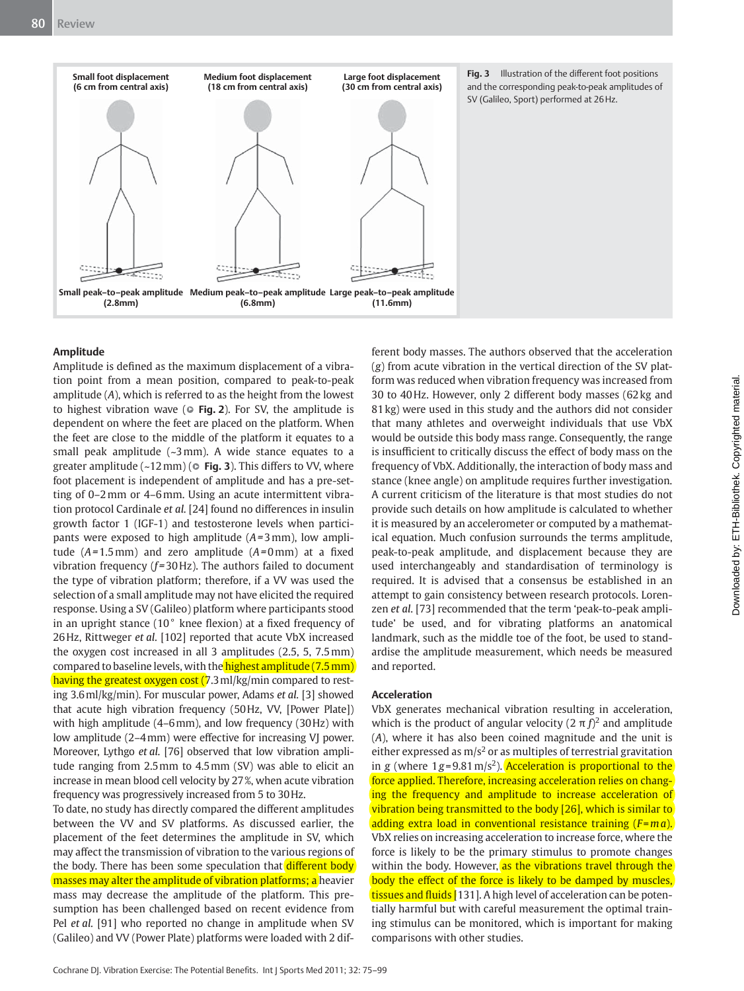

**Fig. 3** Illustration of the different foot positions and the corresponding peak-to-peak amplitudes of SV (Galileo, Sport) performed at 26 Hz.

#### **Amplitude**

Amplitude is defined as the maximum displacement of a vibration point from a mean position, compared to peak-to-peak amplitude (A), which is referred to as the height from the lowest to highest vibration wave ( $\circ$  Fig. 2). For SV, the amplitude is dependent on where the feet are placed on the platform. When the feet are close to the middle of the platform it equates to a small peak amplitude  $(-3)$ mm). A wide stance equates to a greater amplitude  $(-12 \text{ mm})$  ( $\circ$  **Fig. 3**). This differs to VV, where foot placement is independent of amplitude and has a pre-setting of 0–2 mm or 4–6 mm. Using an acute intermittent vibration protocol Cardinale *et al.* [24] found no differences in insulin growth factor 1 (IGF-1) and testosterone levels when participants were exposed to high amplitude ( *A =* 3 mm), low amplitude ( $A = 1.5$  mm) and zero amplitude ( $A = 0$  mm) at a fixed vibration frequency ( $f = 30$  Hz). The authors failed to document the type of vibration platform; therefore, if a VV was used the selection of a small amplitude may not have elicited the required response. Using a SV (Galileo) platform where participants stood in an upright stance (10° knee flexion) at a fixed frequency of 26 Hz, Rittweger *et al.* [102] reported that acute VbX increased the oxygen cost increased in all 3 amplitudes (2.5, 5, 7.5 mm) compared to baseline levels, with the highest amplitude (7.5 mm) having the greatest oxygen cost  $(7.3 \text{ ml/kg/min})$  compared to resting 3.6 ml/kg/min). For muscular power, Adams et al. [3] showed that acute high vibration frequency (50 Hz, VV, [Power Plate]) with high amplitude  $(4 - 6$  mm), and low frequency  $(30$  Hz) with low amplitude (2-4mm) were effective for increasing VJ power. Moreover, Lythgo *et al.* [76] observed that low vibration amplitude ranging from 2.5 mm to 4.5 mm (SV) was able to elicit an increase in mean blood cell velocity by 27 % , when acute vibration frequency was progressively increased from 5 to 30 Hz.

To date, no study has directly compared the different amplitudes between the VV and SV platforms. As discussed earlier, the placement of the feet determines the amplitude in SV, which may affect the transmission of vibration to the various regions of the body. There has been some speculation that different body masses may alter the amplitude of vibration platforms; a heavier mass may decrease the amplitude of the platform. This presumption has been challenged based on recent evidence from Pel *et al.* [91] who reported no change in amplitude when SV (Galileo) and VV (Power Plate) platforms were loaded with 2 dif-

ferent body masses. The authors observed that the acceleration (g) from acute vibration in the vertical direction of the SV platform was reduced when vibration frequency was increased from 30 to 40 Hz. However, only 2 different body masses (62 kg and 81 kg) were used in this study and the authors did not consider that many athletes and overweight individuals that use VbX would be outside this body mass range. Consequently, the range is insufficient to critically discuss the effect of body mass on the frequency of VbX. Additionally, the interaction of body mass and stance (knee angle) on amplitude requires further investigation. A current criticism of the literature is that most studies do not provide such details on how amplitude is calculated to whether it is measured by an accelerometer or computed by a mathematical equation. Much confusion surrounds the terms amplitude, peak-to-peak amplitude, and displacement because they are used interchangeably and standardisation of terminology is required. It is advised that a consensus be established in an attempt to gain consistency between research protocols. Lorenzen et al. [73] recommended that the term 'peak-to-peak amplitude' be used, and for vibrating platforms an anatomical landmark, such as the middle toe of the foot, be used to standardise the amplitude measurement, which needs be measured and reported.

#### **Acceleration**

 VbX generates mechanical vibration resulting in acceleration, which is the product of angular velocity  $(2 \pi f)^2$  and amplitude (A), where it has also been coined magnitude and the unit is either expressed as  $m/s<sup>2</sup>$  or as multiples of terrestrial gravitation in  $g$  (where  $1g = 9.81 \text{ m/s}^2$ ). Acceleration is proportional to the force applied. Therefore, increasing acceleration relies on changing the frequency and amplitude to increase acceleration of vibration being transmitted to the body [26], which is similar to adding extra load in conventional resistance training (*F* = *m a*). VbX relies on increasing acceleration to increase force, where the force is likely to be the primary stimulus to promote changes within the body. However, as the vibrations travel through the body the effect of the force is likely to be damped by muscles, tissues and fluids [131]. A high level of acceleration can be potentially harmful but with careful measurement the optimal training stimulus can be monitored, which is important for making comparisons with other studies.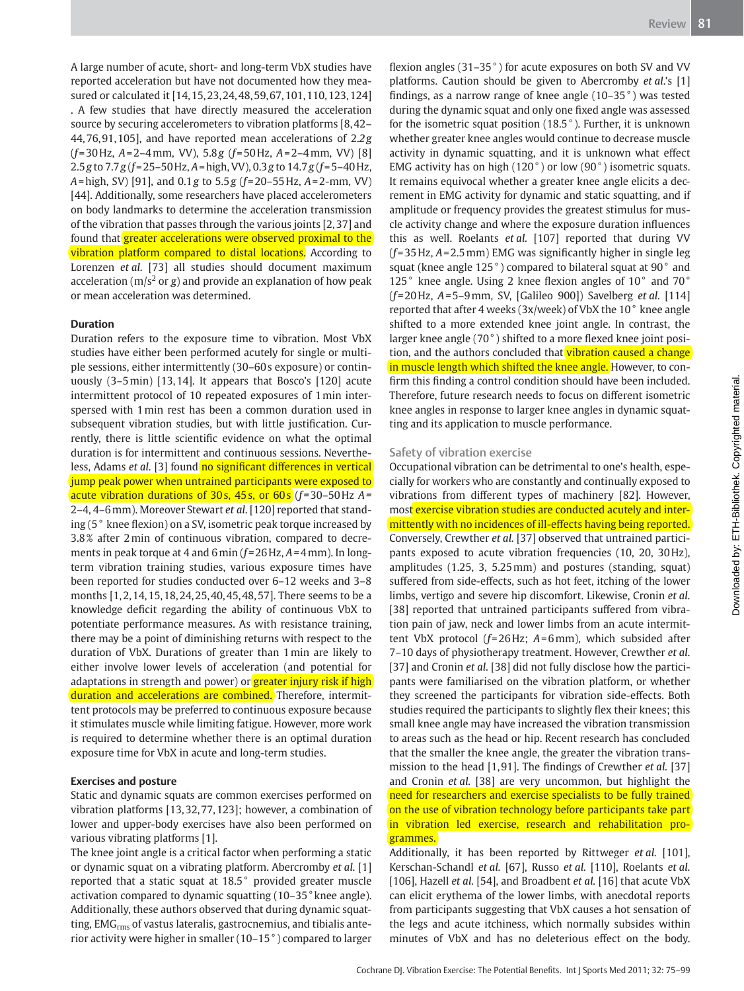A large number of acute, short- and long-term VbX studies have reported acceleration but have not documented how they measured or calculated it [14, 15, 23, 24, 48, 59, 67, 101, 110, 123, 124] . A few studies that have directly measured the acceleration source by securing accelerometers to vibration platforms [8, 42 – 44, 76, 91, 105], and have reported mean accelerations of 2.2g ( *f* = 30 Hz, *A* = 2 – 4 mm, VV), 5.8 *g* ( *f* = 50 Hz, *A* = 2 – 4 mm, VV) [8] 2.5 *g* to 7.7 *g* ( *f* = 25 – 50 Hz, *A* = high, VV), 0.3 *g* to 14.7 *g* ( *f* = 5 – 40 Hz, *A* = high, SV) [91] , and 0.1 *g* to 5.5 *g* ( *f* = 20 – 55 Hz, *A* = 2-mm, VV) [44]. Additionally, some researchers have placed accelerometers on body landmarks to determine the acceleration transmission of the vibration that passes through the various joints [2, 37] and found that greater accelerations were observed proximal to the vibration platform compared to distal locations. According to Lorenzen *et al.* [73] all studies should document maximum acceleration  $(m/s^2 or g)$  and provide an explanation of how peak or mean acceleration was determined.

#### **Duration**

 Duration refers to the exposure time to vibration. Most VbX studies have either been performed acutely for single or multiple sessions, either intermittently (30-60s exposure) or continuously  $(3-5 \text{ min})$  [13,14]. It appears that Bosco's [120] acute intermittent protocol of 10 repeated exposures of 1 min interspersed with 1 min rest has been a common duration used in subsequent vibration studies, but with little justification. Currently, there is little scientific evidence on what the optimal duration is for intermittent and continuous sessions. Nevertheless, Adams *et al.* [3] found no significant differences in vertical jump peak power when untrained participants were exposed to acute vibration durations of 30 s, 45 s, or 60 s ( *f =* 30 – 50 Hz *A =*  2 – 4, 4 – 6 mm). Moreover Stewart *et al.* [120] reported that standing (5° knee flexion) on a SV, isometric peak torque increased by 3.8 % after 2 min of continuous vibration, compared to decrements in peak torque at 4 and 6 min ( $f = 26$  Hz,  $A = 4$  mm). In longterm vibration training studies, various exposure times have been reported for studies conducted over 6-12 weeks and 3-8 months [1, 2, 14, 15, 18, 24, 25, 40, 45, 48, 57] . There seems to be a knowledge deficit regarding the ability of continuous VbX to potentiate performance measures. As with resistance training, there may be a point of diminishing returns with respect to the duration of VbX. Durations of greater than 1 min are likely to either involve lower levels of acceleration (and potential for adaptations in strength and power) or greater injury risk if high duration and accelerations are combined. Therefore, intermittent protocols may be preferred to continuous exposure because it stimulates muscle while limiting fatigue. However, more work is required to determine whether there is an optimal duration exposure time for VbX in acute and long-term studies.

#### **Exercises and posture**

 Static and dynamic squats are common exercises performed on vibration platforms [13, 32, 77, 123] ; however, a combination of lower and upper-body exercises have also been performed on various vibrating platforms [1].

 The knee joint angle is a critical factor when performing a static or dynamic squat on a vibrating platform. Abercromby *et al.* [1] reported that a static squat at 18.5 ° provided greater muscle activation compared to dynamic squatting (10-35° knee angle). Additionally, these authors observed that during dynamic squatting, EMG $_{\rm rms}$  of vastus lateralis, gastrocnemius, and tibialis anterior activity were higher in smaller (10 – 15 ° ) compared to larger

flexion angles  $(31-35°)$  for acute exposures on both SV and VV platforms. Caution should be given to Abercromby *et al.*'s [1] findings, as a narrow range of knee angle  $(10-35)$ ° was tested during the dynamic squat and only one fixed angle was assessed for the isometric squat position (18.5 ° ). Further, it is unknown whether greater knee angles would continue to decrease muscle activity in dynamic squatting, and it is unknown what effect EMG activity has on high (120°) or low (90°) isometric squats. It remains equivocal whether a greater knee angle elicits a decrement in EMG activity for dynamic and static squatting, and if amplitude or frequency provides the greatest stimulus for muscle activity change and where the exposure duration influences this as well. Roelants *et al.* [107] reported that during VV ( *f* = 35 Hz, *A* = 2.5 mm) EMG was signifi cantly higher in single leg squat (knee angle 125°) compared to bilateral squat at 90° and 125° knee angle. Using 2 knee flexion angles of 10° and 70° ( *f =* 20 Hz, *A =* 5 – 9 mm, SV, [Galileo 900]) Savelberg *et al.* [114] reported that after 4 weeks (3x/week) of VbX the 10° knee angle shifted to a more extended knee joint angle. In contrast, the larger knee angle (70°) shifted to a more flexed knee joint position, and the authors concluded that vibration caused a change in muscle length which shifted the knee angle. However, to confirm this finding a control condition should have been included. Therefore, future research needs to focus on different isometric knee angles in response to larger knee angles in dynamic squatting and its application to muscle performance.

#### Safety of vibration exercise

Occupational vibration can be detrimental to one's health, especially for workers who are constantly and continually exposed to vibrations from different types of machinery [82]. However, most exercise vibration studies are conducted acutely and intermittently with no incidences of ill-effects having being reported. Conversely, Crewther *et al.* [37] observed that untrained participants exposed to acute vibration frequencies (10, 20, 30 Hz), amplitudes (1.25, 3, 5.25 mm) and postures (standing, squat) suffered from side-effects, such as hot feet, itching of the lower limbs, vertigo and severe hip discomfort. Likewise, Cronin *et al.* [38] reported that untrained participants suffered from vibration pain of jaw, neck and lower limbs from an acute intermittent VbX protocol ( $f = 26$ Hz;  $A = 6$ mm), which subsided after 7 – 10 days of physiotherapy treatment. However, Crewther *et al.* [37] and Cronin *et al.* [38] did not fully disclose how the participants were familiarised on the vibration platform, or whether they screened the participants for vibration side-effects. Both studies required the participants to slightly flex their knees; this small knee angle may have increased the vibration transmission to areas such as the head or hip. Recent research has concluded that the smaller the knee angle, the greater the vibration transmission to the head [1,91]. The findings of Crewther *et al.* [37] and Cronin *et al.* [38] are very uncommon, but highlight the need for researchers and exercise specialists to be fully trained on the use of vibration technology before participants take part in vibration led exercise, research and rehabilitation programmes.

Additionally, it has been reported by Rittweger et al. [101], Kerschan-Schandl *et al.* [67] , Russo *et al.* [110] , Roelants *et al.* [106], Hazell *et al.* [54], and Broadbent *et al.* [16] that acute VbX can elicit erythema of the lower limbs, with anecdotal reports from participants suggesting that VbX causes a hot sensation of the legs and acute itchiness, which normally subsides within minutes of VbX and has no deleterious effect on the body.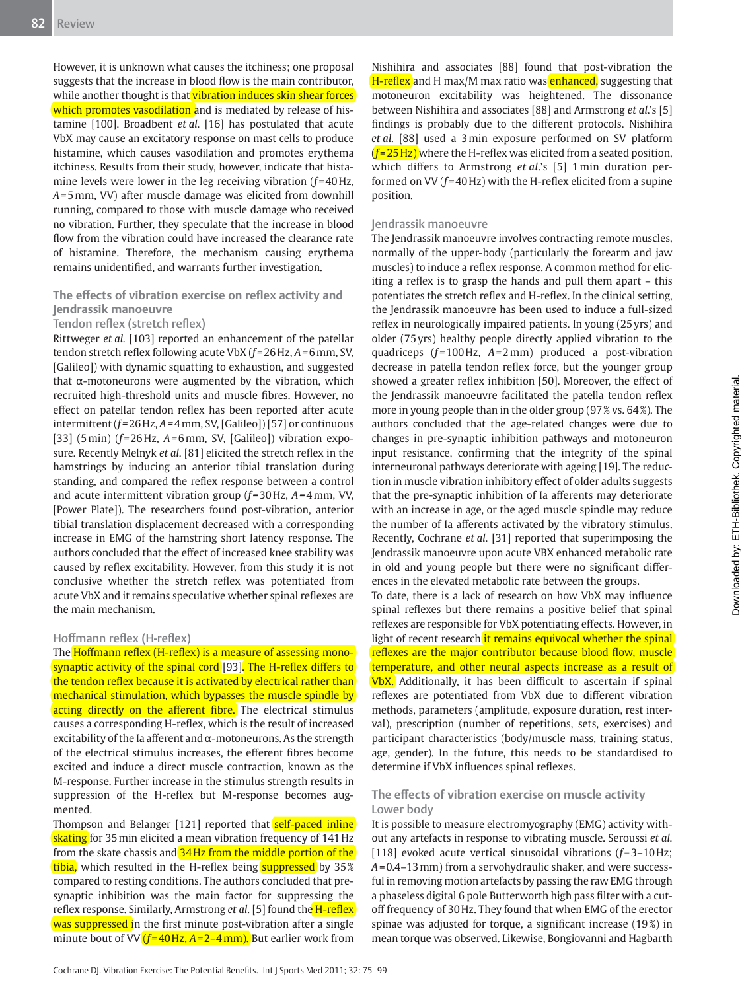However, it is unknown what causes the itchiness; one proposal suggests that the increase in blood flow is the main contributor, while another thought is that vibration induces skin shear forces which promotes vasodilation and is mediated by release of histamine [100]. Broadbent *et al.* [16] has postulated that acute VbX may cause an excitatory response on mast cells to produce histamine, which causes vasodilation and promotes erythema itchiness. Results from their study, however, indicate that histamine levels were lower in the leg receiving vibration ( $f=40$ Hz, *A =* 5 mm, VV) after muscle damage was elicited from downhill running, compared to those with muscle damage who received no vibration. Further, they speculate that the increase in blood flow from the vibration could have increased the clearance rate of histamine. Therefore, the mechanism causing erythema remains unidentified, and warrants further investigation.

## The effects of vibration exercise on reflex activity and **Jendrassik manoeuvre**

#### Tendon reflex (stretch reflex)

 Rittweger *et al.* [103] reported an enhancement of the patellar tendon stretch reflex following acute VbX ( $f = 26$  Hz,  $A = 6$  mm, SV, [Galileo]) with dynamic squatting to exhaustion, and suggested that α-motoneurons were augmented by the vibration, which recruited high-threshold units and muscle fibres. However, no effect on patellar tendon reflex has been reported after acute intermittent ( $f = 26$  Hz,  $A = 4$  mm, SV, [Galileo]) [57] or continuous [33] (5 min) ( *f =* 26 Hz, *A =* 6 mm, SV, [Galileo]) vibration exposure. Recently Melnyk *et al.* [81] elicited the stretch reflex in the hamstrings by inducing an anterior tibial translation during standing, and compared the reflex response between a control and acute intermittent vibration group ( $f = 30$  Hz,  $A = 4$  mm, VV, [Power Plate]). The researchers found post-vibration, anterior tibial translation displacement decreased with a corresponding increase in EMG of the hamstring short latency response. The authors concluded that the effect of increased knee stability was caused by reflex excitability. However, from this study it is not conclusive whether the stretch reflex was potentiated from acute VbX and it remains speculative whether spinal reflexes are the main mechanism.

#### Hoffmann reflex (H-reflex)

The Hoffmann reflex (H-reflex) is a measure of assessing monosynaptic activity of the spinal cord [93]. The H-reflex differs to the tendon reflex because it is activated by electrical rather than mechanical stimulation, which bypasses the muscle spindle by acting directly on the afferent fibre. The electrical stimulus causes a corresponding H-reflex, which is the result of increased excitability of the Ia afferent and  $\alpha$ -motoneurons. As the strength of the electrical stimulus increases, the efferent fibres become excited and induce a direct muscle contraction, known as the M-response. Further increase in the stimulus strength results in suppression of the H-reflex but M-response becomes augmented.

Thompson and Belanger [121] reported that self-paced inline skating for 35 min elicited a mean vibration frequency of 141 Hz from the skate chassis and 34Hz from the middle portion of the tibia, which resulted in the H-reflex being suppressed by 35% compared to resting conditions. The authors concluded that presynaptic inhibition was the main factor for suppressing the reflex response. Similarly, Armstrong *et al.* [5] found the H-reflex was suppressed in the first minute post-vibration after a single minute bout of VV ( $f = 40$  Hz,  $A = 2 - 4$  mm). But earlier work from

Nishihira and associates [88] found that post-vibration the H-reflex and H max/M max ratio was enhanced, suggesting that motoneuron excitability was heightened. The dissonance between Nishihira and associates [88] and Armstrong et al.'s [5] findings is probably due to the different protocols. Nishihira *et al.* [88] used a 3 min exposure performed on SV platform  $(f=25 Hz)$  where the H-reflex was elicited from a seated position, which differs to Armstrong et al.'s [5] 1 min duration performed on VV ( $f = 40$  Hz) with the H-reflex elicited from a supine position.

#### Jendrassik manoeuvre

 The Jendrassik manoeuvre involves contracting remote muscles, normally of the upper-body (particularly the forearm and jaw muscles) to induce a reflex response. A common method for eliciting a reflex is to grasp the hands and pull them apart - this potentiates the stretch reflex and H-reflex. In the clinical setting, the Jendrassik manoeuvre has been used to induce a full-sized reflex in neurologically impaired patients. In young (25 yrs) and older (75 yrs) healthy people directly applied vibration to the quadriceps (f=100Hz, A=2mm) produced a post-vibration decrease in patella tendon reflex force, but the younger group showed a greater reflex inhibition [50]. Moreover, the effect of the Jendrassik manoeuvre facilitated the patella tendon reflex more in young people than in the older group  $(97\% \text{ vs. } 64\%)$ . The authors concluded that the age-related changes were due to changes in pre-synaptic inhibition pathways and motoneuron input resistance, confirming that the integrity of the spinal interneuronal pathways deteriorate with ageing [19]. The reduction in muscle vibration inhibitory effect of older adults suggests that the pre-synaptic inhibition of Ia afferents may deteriorate with an increase in age, or the aged muscle spindle may reduce the number of Ia afferents activated by the vibratory stimulus. Recently, Cochrane *et al.* [31] reported that superimposing the Jendrassik manoeuvre upon acute VBX enhanced metabolic rate in old and young people but there were no significant differences in the elevated metabolic rate between the groups.

To date, there is a lack of research on how VbX may influence spinal reflexes but there remains a positive belief that spinal reflexes are responsible for VbX potentiating effects. However, in light of recent research it remains equivocal whether the spinal reflexes are the major contributor because blood flow, muscle temperature, and other neural aspects increase as a result of VbX. Additionally, it has been difficult to ascertain if spinal reflexes are potentiated from VbX due to different vibration methods, parameters (amplitude, exposure duration, rest interval), prescription (number of repetitions, sets, exercises) and participant characteristics (body/muscle mass, training status, age, gender). In the future, this needs to be standardised to determine if VbX influences spinal reflexes.

#### **The eff ects of vibration exercise on muscle activity**  Lower body

 It is possible to measure electromyography (EMG) activity without any artefacts in response to vibrating muscle. Seroussi *et al.* [118] evoked acute vertical sinusoidal vibrations ( $f = 3-10$  Hz; *A* = 0.4 – 13 mm) from a servohydraulic shaker, and were successful in removing motion artefacts by passing the raw EMG through a phaseless digital 6 pole Butterworth high pass filter with a cutoff frequency of 30 Hz. They found that when EMG of the erector spinae was adjusted for torque, a significant increase  $(19%)$  in mean torque was observed. Likewise, Bongiovanni and Hagbarth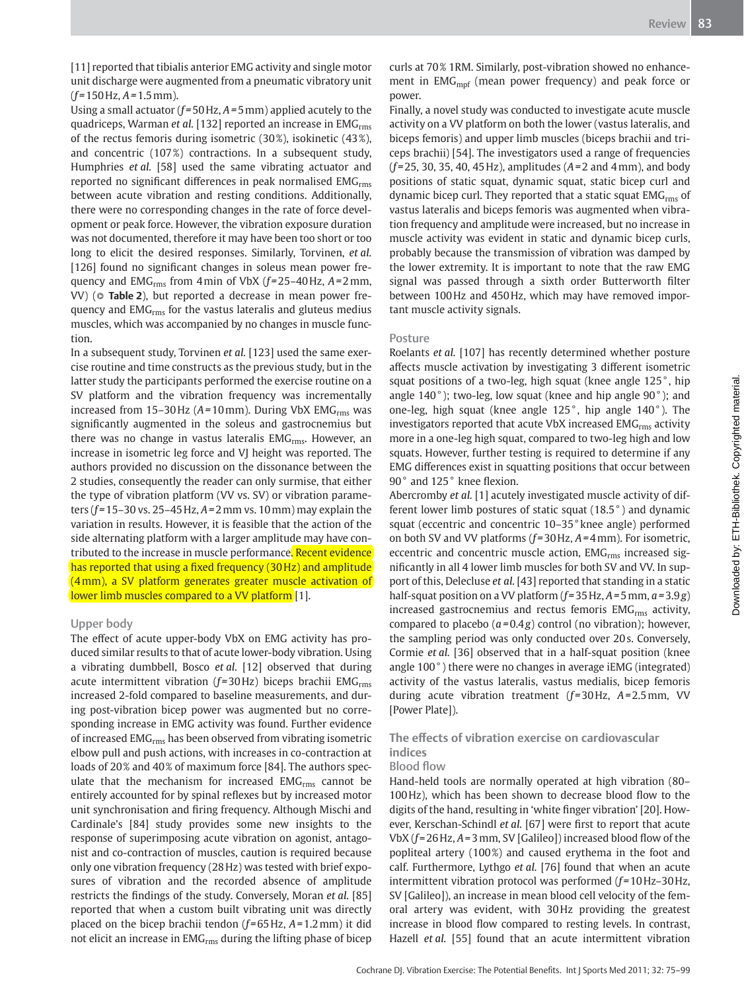[11] reported that tibialis anterior EMG activity and single motor unit discharge were augmented from a pneumatic vibratory unit ( *f =* 150 Hz, *A =* 1.5 mm).

Using a small actuator ( $f = 50$  Hz,  $A = 5$  mm) applied acutely to the quadriceps, Warman *et al.* [132] reported an increase in EMG<sub>rms</sub> of the rectus femoris during isometric (30%), isokinetic (43%), and concentric  $(107%)$  contractions. In a subsequent study, Humphries *et al.* [58] used the same vibrating actuator and reported no significant differences in peak normalised  $EMG<sub>rms</sub>$ between acute vibration and resting conditions. Additionally, there were no corresponding changes in the rate of force development or peak force. However, the vibration exposure duration was not documented, therefore it may have been too short or too long to elicit the desired responses. Similarly, Torvinen, *et al.* [126] found no significant changes in soleus mean power frequency and  $EMG<sub>rms</sub>$  from 4 min of VbX ( $f = 25-40$  Hz,  $A = 2$  mm, VV) ( $\circ$  Table 2), but reported a decrease in mean power frequency and  $EMG<sub>rms</sub>$  for the vastus lateralis and gluteus medius muscles, which was accompanied by no changes in muscle function.

 In a subsequent study, Torvinen *et al.* [123] used the same exercise routine and time constructs as the previous study, but in the latter study the participants performed the exercise routine on a SV platform and the vibration frequency was incrementally increased from 15-30 Hz (A=10 mm). During VbX EMG<sub>rms</sub> was significantly augmented in the soleus and gastrocnemius but there was no change in vastus lateralis EMG<sub>rms</sub>. However, an increase in isometric leg force and VJ height was reported. The authors provided no discussion on the dissonance between the 2 studies, consequently the reader can only surmise, that either the type of vibration platform (VV vs. SV) or vibration parameters ( *f =* 15 – 30 vs. 25 – 45 Hz, *A =* 2 mm vs. 10 mm) may explain the variation in results. However, it is feasible that the action of the side alternating platform with a larger amplitude may have contributed to the increase in muscle performance. Recent evidence has reported that using a fixed frequency (30 Hz) and amplitude (4 mm), a SV platform generates greater muscle activation of lower limb muscles compared to a VV platform [1].

#### Upper body

The effect of acute upper-body VbX on EMG activity has produced similar results to that of acute lower-body vibration. Using a vibrating dumbbell, Bosco *et al.* [12] observed that during acute intermittent vibration  $(f=30 \text{ Hz})$  biceps brachii EMG<sub>rms</sub> increased 2-fold compared to baseline measurements, and during post-vibration bicep power was augmented but no corresponding increase in EMG activity was found. Further evidence of increased  $EMG<sub>rms</sub>$  has been observed from vibrating isometric elbow pull and push actions, with increases in co-contraction at loads of 20% and 40% of maximum force [84]. The authors speculate that the mechanism for increased  $EMG<sub>rms</sub>$  cannot be entirely accounted for by spinal reflexes but by increased motor unit synchronisation and firing frequency. Although Mischi and Cardinale's [84] study provides some new insights to the response of superimposing acute vibration on agonist, antagonist and co-contraction of muscles, caution is required because only one vibration frequency (28 Hz) was tested with brief exposures of vibration and the recorded absence of amplitude restricts the findings of the study. Conversely, Moran et al. [85] reported that when a custom built vibrating unit was directly placed on the bicep brachii tendon ( $f = 65$  Hz,  $A = 1.2$  mm) it did not elicit an increase in  $EMG<sub>rms</sub>$  during the lifting phase of bicep curls at 70% 1RM. Similarly, post-vibration showed no enhancement in EMG<sub>mpf</sub> (mean power frequency) and peak force or power.

 Finally, a novel study was conducted to investigate acute muscle activity on a VV platform on both the lower (vastus lateralis, and biceps femoris) and upper limb muscles (biceps brachii and triceps brachii) [54]. The investigators used a range of frequencies ( *f =* 25, 30, 35, 40, 45 Hz), amplitudes ( *A =* 2 and 4 mm), and body positions of static squat, dynamic squat, static bicep curl and dynamic bicep curl. They reported that a static squat  $EMG<sub>rms</sub>$  of vastus lateralis and biceps femoris was augmented when vibration frequency and amplitude were increased, but no increase in muscle activity was evident in static and dynamic bicep curls, probably because the transmission of vibration was damped by the lower extremity. It is important to note that the raw EMG signal was passed through a sixth order Butterworth filter between 100 Hz and 450 Hz, which may have removed important muscle activity signals.

#### Posture

 Roelants *et al.* [107] has recently determined whether posture affects muscle activation by investigating 3 different isometric squat positions of a two-leg, high squat (knee angle 125<sup>°</sup>, hip angle 140 $^{\circ}$ ); two-leg, low squat (knee and hip angle 90 $^{\circ}$ ); and one-leg, high squat (knee angle 125°, hip angle 140°). The investigators reported that acute VbX increased  $EMG<sub>rms</sub>$  activity more in a one-leg high squat, compared to two-leg high and low squats. However, further testing is required to determine if any EMG differences exist in squatting positions that occur between 90° and 125° knee flexion.

 Abercromby *et al.* [1] acutely investigated muscle activity of different lower limb postures of static squat (18.5 ° ) and dynamic squat (eccentric and concentric 10-35° knee angle) performed on both SV and VV platforms ( *f =* 30 Hz, *A =* 4 mm). For isometric, eccentric and concentric muscle action,  $EMG<sub>rms</sub>$  increased significantly in all 4 lower limb muscles for both SV and VV. In support of this, Delecluse *et al.* [43] reported that standing in a static half-squat position on a VV platform  $(f=35$  Hz,  $A=5$  mm,  $a=3.9g$ ) increased gastrocnemius and rectus femoris  $EMG<sub>rms</sub>$  activity, compared to placebo  $(a=0.4g)$  control (no vibration); however, the sampling period was only conducted over 20 s. Conversely, Cormie *et al.* [36] observed that in a half-squat position (knee angle 100 ° ) there were no changes in average iEMG (integrated) activity of the vastus lateralis, vastus medialis, bicep femoris during acute vibration treatment ( $f = 30$  Hz,  $A = 2.5$  mm, VV [Power Plate]).

#### **The eff ects of vibration exercise on cardiovascular indices**

#### **Blood flow**

Hand-held tools are normally operated at high vibration (80-100 Hz), which has been shown to decrease blood flow to the digits of the hand, resulting in 'white finger vibration' [20]. However, Kerschan-Schindl *et al.* [67] were first to report that acute VbX ( $f = 26$  Hz,  $A = 3$  mm, SV [Galileo]) increased blood flow of the popliteal artery (100%) and caused erythema in the foot and calf. Furthermore, Lythgo *et al.* [76] found that when an acute intermittent vibration protocol was performed ( *f =* 10 Hz – 30 Hz, SV [Galileo]), an increase in mean blood cell velocity of the femoral artery was evident, with 30 Hz providing the greatest increase in blood flow compared to resting levels. In contrast, Hazell *et al.* [55] found that an acute intermittent vibration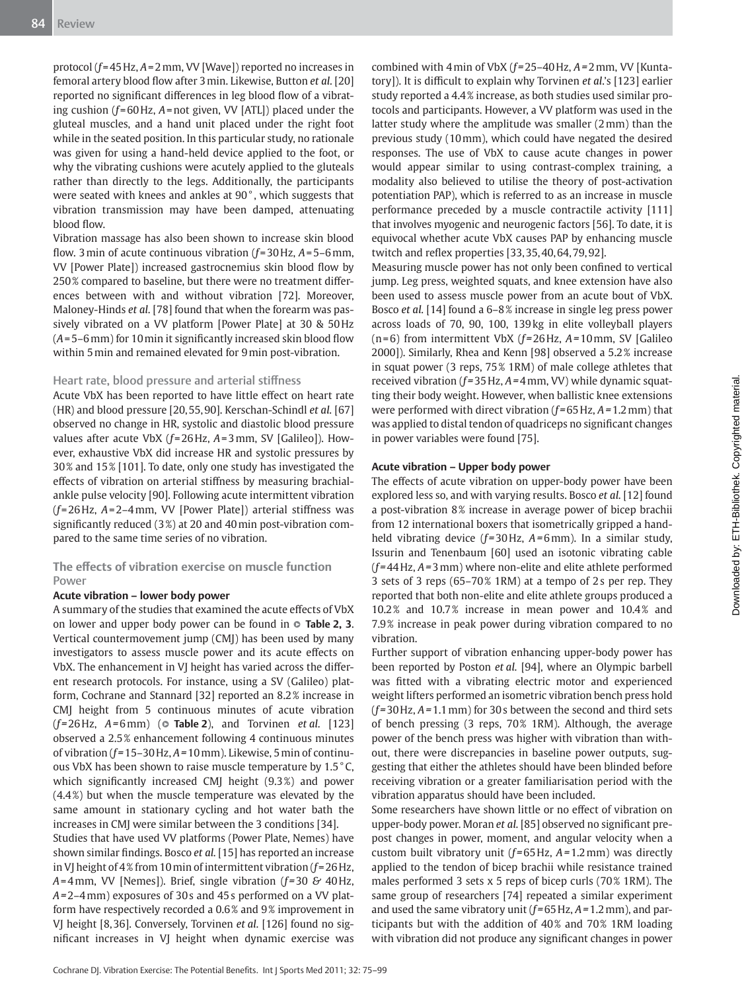protocol ( $f = 45$  Hz,  $A = 2$  mm, VV [Wave]) reported no increases in femoral artery blood flow after 3 min. Likewise, Button et al. [20] reported no significant differences in leg blood flow of a vibrating cushion ( $f$ =60 Hz,  $A$ =not given, VV [ATL]) placed under the gluteal muscles, and a hand unit placed under the right foot while in the seated position. In this particular study, no rationale was given for using a hand-held device applied to the foot, or why the vibrating cushions were acutely applied to the gluteals rather than directly to the legs. Additionally, the participants were seated with knees and ankles at 90 ° , which suggests that vibration transmission may have been damped, attenuating blood flow.

 Vibration massage has also been shown to increase skin blood flow. 3 min of acute continuous vibration  $(f=30$  Hz,  $A=5-6$  mm, VV [Power Plate]) increased gastrocnemius skin blood flow by 250% compared to baseline, but there were no treatment differences between with and without vibration [72]. Moreover, Maloney-Hinds *et al.* [78] found that when the forearm was passively vibrated on a VV platform [Power Plate] at 30 & 50 Hz  $(A=5-6$  mm) for 10 min it significantly increased skin blood flow within 5 min and remained elevated for 9 min post-vibration.

#### Heart rate, blood pressure and arterial stiffness

Acute VbX has been reported to have little effect on heart rate (HR) and blood pressure [20, 55, 90] . Kerschan-Schindl *et al.* [67] observed no change in HR, systolic and diastolic blood pressure values after acute VbX ( $f = 26$  Hz,  $A = 3$  mm, SV [Galileo]). However, exhaustive VbX did increase HR and systolic pressures by 30 % and 15 % [101] . To date, only one study has investigated the effects of vibration on arterial stiffness by measuring brachialankle pulse velocity [90]. Following acute intermittent vibration ( $f$ =26Hz,  $A$ =2–4mm, VV [Power Plate]) arterial stiffness was significantly reduced (3%) at 20 and 40 min post-vibration compared to the same time series of no vibration.

#### **The eff ects of vibration exercise on muscle function**  Power

#### **Acute vibration –lower body power**

A summary of the studies that examined the acute effects of VbX on lower and upper body power can be found in  $\circ$  Table 2, 3. Vertical countermovement jump (CMJ) has been used by many investigators to assess muscle power and its acute effects on VbX. The enhancement in VJ height has varied across the different research protocols. For instance, using a SV (Galileo) platform, Cochrane and Stannard [32] reported an 8.2 % increase in CMJ height from 5 continuous minutes of acute vibration ( $f=26$  Hz,  $A=6$  mm) ( $\circ$  **Table 2**), and Torvinen *et al.* [123] observed a 2.5 % enhancement following 4 continuous minutes of vibration ( *f =* 15 – 30 Hz, *A =* 10 mm). Likewise, 5 min of continuous VbX has been shown to raise muscle temperature by 1.5 ° C, which significantly increased CMJ height (9.3%) and power  $(4.4\%)$  but when the muscle temperature was elevated by the same amount in stationary cycling and hot water bath the increases in CMJ were similar between the 3 conditions [34] .

 Studies that have used VV platforms (Power Plate, Nemes) have shown similar findings. Bosco *et al.* [15] has reported an increase in VJ height of 4% from 10 min of intermittent vibration ( $f = 26$  Hz, *A* = 4 mm, VV [Nemes]). Brief, single vibration ( *f =* 30 *&* 40 Hz, *A =* 2 – 4 mm) exposures of 30 s and 45 s performed on a VV platform have respectively recorded a 0.6% and 9% improvement in VJ height [8, 36] . Conversely, Torvinen *et al.* [126] found no significant increases in VJ height when dynamic exercise was combined with 4 min of VbX ( $f = 25-40$  Hz,  $A = 2$  mm, VV [Kuntatory]). It is difficult to explain why Torvinen *et al.*'s [123] earlier study reported a 4.4 % increase, as both studies used similar protocols and participants. However, a VV platform was used in the latter study where the amplitude was smaller (2 mm) than the previous study (10 mm), which could have negated the desired responses. The use of VbX to cause acute changes in power would appear similar to using contrast-complex training, a modality also believed to utilise the theory of post-activation potentiation PAP), which is referred to as an increase in muscle performance preceded by a muscle contractile activity [111] that involves myogenic and neurogenic factors [56]. To date, it is equivocal whether acute VbX causes PAP by enhancing muscle twitch and reflex properties [33, 35, 40, 64, 79, 92].

Measuring muscle power has not only been confined to vertical jump. Leg press, weighted squats, and knee extension have also been used to assess muscle power from an acute bout of VbX. Bosco *et al.* [14] found a 6-8% increase in single leg press power across loads of 70, 90, 100, 139 kg in elite volleyball players (n = 6) from intermittent VbX ( *f =* 26 Hz, *A =* 10 mm, SV [Galileo 2000]). Similarly, Rhea and Kenn [98] observed a 5.2 % increase in squat power (3 reps, 75% 1RM) of male college athletes that received vibration ( $f = 35$  Hz,  $A = 4$  mm, VV) while dynamic squatting their body weight. However, when ballistic knee extensions were performed with direct vibration ( *f =* 65 Hz, *A =* 1.2 mm) that was applied to distal tendon of quadriceps no significant changes in power variables were found [75].

#### **Acute vibration –Upper body power**

The effects of acute vibration on upper-body power have been explored less so, and with varying results. Bosco *et al.* [12] found a post-vibration 8% increase in average power of bicep brachii from 12 international boxers that isometrically gripped a handheld vibrating device ( $f = 30$  Hz,  $A = 6$  mm). In a similar study, Issurin and Tenenbaum [60] used an isotonic vibrating cable ( *f =* 44 Hz, *A =* 3 mm) where non-elite and elite athlete performed 3 sets of 3 reps (65-70% 1RM) at a tempo of 2s per rep. They reported that both non-elite and elite athlete groups produced a 10.2% and 10.7% increase in mean power and 10.4% and 7.9 % increase in peak power during vibration compared to no vibration.

 Further support of vibration enhancing upper-body power has been reported by Poston et al. [94], where an Olympic barbell was fitted with a vibrating electric motor and experienced weight lifters performed an isometric vibration bench press hold ( *f =* 30 Hz, *A =* 1.1 mm) for 30 s between the second and third sets of bench pressing (3 reps, 70% 1RM). Although, the average power of the bench press was higher with vibration than without, there were discrepancies in baseline power outputs, suggesting that either the athletes should have been blinded before receiving vibration or a greater familiarisation period with the vibration apparatus should have been included.

Some researchers have shown little or no effect of vibration on upper-body power. Moran *et al.* [85] observed no significant prepost changes in power, moment, and angular velocity when a custom built vibratory unit ( $f = 65$  Hz,  $A = 1.2$  mm) was directly applied to the tendon of bicep brachii while resistance trained males performed 3 sets x 5 reps of bicep curls (70% 1RM). The same group of researchers [74] repeated a similar experiment and used the same vibratory unit ( $f = 65$  Hz,  $A = 1.2$  mm), and participants but with the addition of 40% and 70% 1RM loading with vibration did not produce any significant changes in power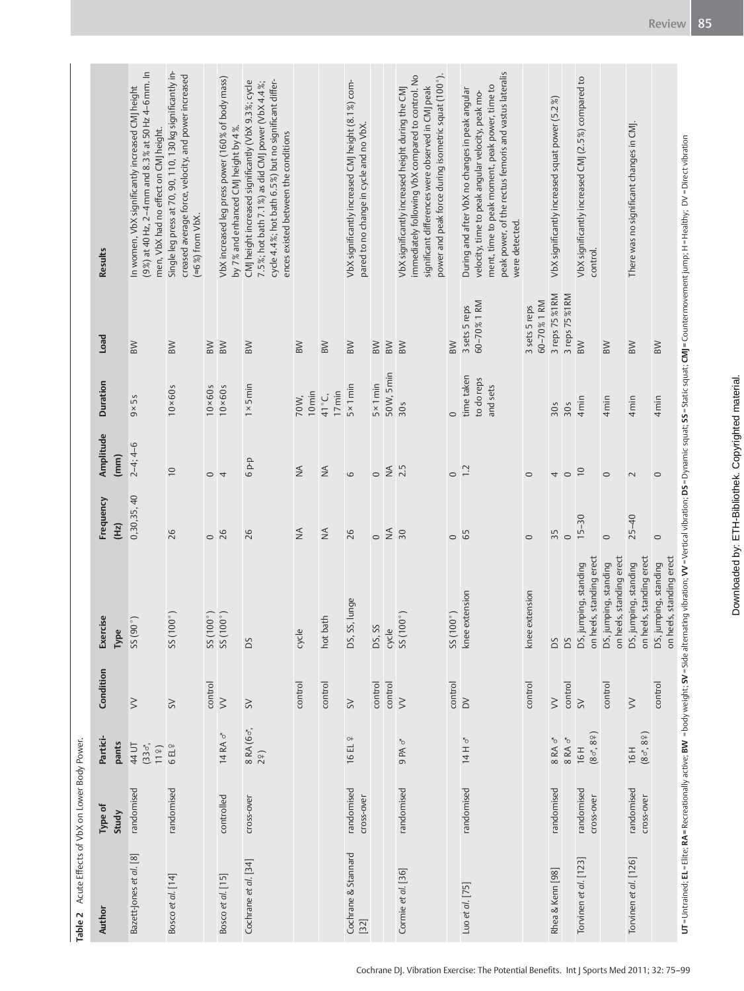| ֧֦֧֦֧֦֧֦֧֦֧֦֧֦֧֦֧֦֧֦֧֦֧֦֧֦֧֧֦֜ |
|--------------------------------|
| l<br>l<br>í                    |
| ï<br>i<br>ļ<br>1               |
| i                              |
| i<br>ı                         |

| 5                                                                        |
|--------------------------------------------------------------------------|
|                                                                          |
|                                                                          |
|                                                                          |
|                                                                          |
|                                                                          |
|                                                                          |
|                                                                          |
| l                                                                        |
| II.                                                                      |
|                                                                          |
|                                                                          |
|                                                                          |
|                                                                          |
|                                                                          |
|                                                                          |
|                                                                          |
|                                                                          |
| Ī                                                                        |
|                                                                          |
| j                                                                        |
|                                                                          |
| j                                                                        |
| j                                                                        |
| I                                                                        |
|                                                                          |
|                                                                          |
|                                                                          |
|                                                                          |
|                                                                          |
|                                                                          |
|                                                                          |
|                                                                          |
|                                                                          |
|                                                                          |
| j<br>֕<br>ı                                                              |
|                                                                          |
|                                                                          |
|                                                                          |
|                                                                          |
| ۱<br>ī                                                                   |
|                                                                          |
|                                                                          |
| j                                                                        |
| j                                                                        |
|                                                                          |
| Ì                                                                        |
|                                                                          |
| ì                                                                        |
|                                                                          |
| ۱                                                                        |
|                                                                          |
|                                                                          |
|                                                                          |
|                                                                          |
|                                                                          |
|                                                                          |
| l                                                                        |
| I                                                                        |
|                                                                          |
| í<br>l                                                                   |
|                                                                          |
|                                                                          |
|                                                                          |
|                                                                          |
|                                                                          |
|                                                                          |
|                                                                          |
|                                                                          |
| I                                                                        |
|                                                                          |
|                                                                          |
|                                                                          |
|                                                                          |
|                                                                          |
|                                                                          |
|                                                                          |
|                                                                          |
|                                                                          |
| ļ                                                                        |
|                                                                          |
|                                                                          |
| $\overline{a}$                                                           |
|                                                                          |
|                                                                          |
|                                                                          |
| ļ<br>ï                                                                   |
| l                                                                        |
| I                                                                        |
| l                                                                        |
|                                                                          |
| i                                                                        |
| $\mathbf{I}$                                                             |
|                                                                          |
| i<br>,<br>i                                                              |
|                                                                          |
| ֕<br>١<br>l                                                              |
| $\frac{1}{3}$                                                            |
|                                                                          |
|                                                                          |
| j<br>۱<br>z                                                              |
| Ï<br>١                                                                   |
| l<br>١                                                                   |
| j<br>Ī                                                                   |
|                                                                          |
| l                                                                        |
| ֘֒                                                                       |
|                                                                          |
|                                                                          |
|                                                                          |
|                                                                          |
|                                                                          |
|                                                                          |
| l                                                                        |
|                                                                          |
|                                                                          |
|                                                                          |
| l                                                                        |
|                                                                          |
| Ì                                                                        |
|                                                                          |
|                                                                          |
| j<br>l                                                                   |
|                                                                          |
|                                                                          |
| ı                                                                        |
|                                                                          |
| ֖֖֖֖֖֖֖֧ׅ֖֧֖֧֧ׅׅ֧֚֚֚֚֚֚֚֚֚֚֚֚֚֚֚֚֚֚֚֚֚֚֚֚֚֚֬֝֝֓֞֝֓֞֝֬֓֬֝֬֝֓֞֬֝֬֝֬֝֬<br>j |
| l                                                                        |
| j                                                                        |
|                                                                          |
| l                                                                        |
|                                                                          |
|                                                                          |
| II<br>Ì                                                                  |
| ļ<br>j                                                                   |

| Table 2 Acute Effects of VbX on Lower Body Power. |                          |                                                                   |                                                                                                                               |                                                                    |                            |                   |                                      |                              |                                                                                                                                                                                                                                    |
|---------------------------------------------------|--------------------------|-------------------------------------------------------------------|-------------------------------------------------------------------------------------------------------------------------------|--------------------------------------------------------------------|----------------------------|-------------------|--------------------------------------|------------------------------|------------------------------------------------------------------------------------------------------------------------------------------------------------------------------------------------------------------------------------|
| Author                                            | Type of                  | Partici-                                                          | Condition                                                                                                                     | <b>Exercise</b>                                                    | Frequency                  | Amplitude         | Duration                             | Load                         | Results                                                                                                                                                                                                                            |
|                                                   | Study                    | pants                                                             |                                                                                                                               | Type                                                               | (Hz)                       | (mm)              |                                      |                              |                                                                                                                                                                                                                                    |
| Bazett-Jones et al. [8]                           | randomised               | 44 UT<br>$(33\sigma,$<br>119                                      | $\geq$                                                                                                                        | $(506)$ SS                                                         | $\overline{a}$<br>0,30,35, | $2 - 4; 4 - 6$    | $9 \times 5$ s                       | BW                           | (9%) at 40 Hz, 2-4 mm and 8.3% at 50 Hz 4-6 mm. In<br>n women, VbX significantly increased CMJ height<br>men, VbX had no effect on CMJ height.                                                                                     |
| Bosco et al. [14]                                 | randomised               | 6 EL <sub>2</sub>                                                 | $\lesssim$                                                                                                                    | SS (100°)                                                          | 26                         | $\overline{10}$   | $10 \times 60$ s                     | BW                           | Single leg press at 70, 90, 110, 130 kg significantly in-<br>creased average force, velocity, and power increased<br>$=6\%$ ) from VbX.                                                                                            |
|                                                   |                          |                                                                   | control                                                                                                                       |                                                                    | $\circ$                    | $\circ$           | $10 \times 60$ s                     | BW                           |                                                                                                                                                                                                                                    |
| Bosco et al. [15]                                 | controlled               | 14 RA or                                                          | $\gtrsim$                                                                                                                     | $(0.001)$ SS<br>SS (100 $5$                                        | 26                         | $\overline{4}$    | $10 \times 60$ s                     | BW                           | VbX increased leg press power (160% of body mass)<br>by 7% and enhanced CMJ height by 4%.                                                                                                                                          |
| Cochrane et al. [34]                              | cross-over               | $\frac{8 \text{ RA} (6 \text{ } \sigma \text{,}}{2 \text{ } ^2)}$ | $\gtrsim$                                                                                                                     | DS                                                                 | 26                         | $6P-P$            | $1 \times 5$ min                     | BW                           | cycle 4.4%; hot bath 6.5%) but no significant differ-<br>CMJ height increased significantly (VbX 9.3%; cycle<br>7.5%; hot bath 7.1%) as did CMJ power (VbX 4.4%;<br>ences existed between the conditions                           |
|                                                   |                          |                                                                   | control                                                                                                                       | cycle                                                              | $\lessgtr$                 | $\lessgtr$        | $10$ min<br>70W,                     | BW                           |                                                                                                                                                                                                                                    |
|                                                   |                          |                                                                   | control                                                                                                                       | hot bath                                                           | $\lessgtr$                 | $\lessgtr$        | $17$ min<br>41°C,                    | <b>BW</b>                    |                                                                                                                                                                                                                                    |
| Cochrane & Stannard<br>$[32]$                     | randomised<br>cross-over | 16 EL ?                                                           | SS                                                                                                                            | lunge<br>DS, SS,                                                   | 26                         | $\circ$           | $5 \times 1$ min                     | BW                           | VbX significantly increased CMJ height (8.1%) com-<br>pared to no change in cycle and no VbX.                                                                                                                                      |
|                                                   |                          |                                                                   | control                                                                                                                       | DS, SS                                                             | $\circ$                    | $\circ$           | $5 \times 1$ min                     | BW                           |                                                                                                                                                                                                                                    |
|                                                   |                          |                                                                   | control                                                                                                                       | cycle                                                              | $\leq$ $\frac{8}{2}$       | $\lessgtr$        | 50W, 5min                            | $_{\rm BW}$                  |                                                                                                                                                                                                                                    |
| Cormie et al. [36]                                | randomised               | $\gamma_{\rm O}$<br>9PA                                           | $\geq$                                                                                                                        | SS (100                                                            |                            | 2.5               | 30s                                  | BW                           | immediately following VbX compared to control. No<br>power and peak force during isometric squat (100°).<br>significant differences were observed in CMJ peak<br>VbX significantly increased height during the CMJ                 |
|                                                   |                          |                                                                   | control                                                                                                                       | SS (100°                                                           | $\circ$                    | $\circ$           | $\circ$                              | BW                           |                                                                                                                                                                                                                                    |
| Luo et al. [75]                                   | randomised               | 14H o <sup>3</sup>                                                | $\geq$                                                                                                                        | knee extension                                                     | 65                         | $\overline{1.2}$  | time taken<br>to do reps<br>and sets | 60-70% 1 RM<br>3 sets 5 reps | peak power, of the rectus femoris and vastus lateralis<br>ment, time to peak moment, peak power, time to<br>During and after VbX no changes in peak angular<br>velocity, time to peak angular velocity, peak mo-<br>were detected. |
|                                                   |                          |                                                                   | control                                                                                                                       | knee extension                                                     | $\circ$                    | $\circ$           |                                      | 60-70% 1 RM<br>3 sets 5 reps |                                                                                                                                                                                                                                    |
| Rhea & Kenn [98]                                  | randomised               | 8 RA o'                                                           | $\geq$                                                                                                                        | ΔS                                                                 | 35                         | 4                 | 30 <sub>s</sub>                      | 3 reps 75%1RM                | VbX significantly increased squat power (5.2%)                                                                                                                                                                                     |
|                                                   |                          | 8 RA o <sup>7</sup>                                               | control<br>SV                                                                                                                 | DS                                                                 | $\circ$                    | $\circ$ $\approx$ | 30s                                  | 3 reps 75%1RM                |                                                                                                                                                                                                                                    |
| Torvinen et al. [123]                             | randomised<br>cross-over | $(8\sigma, 8)$<br>16H                                             |                                                                                                                               | on heels, standing erect<br>DS, jumping, standing                  | $15 - 30$                  |                   | 4 min                                | BW                           | VbX significantly increased CMJ (2.5%) compared to<br>control.                                                                                                                                                                     |
|                                                   |                          |                                                                   | control                                                                                                                       | on heels, standing erect<br>DS, jumping, standing                  | $\circ$                    | $\circ$           | 4 min                                | BW                           |                                                                                                                                                                                                                                    |
| Torvinen et al. [126]                             | randomised<br>cross-over | (80, 82)<br>16H                                                   | $\gtrsim$                                                                                                                     | on heels, standing erect<br>DS, jumping, standing                  | $25 - 40$                  | $\sim$            | 4 min                                | BW                           | There was no significant changes in CMJ.                                                                                                                                                                                           |
| Ë                                                 |                          |                                                                   | $\mathbf{u}$ and $\mathbf{u}$ and $\mathbf{u}$ and $\mathbf{u}$ and $\mathbf{u}$ and $\mathbf{u}$ and $\mathbf{u}$<br>control | on heels, standing erect<br>DS, jumping, standing<br>$\frac{1}{2}$ | $\circ$                    | $\circ$           | 4 min                                | BW                           |                                                                                                                                                                                                                                    |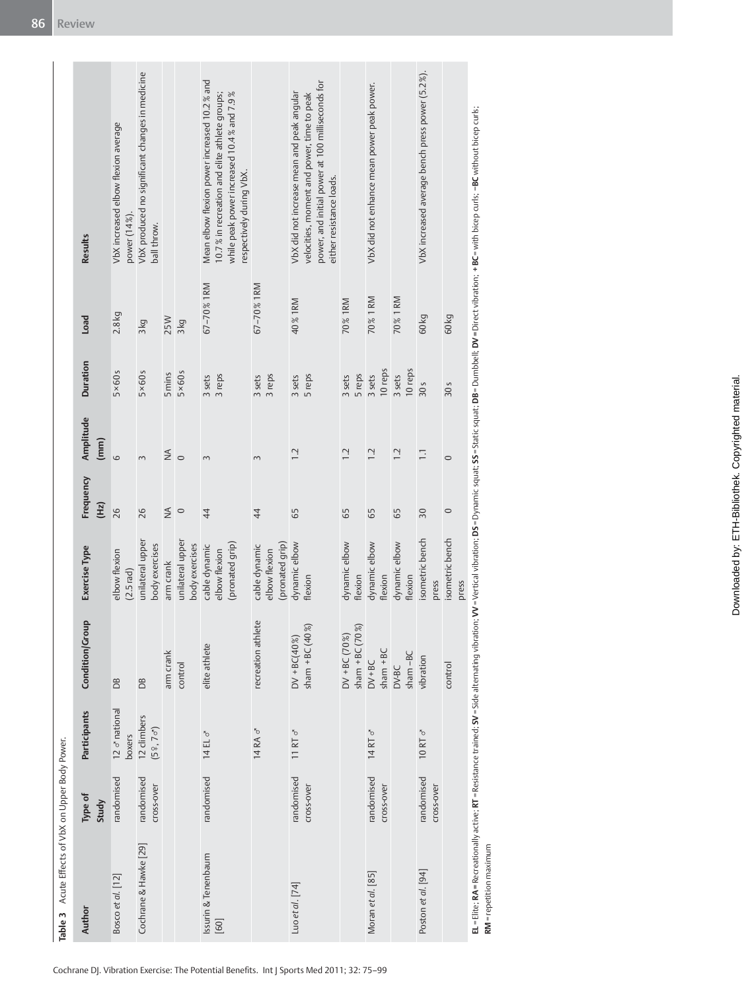|                                                   | <b>Results</b>           | VbX increased elbow flexion average<br>power (14%) | VbX produced no significant changes in medicine<br>ball throw. |           |                                    | Mean elbow flexion power increased 10.2 % and<br>while peak power increased 10.4% and 7.9%<br>10.7% in recreation and elite athlete groups;<br>respectively during VbX. |                                                   | power, and initial power at 100 milliseconds for<br>VbX did not increase mean and peak angular<br>velocities, moment and power, time to peak<br>either resistance loads. |                                    | VbX did not enhance mean power peak power. |                          | VbX increased average bench press power (5.2%). |                          | $\mathsf{EL}=\mathsf{Elite};\mathsf{RA}=\mathsf{Re}$ octive; $\mathsf{RI}=\mathsf{Re}$ sistance trained; $\mathsf{SV}=\mathsf{S}$ de alternating vibration; $\mathsf{VV}=\mathsf{Vert}$ vibration; $\mathsf{DS}=\mathsf{O}$ anamic squat; $\mathsf{SS}=\mathsf{S}$ adic squat; $\mathsf{DS}=\mathsf{D}$ and $\mathsf{S}=\mathsf$ |
|---------------------------------------------------|--------------------------|----------------------------------------------------|----------------------------------------------------------------|-----------|------------------------------------|-------------------------------------------------------------------------------------------------------------------------------------------------------------------------|---------------------------------------------------|--------------------------------------------------------------------------------------------------------------------------------------------------------------------------|------------------------------------|--------------------------------------------|--------------------------|-------------------------------------------------|--------------------------|----------------------------------------------------------------------------------------------------------------------------------------------------------------------------------------------------------------------------------------------------------------------------------------------------------------------------------|
|                                                   | <b>Load</b>              | 2.8kg                                              | 3 <sub>kg</sub>                                                | 25W       | 3 kg                               | 67-70% 1RM                                                                                                                                                              | 67-70% 1RM                                        | 40% 1RM                                                                                                                                                                  | 70% 1RM                            | 70% 1 RM                                   | 70% 1 RM                 | 60kg                                            | 60kg                     |                                                                                                                                                                                                                                                                                                                                  |
|                                                   | Duration                 | $5 \times 60s$                                     | $5 \times 60$ s                                                | 5 mins    | $5 \times 60s$                     | 3 reps<br>3 sets                                                                                                                                                        | 3 reps<br>3 sets                                  | 5 reps<br>3 sets                                                                                                                                                         | 5 reps<br>3 sets                   | 10 reps<br>3 sets                          | 10 reps<br>3 sets        | 30 <sub>s</sub>                                 | 30 <sub>5</sub>          |                                                                                                                                                                                                                                                                                                                                  |
|                                                   | Amplitude<br>(mm)        | $\circ$                                            | $\sim$                                                         | $\leq$    | $\circ$                            | $\sim$                                                                                                                                                                  | 3                                                 | 1.2                                                                                                                                                                      | 1.2                                | 1.2                                        | 1.2                      | $\overline{1}$ .                                | $\circ$                  |                                                                                                                                                                                                                                                                                                                                  |
|                                                   | Frequency<br>(Hz)        | 26                                                 | 26                                                             | $\leq$    | $\circ$                            | $\overline{4}$                                                                                                                                                          | $\overline{4}$                                    | 65                                                                                                                                                                       | 65                                 | 65                                         | 65                       | 30                                              | $\circ$                  |                                                                                                                                                                                                                                                                                                                                  |
|                                                   | Exercise Type            | elbow flexion<br>(2.5rad)                          | unilateral upper<br>body exercises                             | arm crank | unilateral upper<br>body exercises | (pronated grip)<br>cable dynamic<br>elbow flexion                                                                                                                       | (pronated grip)<br>cable dynamic<br>elbow flexion | dynamic elbow<br>flexion                                                                                                                                                 | dynamic elbow<br>flexion           | dynamic elbow<br>flexion                   | dynamic elbow<br>flexion | isometric bench<br>press                        | isometric bench<br>press |                                                                                                                                                                                                                                                                                                                                  |
|                                                   | $\sim$<br>Condition/Grou | DB                                                 | DB                                                             | arm crank | control                            | elite athlete                                                                                                                                                           | به<br>recreation athlet                           | sham +BC $(40\%)$<br>$DV + BC(40\%)$                                                                                                                                     | sham $+BC(70%)$<br>$DV + BC (70%)$ | $sham + BC$<br>$DV + BC$                   | $sham - BC$<br>DV-BC     | vibration                                       | control                  |                                                                                                                                                                                                                                                                                                                                  |
|                                                   | Participants             | 12 o'national<br>boxers                            | 12 dimbers<br>(59, 70)                                         |           |                                    | 14 EL o <sup>*</sup>                                                                                                                                                    | 14 RA o'                                          | 11 RT o <sup>*</sup>                                                                                                                                                     |                                    | 14 RT or                                   |                          | $10$ RT $\sigma$                                |                          |                                                                                                                                                                                                                                                                                                                                  |
|                                                   | Type of<br>Study         | randomised                                         | randomised<br>cross-over                                       |           |                                    | randomised                                                                                                                                                              |                                                   | randomised<br>cross-over                                                                                                                                                 |                                    | randomised<br>cross-over                   |                          | randomised<br>cross-over                        |                          |                                                                                                                                                                                                                                                                                                                                  |
| Table 3 Acute Effects of VbX on Upper Body Power. | Author                   | Bosco et al. [12]                                  | Cochrane & Hawke [29]                                          |           |                                    | Issurin & Tenenbaum<br>[60]                                                                                                                                             |                                                   | Luo et al. [74]                                                                                                                                                          |                                    | Moran et al. [85]                          |                          | Poston et al. [94]                              |                          |                                                                                                                                                                                                                                                                                                                                  |

RM = repetition maximum **RM** = repetition maximum

Downloaded by: ETH-Bibliothek. Copyrighted material. Downloaded by: ETH-Bibliothek. Copyrighted material.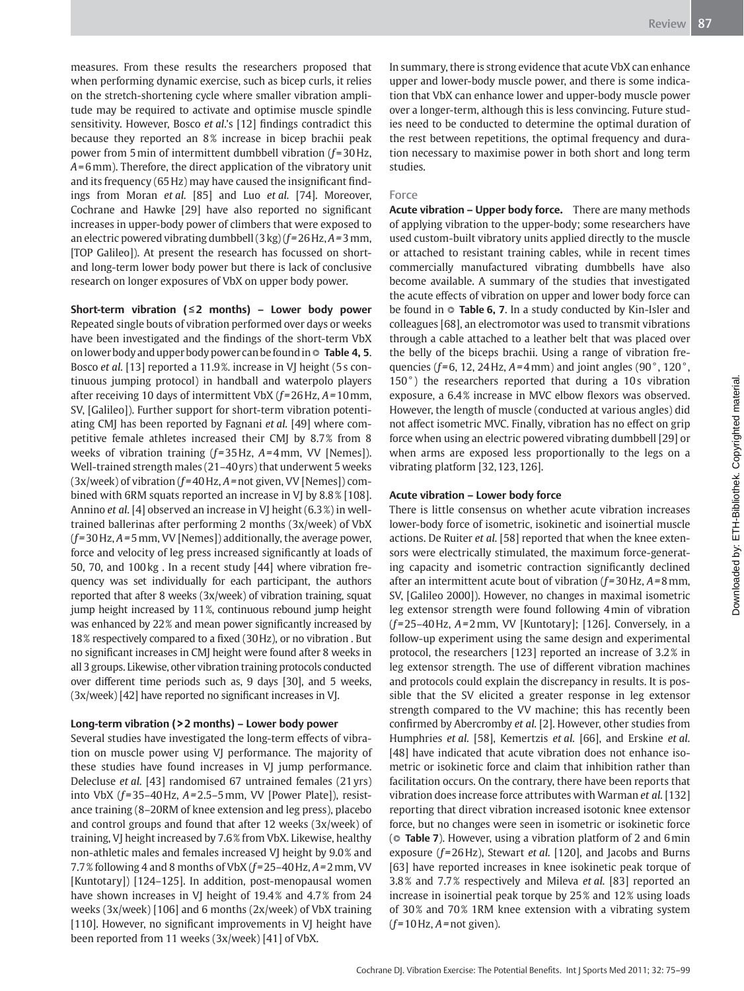measures. From these results the researchers proposed that when performing dynamic exercise, such as bicep curls, it relies on the stretch-shortening cycle where smaller vibration amplitude may be required to activate and optimise muscle spindle sensitivity. However, Bosco et al.'s [12] findings contradict this because they reported an 8% increase in bicep brachii peak power from 5 min of intermittent dumbbell vibration ( $f = 30$  Hz, *A* = 6 mm). Therefore, the direct application of the vibratory unit and its frequency (65 Hz) may have caused the insignificant findings from Moran *et al.* [85] and Luo *et al.* [74]. Moreover, Cochrane and Hawke [29] have also reported no significant increases in upper-body power of climbers that were exposed to an electric powered vibrating dumbbell (3 kg) ( *f =* 26 Hz, *A =* 3 mm, [TOP Galileo]). At present the research has focussed on shortand long-term lower body power but there is lack of conclusive research on longer exposures of VbX on upper body power.

**Short-term vibration ( ≤ 2 months) –Lower body power**  Repeated single bouts of vibration performed over days or weeks have been investigated and the findings of the short-term VbX on lower body and upper body power can be found in  $\circ$  Table 4, 5. Bosco *et al.* [13] reported a 11.9%. increase in VJ height (5 s continuous jumping protocol) in handball and waterpolo players after receiving 10 days of intermittent VbX ( *f =* 26 Hz, *A =* 10 mm, SV, [Galileo]). Further support for short-term vibration potentiating CMJ has been reported by Fagnani *et al.* [49] where competitive female athletes increased their CMJ by 8.7% from 8 weeks of vibration training ( $f = 35$  Hz,  $A = 4$  mm, VV [Nemes]). Well-trained strength males (21-40 yrs) that underwent 5 weeks (3x / week) of vibration ( *f =* 40 Hz, *A =* not given, VV [Nemes]) combined with 6RM squats reported an increase in VJ by 8.8% [108]. Annino *et al.* [4] observed an increase in VJ height (6.3%) in welltrained ballerinas after performing 2 months (3x/week) of VbX ( *f =* 30 Hz, *A =* 5 mm, VV [Nemes]) additionally, the average power, force and velocity of leg press increased significantly at loads of 50, 70, and 100 kg . In a recent study [44] where vibration frequency was set individually for each participant, the authors reported that after 8 weeks (3x/week) of vibration training, squat jump height increased by 11%, continuous rebound jump height was enhanced by 22% and mean power significantly increased by 18% respectively compared to a fixed (30Hz), or no vibration . But no significant increases in CMJ height were found after 8 weeks in all 3 groups. Likewise, other vibration training protocols conducted over different time periods such as, 9 days [30], and 5 weeks,  $(3x$ /week)  $[42]$  have reported no significant increases in VJ.

#### **Long-term vibration ( > 2 months) –Lower body power**

Several studies have investigated the long-term effects of vibration on muscle power using VJ performance. The majority of these studies have found increases in VJ jump performance. Delecluse *et al.* [43] randomised 67 untrained females (21 yrs) into VbX ( $f = 35 - 40$  Hz,  $A = 2.5 - 5$  mm, VV [Power Plate]), resistance training (8 – 20RM of knee extension and leg press), placebo and control groups and found that after 12 weeks (3x/week) of training, VJ height increased by 7.6 % from VbX. Likewise, healthy non-athletic males and females increased VJ height by 9.0 % and 7.7 % following 4 and 8 months of VbX ( *f =* 25 – 40 Hz, *A =* 2 mm, VV [Kuntotary]) [124-125]. In addition, post-menopausal women have shown increases in VJ height of 19.4% and 4.7% from 24 weeks  $(3x$ /week) [106] and 6 months  $(2x$ /week) of VbX training [110]. However, no significant improvements in VJ height have been reported from 11 weeks (3x/week) [41] of VbX.

 In summary, there is strong evidence that acute VbX can enhance upper and lower-body muscle power, and there is some indication that VbX can enhance lower and upper-body muscle power over a longer-term, although this is less convincing. Future studies need to be conducted to determine the optimal duration of the rest between repetitions, the optimal frequency and duration necessary to maximise power in both short and long term studies.

#### Force

**Acute vibration – Upper body force.** There are many methods of applying vibration to the upper-body; some researchers have used custom-built vibratory units applied directly to the muscle or attached to resistant training cables, while in recent times commercially manufactured vibrating dumbbells have also become available. A summary of the studies that investigated the acute effects of vibration on upper and lower body force can be found in  $\circ$  **Table 6, 7**. In a study conducted by Kin-Isler and colleagues [68], an electromotor was used to transmit vibrations through a cable attached to a leather belt that was placed over the belly of the biceps brachii. Using a range of vibration frequencies ( *f =* 6, 12, 24 Hz, *A =* 4 mm) and joint angles (90 ° , 120 ° , 150<sup>°</sup>) the researchers reported that during a 10s vibration exposure, a 6.4% increase in MVC elbow flexors was observed. However, the length of muscle (conducted at various angles) did not affect isometric MVC. Finally, vibration has no effect on grip force when using an electric powered vibrating dumbbell [29] or when arms are exposed less proportionally to the legs on a vibrating platform [32, 123, 126] .

#### **Acute vibration –Lower body force**

 There is little consensus on whether acute vibration increases lower-body force of isometric, isokinetic and isoinertial muscle actions. De Ruiter *et al.* [58] reported that when the knee extensors were electrically stimulated, the maximum force-generating capacity and isometric contraction significantly declined after an intermittent acute bout of vibration ( *f =* 30 Hz, *A =* 8 mm, SV, [Galileo 2000]). However, no changes in maximal isometric leg extensor strength were found following 4 min of vibration ( *f =* 25 – 40 Hz, *A =* 2 mm, VV [Kuntotary]; [126] . Conversely, in a follow-up experiment using the same design and experimental protocol, the researchers [123] reported an increase of 3.2 % in leg extensor strength. The use of different vibration machines and protocols could explain the discrepancy in results. It is possible that the SV elicited a greater response in leg extensor strength compared to the VV machine; this has recently been confirmed by Abercromby et al. [2]. However, other studies from Humphries *et al.* [58], Kemertzis *et al.* [66], and Erskine *et al.* [48] have indicated that acute vibration does not enhance isometric or isokinetic force and claim that inhibition rather than facilitation occurs. On the contrary, there have been reports that vibration does increase force attributes with Warman *et al.* [132] reporting that direct vibration increased isotonic knee extensor force, but no changes were seen in isometric or isokinetic force ( $\circ$  **Table 7**). However, using a vibration platform of 2 and 6 min exposure ( $f = 26$  Hz), Stewart *et al.* [120], and Jacobs and Burns [63] have reported increases in knee isokinetic peak torque of 3.8 % and 7.7 % respectively and Mileva *et al.* [83] reported an increase in isoinertial peak torque by 25% and 12% using loads of 30% and 70% 1RM knee extension with a vibrating system ( *f =* 10 Hz, *A =* not given).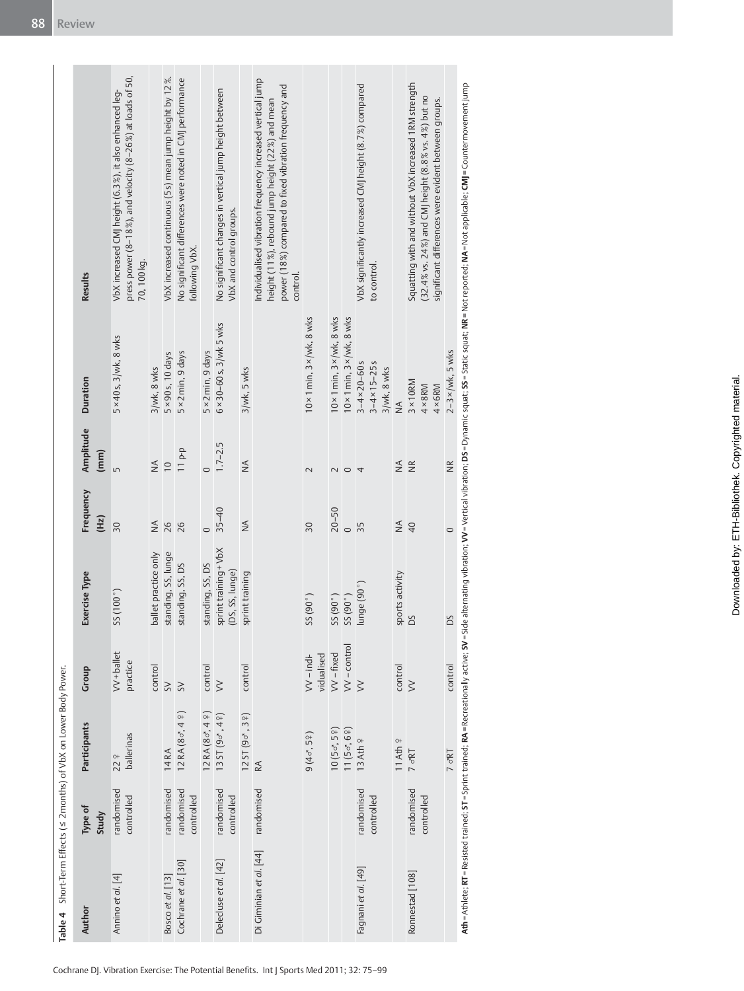| Author                  | Type of                  | Participants                  | Group                      | <b>Exercise Type</b>                     | Frequency     | Amplitude         | Duration                                                          | <b>Results</b>                                                                                                                                                                                                                |
|-------------------------|--------------------------|-------------------------------|----------------------------|------------------------------------------|---------------|-------------------|-------------------------------------------------------------------|-------------------------------------------------------------------------------------------------------------------------------------------------------------------------------------------------------------------------------|
|                         | Study                    |                               |                            |                                          | (Hz)          | (mm)              |                                                                   |                                                                                                                                                                                                                               |
| Annino et al. [4]       | randomised<br>controlled | ballerinas<br>22 <sup>°</sup> | $VV + b$ allet<br>practice | $(100^{\circ})$                          | 30            | LN                | 5 × 40 s, 3/wk, 8 wks                                             | press power (8-18%), and velocity (8-26%) at loads of 50,<br>VbX increased CMJ height (6.3%), it also enhanced leg-<br>70, 100 kg.                                                                                            |
|                         |                          |                               | control                    | ballet practice only                     | $\leq$        | $\leq$            | 3/wk, 8 wks                                                       |                                                                                                                                                                                                                               |
| Bosco et al. [13]       | randomised               | 14 RA                         | $\lesssim$                 | standing, SS, lunge                      | 26            | $\supseteq$       | 5 × 90 s, 10 days                                                 | VbX increased continuous (5s) mean jump height by 12%.                                                                                                                                                                        |
| Cochrane et al. [30]    | randomised<br>controlled | 12RA(80, 42)                  | S <sub>Y</sub>             | standing, SS, DS                         | 26            | $11$ PP           | 5 × 2 min, 9 days                                                 | No significant differences were noted in CMJ performance<br>following VbX                                                                                                                                                     |
|                         |                          | 12RA(80, 42)                  | control                    | standing, SS, DS                         | $\circ$       | $\circ$           | 5 × 2 min, 9 days                                                 |                                                                                                                                                                                                                               |
| Delecluse et al. [42]   | randomised<br>controlled | 13ST(90, 49)                  | $\geq$                     | sprint training + VbX<br>(DS, SS, lunge) | $35 - 40$     | $1.7 - 2.5$       | $6 \times 30 - 60$ s, $3$ /wk 5 wks                               | No significant changes in vertical jump height between<br>VbX and control groups.                                                                                                                                             |
|                         |                          | $12ST(9\sigma, 39)$           | control                    | sprint training                          | $\leq$        | $\frac{1}{2}$     | 3/wk, 5 wks                                                       |                                                                                                                                                                                                                               |
| Di Giminian et al. [44] | randomised               | RA                            |                            |                                          |               |                   |                                                                   | Individualised vibration frequency increased vertical jump<br>power (18%) compared to fixed vibration frequency and<br>height (11%), rebound jump height $(22%)$ and mean<br>control.                                         |
|                         |                          | 9(40, 52)                     | vidualised<br>$VV - indi-$ | $(506)$ SS                               | 30            | $\sim$            | $10 \times 1$ min, $3 \times$ /wk, $8$ wks                        |                                                                                                                                                                                                                               |
|                         |                          | $10(5\sigma, 5\Omega)$        | $VV$ – fixed               | SS (90°)                                 | $20 - 50$     | $\sim$            | $10 \times 1$ min, $3 \times$ /wk, $8$ wks                        |                                                                                                                                                                                                                               |
|                         |                          | 11(50, 69)                    | $VV$ – control             | SS (90°)                                 | $\circ$       | $\circ$           | $10 \times 1$ min, $3 \times$ /wk, $8$ wks                        |                                                                                                                                                                                                                               |
| Fagnani et al. [49]     | randomised<br>controlled | 13 Ath 2                      | $\geq$                     | lunge (90°)                              | 35            | 4                 | $3 - 4 \times 20 - 60s$<br>$3 - 4 \times 15 - 25s$<br>3/wk, 8 wks | VbX significantly increased CMJ height (8.7%) compared<br>to control                                                                                                                                                          |
|                         |                          | $\circ$<br>11 Ath             | control                    | sports activity                          | $\frac{4}{2}$ | $\frac{1}{2}$     | $\leq$                                                            |                                                                                                                                                                                                                               |
| Ronnestad [108]         | randomised<br>controlled | $7$ $\sigma$ RT               | $\geq$                     | ΔS                                       | 40            | ΒŘ                | $3 \times 10$ RM<br>$4 \times 8$ RM<br>$4 \times$ 6RM             | Squatting with and without VbX increased 1RM strength<br>(32.4% vs. 24%) and CMJ height (8.8% vs. 4%) but no<br>significant differences were evident between groups.                                                          |
|                         |                          | $7$ $\sigma$ RT               | control                    | DS                                       | $\circ$       | $\widetilde{\Xi}$ | $2-3 \times$ /wk, 5 wks                                           |                                                                                                                                                                                                                               |
|                         |                          |                               |                            |                                          |               |                   |                                                                   | Ath = Athlete; RT = Resisted trained; ST = Sprint trained; RA = Recreationally active; SV = Side alternating vibration; W= Vertical vibration; DS = Dynamic squat; SS = Static squat; NR = Not reported; NA = Not applicable; |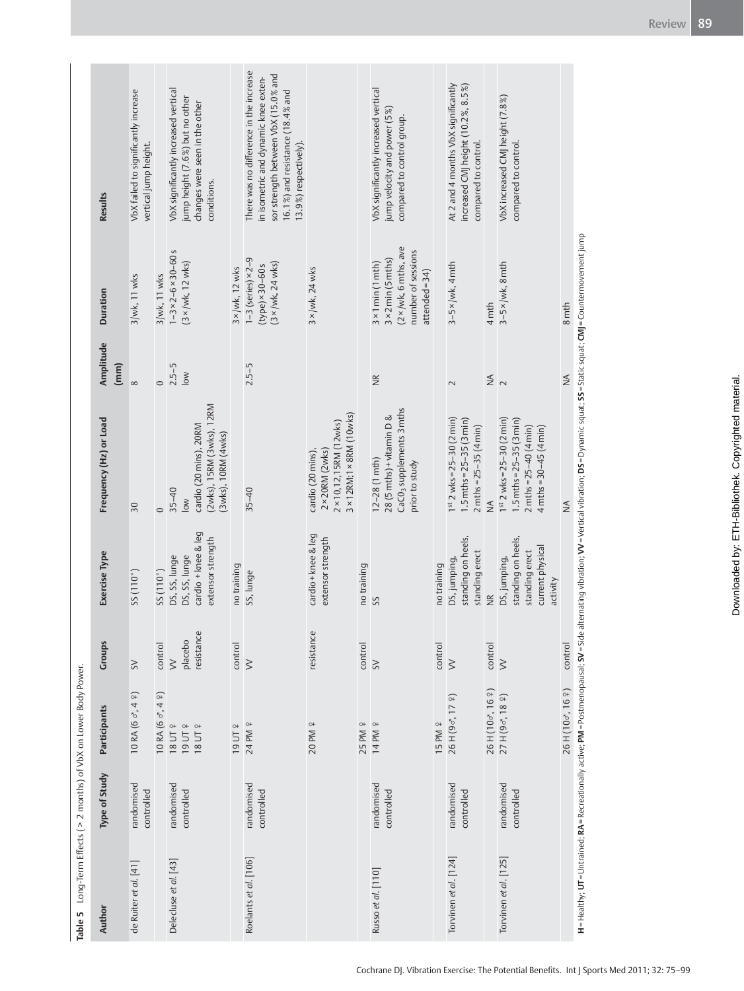|                                                            |                        | VbX failed to significantly increase |                                                | VbX significantly increased vertical<br>jump height (7.6%) but no other<br>changes were seen in the other |                        | There was no difference in the increase<br>sor strength between VbX (15.0% and<br>in isometric and dynamic knee exten-<br>16.1%) and resistance (18.4% and |                                                                                                                                          |             | VbX significantly increased vertical                                                                                     |             | At 2 and 4 months VbX significantly<br>increased CMJ height (10.2 $\%$ , 8.5 $\%$ )            |                  | VbX increased CMJ height (7.8 %)                                                                                                           |                 |
|------------------------------------------------------------|------------------------|--------------------------------------|------------------------------------------------|-----------------------------------------------------------------------------------------------------------|------------------------|------------------------------------------------------------------------------------------------------------------------------------------------------------|------------------------------------------------------------------------------------------------------------------------------------------|-------------|--------------------------------------------------------------------------------------------------------------------------|-------------|------------------------------------------------------------------------------------------------|------------------|--------------------------------------------------------------------------------------------------------------------------------------------|-----------------|
|                                                            | Results                | vertical jump height.                |                                                | conditions.                                                                                               |                        | 13.9%) respectively).                                                                                                                                      |                                                                                                                                          |             | jump velocity and power (5%)<br>compared to control group.                                                               |             | compared to control.                                                                           |                  | compared to control.                                                                                                                       |                 |
|                                                            | Duration               | 3/wk, 11 wks                         | 3/wk, 11 wks                                   | $1 - 3 \times 2 - 6 \times 30 - 60$ s<br>$(3 \times )wk, 12wks)$                                          | $3 \times$ /wk, 12 wks | $1-3$ (series) $\times 2-9$<br>$(3 \times \text{/wk}, 24 \text{wks})$<br>$(type) \times 30 - 60s$                                                          | $3 \times$ /wk, 24 wks                                                                                                                   |             | (2 × /wk, 6 mths, ave<br>number of sessions<br>$3 \times 2$ min (5 mths)<br>$3 \times 1$ min (1 mth)<br>$attended = 34)$ |             | $3-5 \times$ /wk, 4 mth                                                                        | 4 mth            | $3-5 \times$ /wk, 8 mth                                                                                                                    | 8 mth           |
|                                                            | Amplitude<br>(mm)      | $\infty$                             | $\circ$                                        | $2.5 - 5$<br>$\sim$                                                                                       |                        | $2.5 - 5$                                                                                                                                                  |                                                                                                                                          |             | $\frac{R}{2}$                                                                                                            |             | $\sim$                                                                                         | $\lessgtr$       | $\sim$                                                                                                                                     | $\lessgtr$      |
|                                                            | Frequency (Hz) or Load | 30                                   | $\circ$                                        | (2wks), 15RM (3wks), 12RM<br>cardio (20 mins), 20RM<br>(3wks), 10RM (4wks)<br>$35 - 40$<br>$\geq$         |                        | $35 - 40$                                                                                                                                                  | $3 \times 12$ RM; $1 \times 8$ RM ( $10$ wks)<br>$2 \times 10, 12, 15$ RM $(12$ wks)<br>$2 \times 20$ RM ( $2$ wks)<br>cardio (20 mins), |             | CaCO <sub>3</sub> supplements 3 mths<br>28 (5 mths) + vitamin D &<br>$12 - 28$ (1 mth)<br>prior to study                 |             | $1^{st}$ 2 wks = 25-30 (2 min)<br>$1.5$ mths = $25-35$ (3 min)<br>$2$ mths = $25 - 35$ (4 min) | $\leq$           | $1^{st}$ 2 wks = 25-30 (2 min)<br>$1.5$ mths = $25-35$ (3 min)<br>$2$ mths = $25-40$ (4 min)<br>$4 \text{ mths} = 30 - 45 (4 \text{ min})$ | $\lessgtr$      |
|                                                            | <b>Exercise Type</b>   | SS(110°)                             | (5110°)                                        | cardio + knee & leg<br>extensor strength<br>DS, SS, lunge<br>DS, SS, lunge                                | no training            | SS, lunge                                                                                                                                                  | cardio + knee & leg<br>extensor strength                                                                                                 | no training | SS                                                                                                                       | no training | standing on heels,<br>standing erect<br>DS, jumping,                                           | $\frac{R}{R}$    | standing on heels,<br>current physical<br>standing erect<br>DS, jumping,<br>activity                                                       |                 |
|                                                            | Groups                 | $\gtrsim$                            | control                                        | resistance<br>placebo<br>$\geq$                                                                           | control                | $\geq$                                                                                                                                                     | resistance                                                                                                                               | control     | $\aleph$                                                                                                                 | control     | $\geq$                                                                                         | control          | $\geq$                                                                                                                                     | control         |
| Long-Term Effects (> 2 months) of VbX on Lower Body Power. | Participants           | $\widehat{\Theta}$<br>10 RA (6 o', 4 | $10RA(6 \text{ } \sigma, 4 \text{ } \epsilon)$ | 18 UT <sub>2</sub><br>18 UT <sub>2</sub><br>19 UT <sub>2</sub>                                            | 19 UT 2                | 24 PM 2                                                                                                                                                    | 20 PM 2                                                                                                                                  | 25 PM 2     | 14 PM <sub>2</sub>                                                                                                       | 15 PM 2     | 26 H (9o', 17 º)                                                                               | 26 H (10o, 16 º) | 27 H (9o', 18 º)                                                                                                                           | 26H (10%, 16 º) |
|                                                            | Type of Study          | randomised<br>controlled             |                                                | randomised<br>controlled                                                                                  |                        | randomised<br>controlled                                                                                                                                   |                                                                                                                                          |             | randomised<br>controlled                                                                                                 |             | randomised<br>controlled                                                                       |                  | randomised<br>controlled                                                                                                                   |                 |
| Table 5                                                    | Author                 | de Ruiter et al. [41]                |                                                | Delecluse et al. [43]                                                                                     |                        | Roelants et al. [106]                                                                                                                                      |                                                                                                                                          |             | Russo et al. [110]                                                                                                       |             | Torvinen et al. [124]                                                                          |                  | Torvinen et al. [125]                                                                                                                      |                 |

Downloaded by: ETH-Bibliothek. Copyrighted material. Downloaded by: ETH-Bibliothek. Copyrighted material.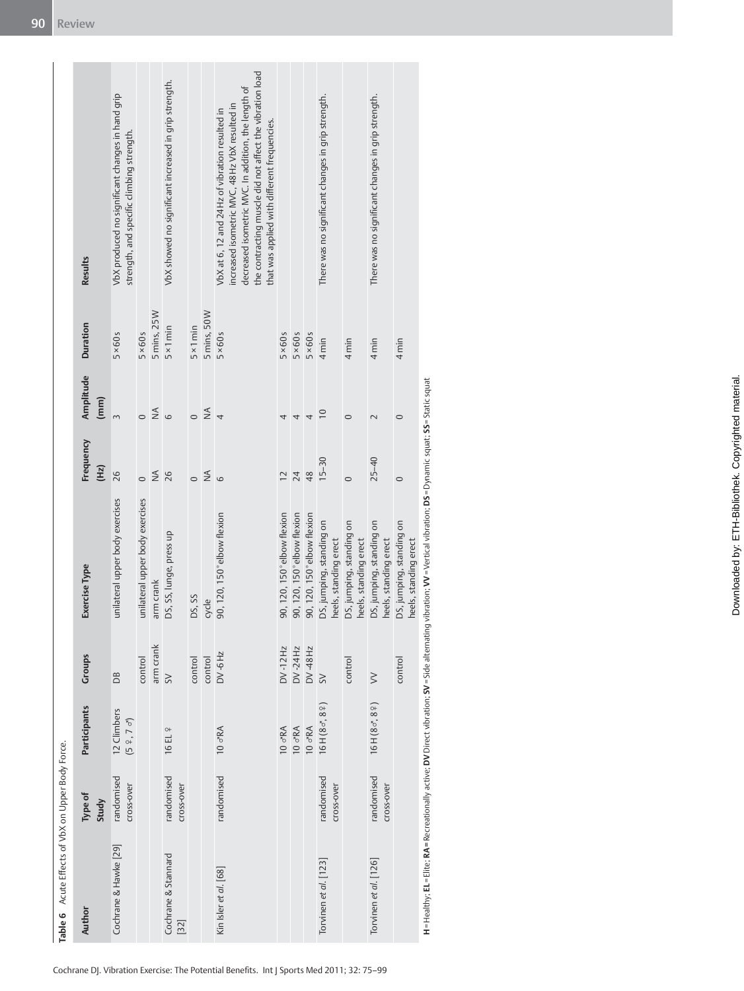|                                                   | <b>Results</b>    | VbX produced no significant changes in hand grip<br>strength, and specific climbing strength. |                                 | 5 mins, 25 W  | VbX showed no significant increased in grip strength. |                  | 5 mins, 50 W            | the contracting muscle did not affect the vibration load<br>decreased isometric MVC. In addition, the length of<br>increased isometric MVC, 48 Hz VbX resulted in<br>VbX at 6, 12 and 24 Hz of vibration resulted in<br>that was applied with different frequencies. |                             |                             |                             | There was no significant changes in grip strength. |                                                   | There was no significant changes in grip strength. |                                                                                                                                                                                                            |
|---------------------------------------------------|-------------------|-----------------------------------------------------------------------------------------------|---------------------------------|---------------|-------------------------------------------------------|------------------|-------------------------|----------------------------------------------------------------------------------------------------------------------------------------------------------------------------------------------------------------------------------------------------------------------|-----------------------------|-----------------------------|-----------------------------|----------------------------------------------------|---------------------------------------------------|----------------------------------------------------|------------------------------------------------------------------------------------------------------------------------------------------------------------------------------------------------------------|
|                                                   | Duration          | $5 \times 60s$                                                                                | $5 \times 60$ s                 |               | $5 \times 1$ min                                      | $5 \times 1$ min |                         | $5 \times 60s$                                                                                                                                                                                                                                                       | $5 \times 60$ s             | $5 \times 60$ s             | $5 \times 60$ s             | 4 min                                              | 4 min                                             | 4 min                                              | 4 min                                                                                                                                                                                                      |
|                                                   | Amplitude<br>(mm) | $\sim$                                                                                        | $\circ$                         | $\lessgtr$    | $\circ$                                               | $\circ$          | $\frac{1}{2}$           | $\overline{4}$                                                                                                                                                                                                                                                       | 4                           | 4                           | 4                           | $\supseteq$                                        | $\circ$                                           | $\sim$                                             | $\circ$                                                                                                                                                                                                    |
|                                                   | Frequency<br>(Hz) | 26                                                                                            | $\circ$                         | $\frac{1}{2}$ | 26                                                    | $\circ$          | $\stackrel{\leq}{\geq}$ | $\circ$                                                                                                                                                                                                                                                              | $\overline{12}$             | 24                          | 48                          | $15 - 30$                                          | $\circ$                                           | $25 - 40$                                          | $\circ$                                                                                                                                                                                                    |
|                                                   | Exercise Type     | unilateral upper body exercises                                                               | unilateral upper body exercises | arm crank     | DS, SS, lunge, press up                               | DS, SS           | cycle                   | 90, 120, 150° elbow flexion                                                                                                                                                                                                                                          | 90, 120, 150° elbow flexion | 90, 120, 150° elbow flexion | 90, 120, 150° elbow flexion | DS, jumping, standing on<br>heels, standing erect  | DS, jumping, standing on<br>heels, standing erect | DS, jumping, standing on<br>heels, standing erect  | $H = H$ and $R = R$ areastionally active. DV Direct vibration: $CV = S$ dealternation when $V$ a Vertical vibration: $DS = D_{max}$ scale scale count<br>DS, jumping, standing on<br>heels, standing erect |
|                                                   | Groups            | BQ                                                                                            | control                         | arm crank     | 5V                                                    | control          | control                 | DV-6Hz                                                                                                                                                                                                                                                               | DV-12Hz                     | DV-24Hz                     | DV-48 Hz                    | 5V                                                 | control                                           | $\geq$                                             | control                                                                                                                                                                                                    |
|                                                   | Participants      | 12 Climbers<br>(5 9, 7 0)                                                                     |                                 |               | 16 EL <sub>2</sub>                                    |                  |                         | $10 \sigma$ <sub>RA</sub>                                                                                                                                                                                                                                            | $10 \sigma RA$              | $10 \sigma RA$              | $10 \sigma RA$              | 16H (8 o <sup>2</sup> , 8 <sup>2</sup> )           |                                                   | 16H (8%, 8 <sup>2</sup> )                          |                                                                                                                                                                                                            |
|                                                   | Type of<br>Study  | randomised<br>cross-over                                                                      |                                 |               | randomised<br>cross-over                              |                  |                         | randomised                                                                                                                                                                                                                                                           |                             |                             |                             | randomised<br>cross-over                           |                                                   | randomised<br>cross-over                           |                                                                                                                                                                                                            |
| Table 6 Acute Effects of VbX on Upper Body Force. | Author            | Cochrane & Hawke [29]                                                                         |                                 |               | Cochrane & Stannard<br>$[32]$                         |                  |                         | Kin Isler et al. [68]                                                                                                                                                                                                                                                |                             |                             |                             | Torvinen et al. [123]                              |                                                   | Torvinen et al. [126]                              |                                                                                                                                                                                                            |

H=Healthy; EL=Elite; RA=Recreationally active; DV Direct vibration; SV=Side alternating vibration; W=Vertical vibration; DS=Dynamic squat; SS=Static squat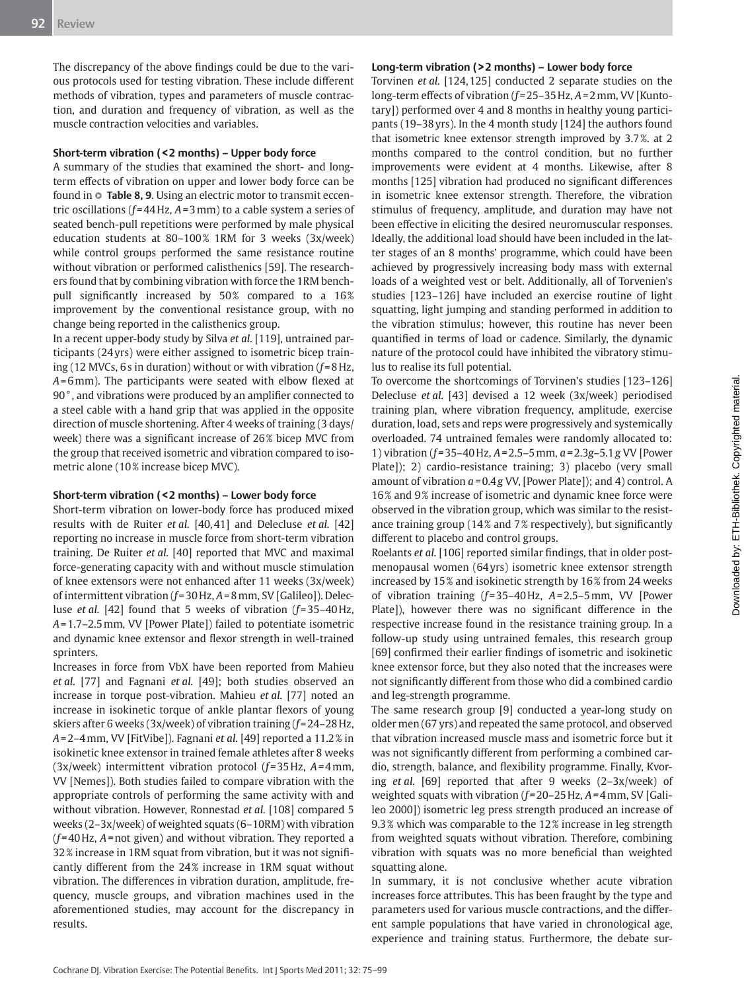The discrepancy of the above findings could be due to the various protocols used for testing vibration. These include different methods of vibration, types and parameters of muscle contraction, and duration and frequency of vibration, as well as the muscle contraction velocities and variables.

#### Short-term vibration (<2 months) - Upper body force

 A summary of the studies that examined the short- and longterm effects of vibration on upper and lower body force can be found in  $\circ$  **Table 8, 9**. Using an electric motor to transmit eccentric oscillations ( *f =* 44 Hz, *A =* 3 mm) to a cable system a series of seated bench-pull repetitions were performed by male physical education students at 80-100% 1RM for 3 weeks (3x/week) while control groups performed the same resistance routine without vibration or performed calisthenics [59]. The researchers found that by combining vibration with force the 1RM benchpull significantly increased by 50% compared to a 16% improvement by the conventional resistance group, with no change being reported in the calisthenics group.

In a recent upper-body study by Silva et al. [119], untrained participants (24 yrs) were either assigned to isometric bicep training (12 MVCs, 6s in duration) without or with vibration ( $f = 8$  Hz, *A*=6mm). The participants were seated with elbow flexed at 90<sup>°</sup>, and vibrations were produced by an amplifier connected to a steel cable with a hand grip that was applied in the opposite direction of muscle shortening. After 4 weeks of training (3 days/ week) there was a significant increase of 26% bicep MVC from the group that received isometric and vibration compared to isometric alone (10 % increase bicep MVC).

#### **Short-term vibration ( < 2 months) –Lower body force**

 Short-term vibration on lower-body force has produced mixed results with de Ruiter *et al.* [40, 41] and Delecluse *et al.* [42] reporting no increase in muscle force from short-term vibration training. De Ruiter *et al.* [40] reported that MVC and maximal force-generating capacity with and without muscle stimulation of knee extensors were not enhanced after 11 weeks (3x/week) of intermittent vibration ( $f = 30$  Hz,  $A = 8$  mm, SV [Galileo]). Delecluse *et al.* [42] found that 5 weeks of vibration ( $f=35-40$  Hz, *A* = 1.7 – 2.5 mm, VV [Power Plate]) failed to potentiate isometric and dynamic knee extensor and flexor strength in well-trained sprinters.

 Increases in force from VbX have been reported from Mahieu *et al.* [77] and Fagnani *et al.* [49]; both studies observed an increase in torque post-vibration. Mahieu *et al.* [77] noted an increase in isokinetic torque of ankle plantar flexors of young skiers after 6 weeks (3x/week) of vibration training ( $f$ =24-28 Hz, *A* = 2 – 4 mm, VV [FitVibe]). Fagnani *et al.* [49] reported a 11.2 % in isokinetic knee extensor in trained female athletes after 8 weeks (3x/week) intermittent vibration protocol ( $f = 35$  Hz,  $A = 4$  mm, VV [Nemes]). Both studies failed to compare vibration with the appropriate controls of performing the same activity with and without vibration. However, Ronnestad *et al.* [108] compared 5 weeks  $(2-3x$ /week) of weighted squats  $(6-10RM)$  with vibration ( *f =* 40 Hz, *A =* not given) and without vibration. They reported a 32% increase in 1RM squat from vibration, but it was not significantly different from the 24% increase in 1RM squat without vibration. The differences in vibration duration, amplitude, frequency, muscle groups, and vibration machines used in the aforementioned studies, may account for the discrepancy in results.

#### **Long-term vibration ( > 2 months) –Lower body force**

 Torvinen *et al.* [124, 125] conducted 2 separate studies on the long-term effects of vibration ( $f = 25 - 35$  Hz,  $A = 2$  mm, VV [Kuntotary]) performed over 4 and 8 months in healthy young participants (19-38 yrs). In the 4 month study [124] the authors found that isometric knee extensor strength improved by 3.7%, at 2 months compared to the control condition, but no further improvements were evident at 4 months. Likewise, after 8 months [125] vibration had produced no significant differences in isometric knee extensor strength. Therefore, the vibration stimulus of frequency, amplitude, and duration may have not been effective in eliciting the desired neuromuscular responses. Ideally, the additional load should have been included in the latter stages of an 8 months' programme, which could have been achieved by progressively increasing body mass with external loads of a weighted vest or belt. Additionally, all of Torvenien's studies [123-126] have included an exercise routine of light squatting, light jumping and standing performed in addition to the vibration stimulus; however, this routine has never been quantified in terms of load or cadence. Similarly, the dynamic nature of the protocol could have inhibited the vibratory stimulus to realise its full potential.

To overcome the shortcomings of Torvinen's studies [123-126] Delecluse *et al.* [43] devised a 12 week (3x/week) periodised training plan, where vibration frequency, amplitude, exercise duration, load, sets and reps were progressively and systemically overloaded. 74 untrained females were randomly allocated to: 1) vibration ( *f =* 35 – 40 Hz, *A =* 2.5 – 5 mm, *a =* 2.3 *g –* 5.1 *g* VV [Power Plate]); 2) cardio-resistance training; 3) placebo (very small amount of vibration *a =* 0.4 *g* VV, [Power Plate]); and 4) control. A 16% and 9% increase of isometric and dynamic knee force were observed in the vibration group, which was similar to the resistance training group (14% and  $7%$  respectively), but significantly different to placebo and control groups.

Roelants et al. [106] reported similar findings, that in older postmenopausal women (64 yrs) isometric knee extensor strength increased by 15 % and isokinetic strength by 16 % from 24 weeks of vibration training ( *f =* 35 – 40 Hz, *A =* 2.5 – 5 mm, VV [Power Plate]), however there was no significant difference in the respective increase found in the resistance training group. In a follow-up study using untrained females, this research group [69] confirmed their earlier findings of isometric and isokinetic knee extensor force, but they also noted that the increases were not significantly different from those who did a combined cardio and leg-strength programme.

 The same research group [9] conducted a year-long study on older men (67 yrs) and repeated the same protocol, and observed that vibration increased muscle mass and isometric force but it was not significantly different from performing a combined cardio, strength, balance, and flexibility programme. Finally, Kvoring et al. [69] reported that after 9 weeks (2-3x/week) of weighted squats with vibration ( $f = 20 - 25$  Hz,  $A = 4$  mm, SV [Galileo 2000]) isometric leg press strength produced an increase of 9.3 % which was comparable to the 12 % increase in leg strength from weighted squats without vibration. Therefore, combining vibration with squats was no more beneficial than weighted squatting alone.

 In summary, it is not conclusive whether acute vibration increases force attributes. This has been fraught by the type and parameters used for various muscle contractions, and the different sample populations that have varied in chronological age, experience and training status. Furthermore, the debate sur-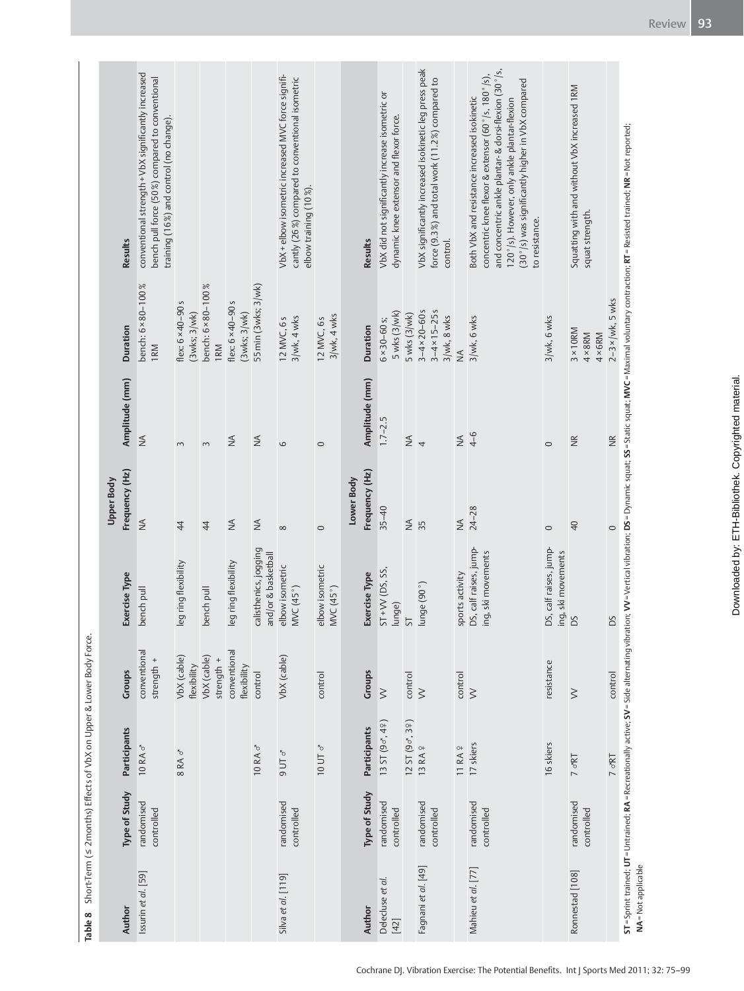| Table 8                    |                          | Short-Term (s 2months) Effects of VbX on Upper & Lower Body Force. |                             |                                                                 |                   |                   |                                                                |                                                                                                                                                                                                                                                                                   |
|----------------------------|--------------------------|--------------------------------------------------------------------|-----------------------------|-----------------------------------------------------------------|-------------------|-------------------|----------------------------------------------------------------|-----------------------------------------------------------------------------------------------------------------------------------------------------------------------------------------------------------------------------------------------------------------------------------|
|                            |                          |                                                                    |                             |                                                                 | <b>Upper Body</b> |                   |                                                                |                                                                                                                                                                                                                                                                                   |
| Author                     | Type of Study            | Participants                                                       | Groups                      | <b>Exercise Type</b>                                            | Frequency (Hz)    | Amplitude (mm)    | Duration                                                       | Results                                                                                                                                                                                                                                                                           |
| Issurin et al. [59]        | randomised<br>controlled | 10 RA or                                                           | conventional<br>strength +  | bench pull                                                      | $\lessgtr$        | $\lessgtr$        | bench: 6 × 80-100%<br><b>IRM</b>                               | conventional strength + VbX significantly increased<br>bench pull force (50%) compared to conventional<br>training (16%) and control (no change).                                                                                                                                 |
|                            |                          | 8 RA o'                                                            | VbX (cable)<br>flexibility  | leg ring flexibility                                            | $\overline{4}$    | $\sim$            | flex: 6×40-90 s<br>(3wks; 3/wk)                                |                                                                                                                                                                                                                                                                                   |
|                            |                          |                                                                    | VbX (cable)<br>strength +   | bench pull                                                      | $\overline{4}$    | $\sim$            | bench: 6 × 80-100%<br><b>IRM</b>                               |                                                                                                                                                                                                                                                                                   |
|                            |                          |                                                                    | conventional<br>flexibility | leg ring flexibility                                            | $\lessgtr$        | $\leq$            | flex: 6×40-90 s<br>(3wks; 3/wk)                                |                                                                                                                                                                                                                                                                                   |
|                            |                          | 10 RA o'                                                           | control                     | calisthenics, jogging<br>and/or & basketball                    | $\lessgtr$        | $\lessgtr$        | 55 min $(3wks; 3/wk)$                                          |                                                                                                                                                                                                                                                                                   |
| Silva et al. [119]         | randomised<br>controlled | $9$ UT $\sigma$                                                    | VbX (cable)                 | elbow isometric<br>MVC (45°)                                    | $\infty$          | $\circ$           | 3/wk, 4 wks<br>12 MVC, 6s                                      | VbX + elbow isometric increased MVC force signifi-<br>cantly (26%) compared to conventional isometric<br>elbow training (10%).                                                                                                                                                    |
|                            |                          | $10$ UT $\sigma$                                                   | control                     | elbow isometric<br>MVC (45°)                                    | $\circ$           | $\circ$           | 3/wk, 4 wks<br>12 MVC, 6 s                                     |                                                                                                                                                                                                                                                                                   |
|                            |                          |                                                                    |                             |                                                                 | Lower Body        |                   |                                                                |                                                                                                                                                                                                                                                                                   |
| Author                     | Type of Study            | Participants                                                       | Groups                      | <b>Exercise Type</b>                                            | Frequency (Hz)    | Amplitude (mm)    | Duration                                                       | <b>Results</b>                                                                                                                                                                                                                                                                    |
| Delecluse et al.<br>$[42]$ | randomised<br>controlled | 13 ST (9%, 4º)                                                     | $\geq$                      | $ST+VV$ (DS, SS,<br>lunge)                                      | $35 - 40$         | $1.7 - 2.5$       | $5$ wks $(3/wk)$<br>$6 \times 30 - 60$ s;                      | VbX did not significantly increase isometric or<br>dynamic knee extensor and flexor force.                                                                                                                                                                                        |
|                            |                          | 12 ST (9%, 3%)                                                     | control                     | 5                                                               | $\leq$            | $\leq$            | $5$ wks $(3/wk)$                                               |                                                                                                                                                                                                                                                                                   |
| Fagnani et al. [49]        | randomised<br>controlled | 13 RA <del>2</del>                                                 | $\geq$                      | lunge (90°)                                                     | 35                | $\overline{4}$    | $3 - 4 \times 20 - 60$ s<br>$3-4 \times 15-25s$<br>3/wk, 8 wks | VbX significantly increased isokinetic leg press peak<br>force (9.3%) and total work (11.2%) compared to<br>control.                                                                                                                                                              |
|                            |                          | 11 RA 2                                                            | control                     |                                                                 | $\leq$            | $\leq$            | $\leq$                                                         |                                                                                                                                                                                                                                                                                   |
| Mahieu et al. [77]         | randomised<br>controlled | 17 skiers                                                          | $\geq$                      | sports activity<br>DS, calf raises, jump-<br>ing, ski movements | $24 - 28$         | $4 - 6$           | 3/wk, 6 wks                                                    | and concentric ankle plantar- & dorsi-flexion (30°/s,<br>concentric knee flexor & extensor (60°/s, 180°/s),<br>(30°/s) was significantly higher in VbX compared<br>Both VbX and resistance increased isokinetic<br>120°/s). However, only ankle plantar-flexion<br>to resistance. |
|                            |                          | 16 skiers                                                          | resistance                  | DS, calf raises, jump-<br>ing, ski movements                    | $\circ$           | $\circ$           | 3/wk, 6 wks                                                    |                                                                                                                                                                                                                                                                                   |
| Ronnestad [108]            | randomised<br>controlled | $7 \sigma RT$                                                      | $\gtrsim$                   | DS                                                              | $\overline{40}$   | $\widetilde{\Xi}$ | $3 \times 10$ RM<br>$4 \times 8$ RM<br>$4 \times 6$ RM         | Squatting with and without VbX increased 1RM<br>squat strength.                                                                                                                                                                                                                   |
|                            |                          | $7 \sigma RT$                                                      | control                     | DS                                                              | $\circ$           | $\widetilde{\Xi}$ | $2-3 \times$ /wk, 5 wks                                        |                                                                                                                                                                                                                                                                                   |
| <b>NA</b> = Not applicable |                          |                                                                    |                             |                                                                 |                   |                   |                                                                | ST=Sprint trained; UT=Untrained; RA=Recreationally active; SV=Side alternating vibration; WV=Vertical vibration; DS=Dynamic squat; SS=Static squat; MWC=Maximal voluntary contraction; RT=Resisted trained; NR=Not reported;                                                      |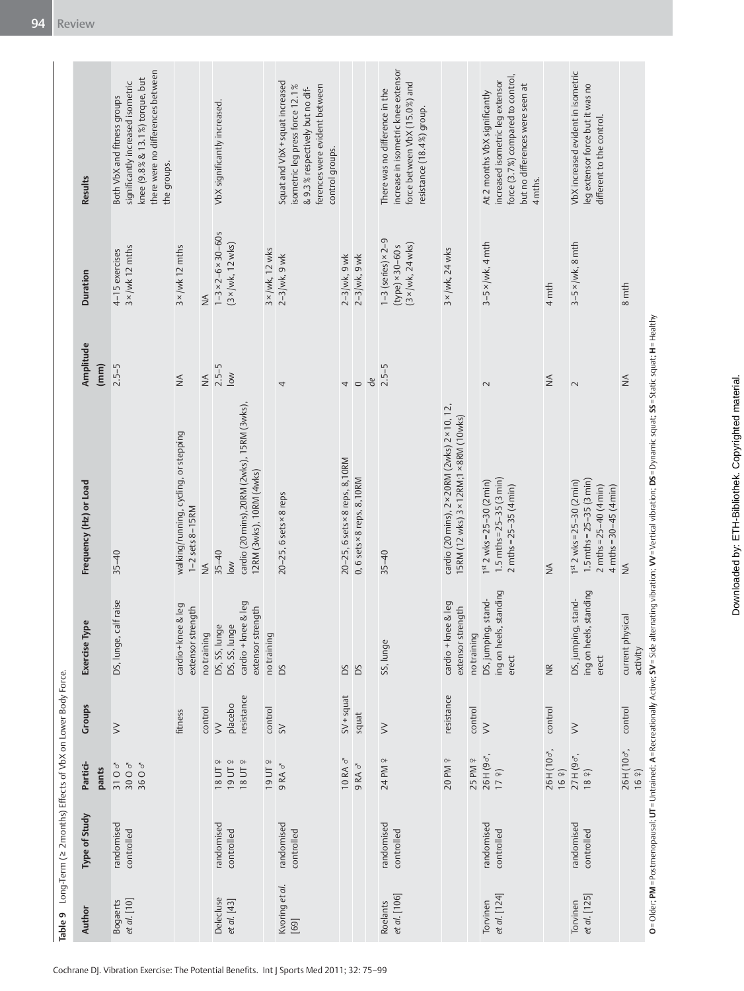| resistance<br>placebo<br>Groups<br>control<br>control<br>fitness<br>$\geq$<br>$\aleph$<br>$\geq$<br>$\circ\hbox{+}$<br>$\circ$<br>19 UT <sub>2</sub><br>$\circ$<br>Partici-<br>9RA <sub>o</sub><br>3100<br>36 O o*<br>$300o$<br>$19$ UT $\approx$<br>18 UT<br>18 UT<br>pants<br>Type of Study<br>randomised<br>randomised<br>randomised<br>controlled<br>controlled<br>controlled<br>Kvoring et al.<br>Delecluse<br>et al. [10]<br>et al. [43]<br><b>Bogaerts</b><br>Author<br>[69] | Exercise Type<br>DS, lunge, calf                                           | Frequency (Hz) or Load                                                                                                       | Amplitude           | Duration                                                                                          | Results                                                                                                                                                   |
|-------------------------------------------------------------------------------------------------------------------------------------------------------------------------------------------------------------------------------------------------------------------------------------------------------------------------------------------------------------------------------------------------------------------------------------------------------------------------------------|----------------------------------------------------------------------------|------------------------------------------------------------------------------------------------------------------------------|---------------------|---------------------------------------------------------------------------------------------------|-----------------------------------------------------------------------------------------------------------------------------------------------------------|
|                                                                                                                                                                                                                                                                                                                                                                                                                                                                                     |                                                                            |                                                                                                                              | (mm)                |                                                                                                   |                                                                                                                                                           |
|                                                                                                                                                                                                                                                                                                                                                                                                                                                                                     | raise                                                                      | $35 - 40$                                                                                                                    | $2.5 - 5$           | $3 \times$ /wk 12 mths<br>4-15 exercises                                                          | there were no differences between<br>knee (9.8% & 13.1%) torque, but<br>significantly increased isometric<br>Both VbX and fitness groups<br>the groups.   |
|                                                                                                                                                                                                                                                                                                                                                                                                                                                                                     | cardio + knee & leg<br>extensor strength                                   | walking/running, cycling, or stepping<br>$1-2$ sets $8-15$ RM                                                                | $\lessgtr$          | $3 \times$ /wk 12 mths                                                                            |                                                                                                                                                           |
|                                                                                                                                                                                                                                                                                                                                                                                                                                                                                     | no training                                                                | $\leq$                                                                                                                       | $\leq$              | ≸                                                                                                 |                                                                                                                                                           |
|                                                                                                                                                                                                                                                                                                                                                                                                                                                                                     | cardio + knee & leg<br>extensor strength<br>DS, SS, lunge<br>DS, SS, lunge | cardio (20 mins),20RM (2wks), 15RM (3wks),<br>12RM (3wks), 10RM (4wks)<br>$35 - 40$<br>$\geq$                                | $2.5 - 5$<br>$\sim$ | $1 - 3 \times 2 - 6 \times 30 - 60$ s<br>$(3 \times )wk, 12wks)$                                  | VbX significantly increased.                                                                                                                              |
|                                                                                                                                                                                                                                                                                                                                                                                                                                                                                     | no training                                                                |                                                                                                                              |                     | $3 \times$ /wk, 12 wks                                                                            |                                                                                                                                                           |
|                                                                                                                                                                                                                                                                                                                                                                                                                                                                                     | DS                                                                         | $20-25$ , 6 sets $\times$ 8 reps                                                                                             | 4                   | $2 - 3$ /wk, 9 wk                                                                                 | Squat and VbX + squat increased<br>ferences were evident between<br>isometric leg press force 12.1%<br>& 9.3% respectively but no dif-<br>control groups. |
| $SV +$ squat<br>10 RA o'                                                                                                                                                                                                                                                                                                                                                                                                                                                            | DS                                                                         | 20-25, 6 sets × 8 reps, 8, 10RM                                                                                              | 4                   | $2-3$ /wk, $9$ wk                                                                                 |                                                                                                                                                           |
| squat<br>9RA <sub>o</sub>                                                                                                                                                                                                                                                                                                                                                                                                                                                           | DS                                                                         | 0, 6 sets × 8 reps, 8, 10RM                                                                                                  | $\circ$             | $2-3$ /wk, $9$ wk                                                                                 |                                                                                                                                                           |
|                                                                                                                                                                                                                                                                                                                                                                                                                                                                                     |                                                                            |                                                                                                                              | de                  |                                                                                                   |                                                                                                                                                           |
| $\geq$<br>24 PM 2<br>randomised<br>controlled<br>et al. [106]<br>Roelants                                                                                                                                                                                                                                                                                                                                                                                                           | SS, lunge                                                                  | $35 - 40$                                                                                                                    | $2.5 - 5$           | $1-3$ (series) $\times 2-9$<br>$(3 \times \text{/wk}, 24 \text{wks})$<br>$(type) \times 30 - 60s$ | increase in isometric knee extensor<br>force between VbX (15.0%) and<br>There was no difference in the<br>resistance (18.4%) group.                       |
| resistance<br>20 PM 2                                                                                                                                                                                                                                                                                                                                                                                                                                                               | cardio + knee & leg<br>extensor strength                                   | cardio (20 mins), 2 × 20RM (2wks) 2 × 10, 12,<br>15RM (12 wks) $3 \times 12$ RM;1 $\times$ 8RM (10 wks)                      |                     | $3 \times$ /wk, 24 wks                                                                            |                                                                                                                                                           |
| control<br>25 PM 2                                                                                                                                                                                                                                                                                                                                                                                                                                                                  | no training                                                                |                                                                                                                              |                     |                                                                                                   |                                                                                                                                                           |
| $\geq$<br>26H (9o*,<br>172)<br>randomised<br>controlled<br>et al. [124]<br>Torvinen                                                                                                                                                                                                                                                                                                                                                                                                 | ing on heels, standing<br>DS, jumping, stand-<br>erect                     | 1.5 mths = $25-35$ (3 min)<br>$1^{st}$ 2 wks = 25-30 (2 min)<br>$2$ mths = $25 - 35$ (4 min)                                 | $\sim$              | $3-5 \times$ /wk, 4 mth                                                                           | force (3.7%) compared to control,<br>increased isometric leg extensor<br>but no differences were seen at<br>At 2 months VbX significantly<br>4 mths.      |
| control<br>26H (10%,<br>169                                                                                                                                                                                                                                                                                                                                                                                                                                                         | $\widetilde{\Xi}$                                                          | $\lessgtr$                                                                                                                   | $\lessgtr$          | 4 mth                                                                                             |                                                                                                                                                           |
| $\geq$<br>27H (9o',<br>189<br>randomised<br>controlled<br>et al. [125]<br>Torvinen                                                                                                                                                                                                                                                                                                                                                                                                  | ing on heels, standing<br>DS, jumping, stand-<br>erect                     | $1.5$ mths = $25 - 35$ (3 min)<br>$1^{st}$ 2 wks = 25-30 (2 min)<br>$2$ mths = $25-40$ (4 min)<br>4 mths = $30 - 45$ (4 min) | $\sim$              | $3-5 \times$ /wk, 8 mth                                                                           | VbX increased evident in isometric<br>leg extensor force but it was no<br>different to the control.                                                       |
| <b>O</b> = Older; PM = Postmenopausal; <b>UT</b> = Untrained; A = Recreationally Active; SV = Side alternating vibration; <b>VV</b> = Vertical vibration; <b>DS</b> = Dynamic squat; SS = Static squat; H = Healthy<br>control<br>26H (10%,<br>169                                                                                                                                                                                                                                  | current physical<br>activity                                               | $\leq$                                                                                                                       | $\lessgtr$          | 8 mth                                                                                             |                                                                                                                                                           |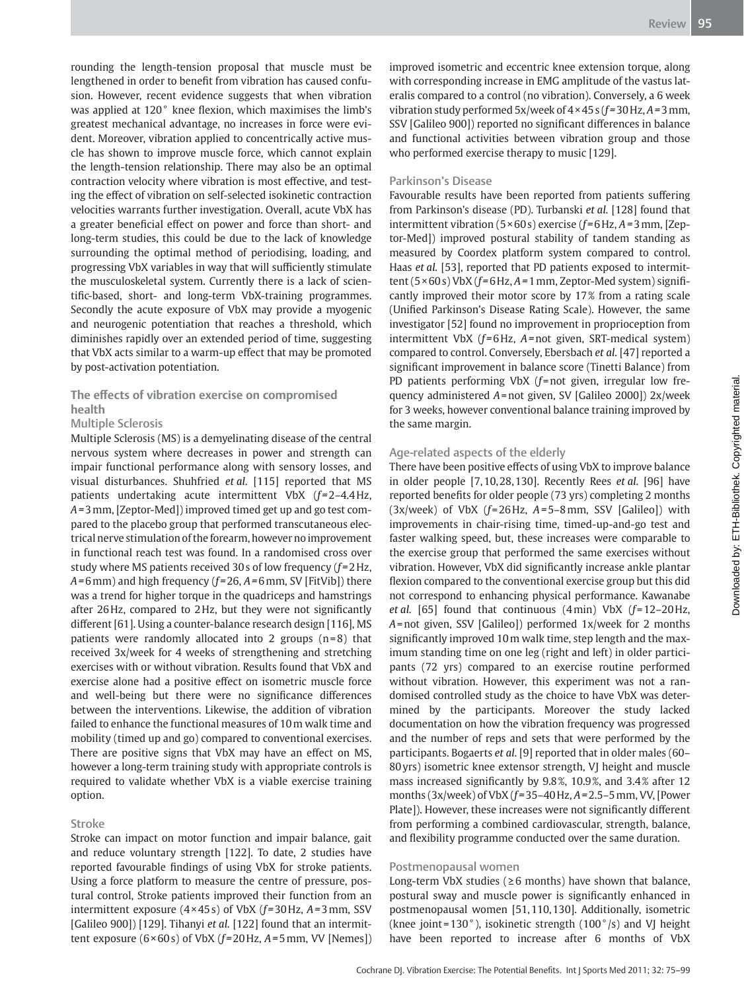rounding the length-tension proposal that muscle must be lengthened in order to benefit from vibration has caused confusion. However, recent evidence suggests that when vibration was applied at 120° knee flexion, which maximises the limb's greatest mechanical advantage, no increases in force were evident. Moreover, vibration applied to concentrically active muscle has shown to improve muscle force, which cannot explain the length-tension relationship. There may also be an optimal contraction velocity where vibration is most effective, and testing the effect of vibration on self-selected isokinetic contraction velocities warrants further investigation. Overall, acute VbX has a greater beneficial effect on power and force than short- and long-term studies, this could be due to the lack of knowledge surrounding the optimal method of periodising, loading, and progressing VbX variables in way that will sufficiently stimulate the musculoskeletal system. Currently there is a lack of scientific-based, short- and long-term VbX-training programmes. Secondly the acute exposure of VbX may provide a myogenic and neurogenic potentiation that reaches a threshold, which diminishes rapidly over an extended period of time, suggesting that VbX acts similar to a warm-up effect that may be promoted by post-activation potentiation.

## **The eff ects of vibration exercise on compromised health**

#### Multiple Sclerosis

 Multiple Sclerosis (MS) is a demyelinating disease of the central nervous system where decreases in power and strength can impair functional performance along with sensory losses, and visual disturbances. Shuhfried *et al.* [115] reported that MS patients undertaking acute intermittent VbX ( $f=2-4.4$ Hz, *A =* 3 mm, [Zeptor-Med]) improved timed get up and go test compared to the placebo group that performed transcutaneous electrical nerve stimulation of the forearm, however no improvement in functional reach test was found. In a randomised cross over study where MS patients received 30s of low frequency ( $f = 2$  Hz, *A =* 6 mm) and high frequency ( *f =* 26, *A =* 6 mm, SV [FitVib]) there was a trend for higher torque in the quadriceps and hamstrings after 26 Hz, compared to 2 Hz, but they were not significantly different [61]. Using a counter-balance research design [116], MS patients were randomly allocated into 2 groups  $(n=8)$  that received 3x/week for 4 weeks of strengthening and stretching exercises with or without vibration. Results found that VbX and exercise alone had a positive effect on isometric muscle force and well-being but there were no significance differences between the interventions. Likewise, the addition of vibration failed to enhance the functional measures of 10 m walk time and mobility (timed up and go) compared to conventional exercises. There are positive signs that VbX may have an effect on MS, however a long-term training study with appropriate controls is required to validate whether VbX is a viable exercise training option.

#### Stroke

 Stroke can impact on motor function and impair balance, gait and reduce voluntary strength [122]. To date, 2 studies have reported favourable findings of using VbX for stroke patients. Using a force platform to measure the centre of pressure, postural control, Stroke patients improved their function from an intermittent exposure (4×45s) of VbX ( $f=30$  Hz, A=3 mm, SSV [Galileo 900]) [129]. Tihanyi *et al.* [122] found that an intermittent exposure (6 × 60 s) of VbX ( *f =* 20 Hz, *A =* 5 mm, VV [Nemes])

improved isometric and eccentric knee extension torque, along with corresponding increase in EMG amplitude of the vastus lateralis compared to a control (no vibration). Conversely, a 6 week vibration study performed 5x / week of 4 × 45 s ( *f =* 30 Hz, *A =* 3 mm, SSV [Galileo 900]) reported no significant differences in balance and functional activities between vibration group and those who performed exercise therapy to music [129].

#### Parkinson's Disease

Favourable results have been reported from patients suffering from Parkinson's disease (PD). Turbanski et al. [128] found that intermittent vibration (5 × 60 s) exercise ( *f =* 6 Hz, *A =* 3 mm, [Zeptor-Med]) improved postural stability of tandem standing as measured by Coordex platform system compared to control. Haas *et al.* [53], reported that PD patients exposed to intermittent ( $5 \times 60$  s) VbX ( $f = 6$  Hz,  $A = 1$  mm, Zeptor-Med system) significantly improved their motor score by 17% from a rating scale (Unified Parkinson's Disease Rating Scale). However, the same investigator [52] found no improvement in proprioception from intermittent VbX ( $f=6$  Hz,  $A=$  not given, SRT-medical system) compared to control. Conversely, Ebersbach *et al.* [47] reported a significant improvement in balance score (Tinetti Balance) from PD patients performing VbX (*f*=not given, irregular low frequency administered *A* = not given, SV [Galileo 2000]) 2x / week for 3 weeks, however conventional balance training improved by the same margin.

#### Age-related aspects of the elderly

There have been positive effects of using VbX to improve balance in older people [7, 10, 28, 130] . Recently Rees *et al.* [96] have reported benefits for older people (73 yrs) completing 2 months (3x/week) of VbX ( $f = 26$  Hz,  $A = 5-8$  mm, SSV [Galileo]) with improvements in chair-rising time, timed-up-and-go test and faster walking speed, but, these increases were comparable to the exercise group that performed the same exercises without vibration. However, VbX did significantly increase ankle plantar flexion compared to the conventional exercise group but this did not correspond to enhancing physical performance. Kawanabe *et al.* [65] found that continuous  $(4 \text{ min})$  VbX  $(f=12-20 \text{ Hz})$ , *A*=not given, SSV [Galileo]) performed 1x/week for 2 months significantly improved 10 m walk time, step length and the maximum standing time on one leg (right and left) in older participants (72 yrs) compared to an exercise routine performed without vibration. However, this experiment was not a randomised controlled study as the choice to have VbX was determined by the participants. Moreover the study lacked documentation on how the vibration frequency was progressed and the number of reps and sets that were performed by the participants. Bogaerts *et al.* [9] reported that in older males (60 – 80 yrs) isometric knee extensor strength, VJ height and muscle mass increased significantly by  $9.8\%$ ,  $10.9\%$ , and  $3.4\%$  after 12 months (3x/week) of VbX ( $f = 35 - 40$  Hz,  $A = 2.5 - 5$  mm, VV, [Power Plate]). However, these increases were not significantly different from performing a combined cardiovascular, strength, balance, and flexibility programme conducted over the same duration.

#### Postmenopausal women

Long-term VbX studies ( $\geq 6$  months) have shown that balance, postural sway and muscle power is significantly enhanced in postmenopausal women [51, 110, 130]. Additionally, isometric (knee joint=130 $^{\circ}$ ), isokinetic strength (100 $^{\circ}$ /s) and VJ height have been reported to increase after 6 months of VbX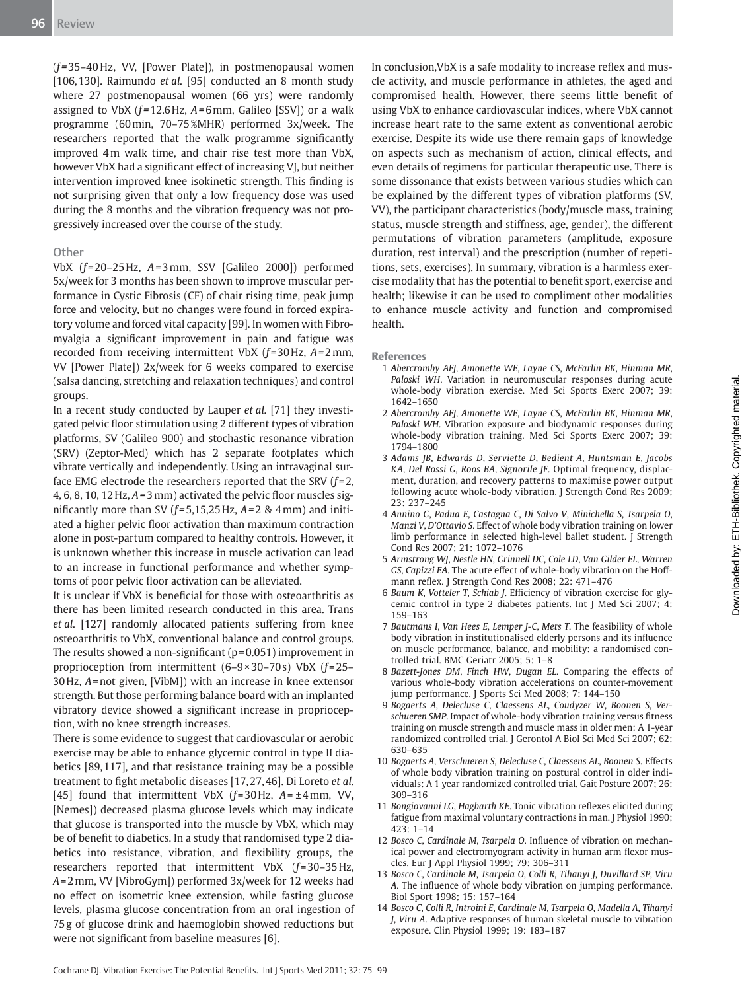( *f =* 35 – 40 Hz, VV, [Power Plate]), in postmenopausal women [106, 130]. Raimundo *et al.* [95] conducted an 8 month study where 27 postmenopausal women (66 yrs) were randomly assigned to VbX ( $f$ =12.6Hz,  $A$ =6mm, Galileo [SSV]) or a walk programme (60 min, 70-75%MHR) performed 3x/week. The researchers reported that the walk programme significantly improved 4 m walk time, and chair rise test more than VbX, however VbX had a significant effect of increasing VJ, but neither intervention improved knee isokinetic strength. This finding is not surprising given that only a low frequency dose was used during the 8 months and the vibration frequency was not progressively increased over the course of the study.

#### **Other**

 VbX ( *f =* 20 – 25 Hz, *A =* 3 mm, SSV [Galileo 2000]) performed 5x/week for 3 months has been shown to improve muscular performance in Cystic Fibrosis (CF) of chair rising time, peak jump force and velocity, but no changes were found in forced expiratory volume and forced vital capacity [99]. In women with Fibromyalgia a significant improvement in pain and fatigue was recorded from receiving intermittent VbX ( $f = 30$ Hz,  $A = 2$ mm, VV [Power Plate]) 2x / week for 6 weeks compared to exercise (salsa dancing, stretching and relaxation techniques) and control groups.

 In a recent study conducted by Lauper *et al.* [71] they investigated pelvic floor stimulation using 2 different types of vibration platforms, SV (Galileo 900) and stochastic resonance vibration (SRV) (Zeptor-Med) which has 2 separate footplates which vibrate vertically and independently. Using an intravaginal surface EMG electrode the researchers reported that the SRV  $(f=2,$ 4, 6, 8, 10, 12 Hz, *A* = 3 mm) activated the pelvic floor muscles significantly more than SV ( $f=5,15,25$  Hz,  $A=2$  & 4 mm) and initiated a higher pelvic floor activation than maximum contraction alone in post-partum compared to healthy controls. However, it is unknown whether this increase in muscle activation can lead to an increase in functional performance and whether symptoms of poor pelvic floor activation can be alleviated.

It is unclear if VbX is beneficial for those with osteoarthritis as there has been limited research conducted in this area. Trans *et al.* [127] randomly allocated patients suffering from knee osteoarthritis to VbX, conventional balance and control groups. The results showed a non-significant ( $p = 0.051$ ) improvement in proprioception from intermittent (6 – 9 × 30 – 70 s) VbX ( *f* = 25 – 30 Hz, *A* = not given, [VibM]) with an increase in knee extensor strength. But those performing balance board with an implanted vibratory device showed a significant increase in proprioception, with no knee strength increases.

 There is some evidence to suggest that cardiovascular or aerobic exercise may be able to enhance glycemic control in type II diabetics [89, 117], and that resistance training may be a possible treatment to fight metabolic diseases [17,27,46]. Di Loreto et al. [45] found that intermittent VbX  $(f=30)$ Hz,  $A = \pm 4$  mm, VV, [Nemes]) decreased plasma glucose levels which may indicate that glucose is transported into the muscle by VbX, which may be of benefit to diabetics. In a study that randomised type 2 diabetics into resistance, vibration, and flexibility groups, the researchers reported that intermittent VbX ( $f = 30-35$  Hz, A=2 mm, VV [VibroGym]) performed 3x/week for 12 weeks had no effect on isometric knee extension, while fasting glucose levels, plasma glucose concentration from an oral ingestion of 75 g of glucose drink and haemoglobin showed reductions but were not significant from baseline measures [6].

In conclusion, VbX is a safe modality to increase reflex and muscle activity, and muscle performance in athletes, the aged and compromised health. However, there seems little benefit of using VbX to enhance cardiovascular indices, where VbX cannot increase heart rate to the same extent as conventional aerobic exercise. Despite its wide use there remain gaps of knowledge on aspects such as mechanism of action, clinical effects, and even details of regimens for particular therapeutic use. There is some dissonance that exists between various studies which can be explained by the different types of vibration platforms (SV, VV), the participant characteristics (body/muscle mass, training status, muscle strength and stiffness, age, gender), the different permutations of vibration parameters (amplitude, exposure duration, rest interval) and the prescription (number of repetitions, sets, exercises). In summary, vibration is a harmless exercise modality that has the potential to benefit sport, exercise and health; likewise it can be used to compliment other modalities to enhance muscle activity and function and compromised health.

#### References

- 1 *Abercromby AFJ* , *Amonette WE* , *Layne CS* , *McFarlin BK* , *Hinman MR* , Paloski WH. Variation in neuromuscular responses during acute whole-body vibration exercise. Med Sci Sports Exerc 2007; 39: 1642 – 1650
- 2 *Abercromby AFJ* , *Amonette WE* , *Layne CS* , *McFarlin BK* , *Hinman MR* , *Paloski WH* . Vibration exposure and biodynamic responses during whole-body vibration training. Med Sci Sports Exerc 2007; 39: 1794-1800
- 3 *Adams JB* , *Edwards D* , *Serviette D* , *Bedient A* , *Huntsman E* , *Jacobs KA* , *Del Rossi G* , *Roos BA* , *Signorile JF* . Optimal frequency, displacment, duration, and recovery patterns to maximise power output following acute whole-body vibration. J Strength Cond Res 2009;  $23 \cdot 237 - 245$
- 4 *Annino G* , *Padua E* , *Castagna C* , *Di Salvo V* , *Minichella S* , *Tsarpela O* , *Manzi V*, *D'Ottavio S*. Effect of whole body vibration training on lower limb performance in selected high-level ballet student. J Strength Cond Res 2007; 21: 1072-1076
- 5 *Armstrong WJ* , *Nestle HN* , *Grinnell DC* , *Cole LD* , *Van Gilder EL* , *Warren GS*, *Capizzi EA*. The acute effect of whole-body vibration on the Hoffmann reflex. J Strength Cond Res 2008; 22: 471-476
- 6 *Baum K, Votteler T, Schiab J. Efficiency of vibration exercise for gly*cemic control in type 2 diabetes patients. Int J Med Sci 2007; 4: 159 – 163
- 7 *Bautmans I* , *Van Hees E* , *Lemper J-C* , *Mets T* . The feasibility of whole body vibration in institutionalised elderly persons and its influence on muscle performance, balance, and mobility: a randomised controlled trial. BMC Geriatr 2005; 5: 1-8
- 8 *Bazett-Jones DM, Finch HW, Dugan EL*. Comparing the effects of various whole-body vibration accelerations on counter-movement jump performance. J Sports Sci Med 2008; 7: 144-150
- 9 *Bogaerts A* , *Delecluse C* , *Claessens AL* , *Coudyzer W* , *Boonen S* , *Verschueren SMP*. Impact of whole-body vibration training versus fitness training on muscle strength and muscle mass in older men: A 1-year randomized controlled trial. J Gerontol A Biol Sci Med Sci 2007; 62: 630-635
- 10 *Bogaerts A* , *Verschueren S* , *Delecluse C* , *Claessens AL* , *Boonen S* . Eff ects of whole body vibration training on postural control in older individuals: A 1 year randomized controlled trial. Gait Posture 2007; 26: 309 – 316
- 11 *Bongiovanni LG, Hagbarth KE*. Tonic vibration reflexes elicited during fatigue from maximal voluntary contractions in man. J Physiol 1990;  $423:1 - 14$
- 12 *Bosco C* , *Cardinale M* , *Tsarpela O* . Infl uence of vibration on mechanical power and electromyogram activity in human arm flexor muscles. Eur J Appl Physiol 1999; 79: 306-311
- 13 *Bosco C* , *Cardinale M* , *Tsarpela O* , *Colli R* , *Tihanyi J* , *Duvillard SP* , *Viru* A. The influence of whole body vibration on jumping performance. Biol Sport 1998; 15: 157-164
- 14 *Bosco C* , *Colli R* , *Introini E* , *Cardinale M* , *Tsarpela O* , *Madella A* , *Tihanyi J* , *Viru A* . Adaptive responses of human skeletal muscle to vibration exposure. Clin Physiol 1999; 19: 183-187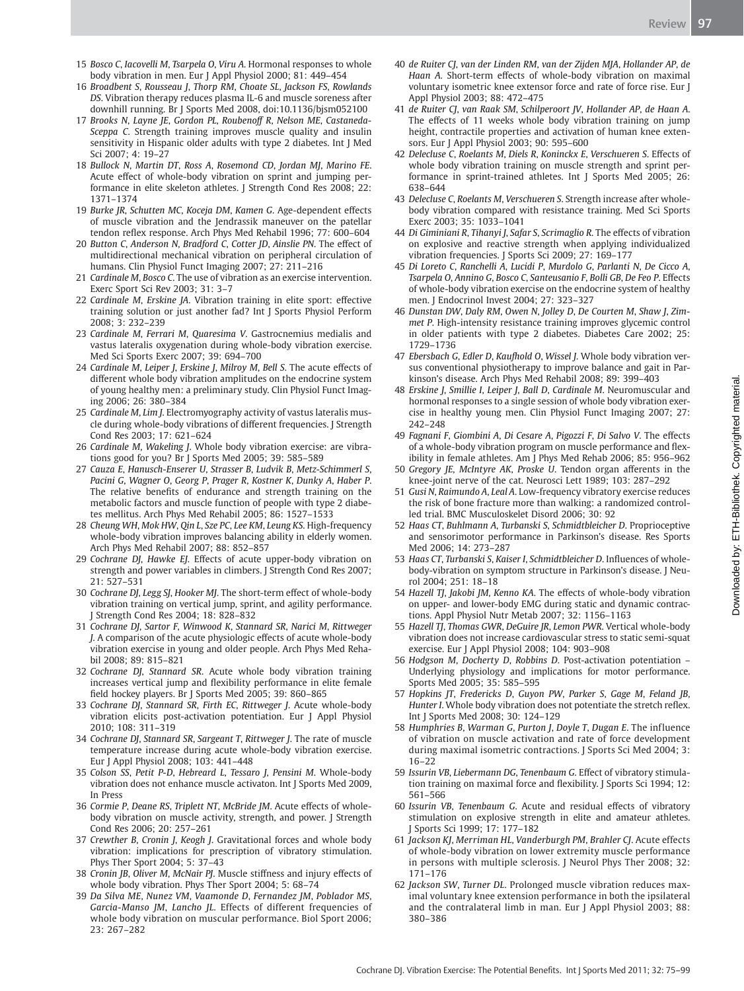- 15 *Bosco C* , *Iacovelli M* , *Tsarpela O* , *Viru A* . Hormonal responses to whole body vibration in men. Eur J Appl Physiol 2000; 81: 449-454
- 16 *Broadbent S* , *Rousseau J* , *Thorp RM* , *Choate SL* , *Jackson FS* , *Rowlands DS* . Vibration therapy reduces plasma IL-6 and muscle soreness after downhill running. Br J Sports Med 2008, doi:10.1136/bjsm052100
- 17 *Brooks N* , *Layne JE* , *Gordon PL* , *Roubenoff R* , *Nelson ME* , *Castaneda-Sceppa C* . Strength training improves muscle quality and insulin sensitivity in Hispanic older adults with type 2 diabetes. Int J Med Sci 2007; 4: 19-27
- 18 *Bullock N* , *Martin DT* , *Ross A* , *Rosemond CD* , *Jordan MJ* , *Marino FE* . Acute effect of whole-body vibration on sprint and jumping performance in elite skeleton athletes. J Strength Cond Res 2008; 22: 1371 – 1374
- 19 *Burke JR*, *Schutten MC*, *Koceja DM*, *Kamen G*. Age-dependent effects of muscle vibration and the Jendrassik maneuver on the patellar tendon reflex response. Arch Phys Med Rehabil 1996; 77: 600-604
- 20 *Button C, Anderson N, Bradford C, Cotter JD, Ainslie PN. The effect of* multidirectional mechanical vibration on peripheral circulation of humans. Clin Physiol Funct Imaging 2007; 27: 211-216
- 21 *Cardinale M* , *Bosco C* . The use of vibration as an exercise intervention. Exerc Sport Sci Rev 2003; 31: 3-7
- 22 *Cardinale M, Erskine JA.* Vibration training in elite sport: effective training solution or just another fad? Int J Sports Physiol Perform 2008: 3: 232-239
- 23 *Cardinale M* , *Ferrari M* , *Quaresima V* . Gastrocnemius medialis and vastus lateralis oxygenation during whole-body vibration exercise . Med Sci Sports Exerc 2007; 39: 694-700
- 24 *Cardinale M* , *Leiper J* , *Erskine J* , *Milroy M* , *Bell S* . The acute eff ects of different whole body vibration amplitudes on the endocrine system of young healthy men: a preliminary study . Clin Physiol Funct Imaging 2006; 26: 380-384
- 25 *Cardinale M* , *Lim J* . Electromyography activity of vastus lateralis muscle during whole-body vibrations of different frequencies. J Strength Cond Res 2003; 17: 621-624
- 26 *Cardinale M* , *Wakeling J* . Whole body vibration exercise: are vibrations good for you? Br J Sports Med 2005; 39: 585-589
- 27 *Cauza E* , *Hanusch-Enserer U* , *Strasser B* , *Ludvik B* , *Metz-Schimmerl S* , *Pacini G* , *Wagner O* , *Georg P* , *Prager R* , *Kostner K* , *Dunky A* , *Haber P* . The relative benefits of endurance and strength training on the metabolic factors and muscle function of people with type 2 diabetes mellitus. Arch Phys Med Rehabil 2005; 86: 1527-1533
- 28 *Cheung WH* , *Mok HW* , *Qin L* , *Sze PC* , *Lee KM* , *Leung KS* . High-frequency whole-body vibration improves balancing ability in elderly women. Arch Phys Med Rehabil 2007; 88: 852-857
- 29 *Cochrane DJ, Hawke EJ.* Effects of acute upper-body vibration on strength and power variables in climbers. J Strength Cond Res 2007; 21 : 527 – 531
- 30 *Cochrane DJ, Legg SJ, Hooker MJ.* The short-term effect of whole-body vibration training on vertical jump, sprint, and agility performance . J Strength Cond Res 2004; 18: 828-832
- 31 *Cochrane DJ* , *Sartor F* , *Winwood K* , *Stannard SR* , *Narici M* , *Rittweger J*. A comparison of the acute physiologic effects of acute whole-body vibration exercise in young and older people . Arch Phys Med Rehabil 2008; 89: 815-821
- 32 *Cochrane DJ* , *Stannard SR* . Acute whole body vibration training increases vertical jump and flexibility performance in elite female field hockey players. Br J Sports Med 2005; 39: 860-865
- 33 *Cochrane DJ* , *Stannard SR* , *Firth EC* , *Rittweger J* . Acute whole-body vibration elicits post-activation potentiation . Eur J Appl Physiol 2010 ; 108 : 311 – 319
- 34 *Cochrane DJ* , *Stannard SR* , *Sargeant T* , *Rittweger J* . The rate of muscle temperature increase during acute whole-body vibration exercise . Eur J Appl Physiol 2008; 103: 441-448
- 35 *Colson SS* , *Petit P-D* , *Hebreard L* , *Tessaro J* , *Pensini M* . Whole-body vibration does not enhance muscle activaton. Int I Sports Med 2009, In Press
- 36 Cormie P, Deane RS, Triplett NT, McBride JM. Acute effects of wholebody vibration on muscle activity, strength, and power . J Strength Cond Res 2006; 20: 257-261
- 37 *Crewther B* , *Cronin J* , *Keogh J* . Gravitational forces and whole body vibration: implications for prescription of vibratory stimulation. Phys Ther Sport 2004; 5: 37-43
- 38 *Cronin JB*, *Oliver M*, *McNair PJ*. Muscle stiffness and injury effects of whole body vibration. Phys Ther Sport 2004; 5: 68-74
- 39 *Da Silva ME* , *Nunez VM* , *Vaamonde D* , *Fernandez JM* , *Poblador MS* , *Garcia-Manso JM* , *Lancho JL* . Effects of different frequencies of whole body vibration on muscular performance. Biol Sport 2006; 23 : 267 – 282
- 40 *de Ruiter CJ* , *van der Linden RM* , *van der Zijden MJA* , *Hollander AP* , *de Haan A*. Short-term effects of whole-body vibration on maximal voluntary isometric knee extensor force and rate of force rise. Eur J Appl Physiol 2003; 88: 472-475
- 41 *de Ruiter CJ* , *van Raak SM* , *Schilperoort JV* , *Hollander AP* , *de Haan A* . The effects of 11 weeks whole body vibration training on jump height, contractile properties and activation of human knee extensors. Eur J Appl Physiol 2003; 90: 595-600
- 42 *Delecluse C* , *Roelants M* , *Diels R* , *Koninckx E* , *Verschueren S* . Eff ects of whole body vibration training on muscle strength and sprint performance in sprint-trained athletes. Int J Sports Med 2005; 26: 638 – 644
- 43 *Delecluse C* , *Roelants M* , *Verschueren S* . Strength increase after wholebody vibration compared with resistance training. Med Sci Sports Exerc  $2003:35:1033 - 1041$
- 44 *Di Giminiani R* , *Tihanyi J* , *Safar S* , *Scrimaglio R* . The eff ects of vibration on explosive and reactive strength when applying individualized vibration frequencies. J Sports Sci 2009; 27: 169-177
- 45 *Di Loreto C* , *Ranchelli A* , *Lucidi P* , *Murdolo G* , *Parlanti N* , *De Cicco A* , *Tsarpela O* , *Annino G* , *Bosco C* , *Santeusanio F* , *Bolli GB* , *De Feo P* . Eff ects of whole-body vibration exercise on the endocrine system of healthy men. J Endocrinol Invest 2004; 27: 323-327
- 46 *Dunstan DW* , *Daly RM* , *Owen N* , *Jolley D* , *De Courten M* , *Shaw J* , *Zimmet P* . High-intensity resistance training improves glycemic control in older patients with type 2 diabetes. Diabetes Care 2002; 25: 1729 – 1736
- 47 *Ebersbach G* , *Edler D* , *Kaufhold O* , *Wissel J* . Whole body vibration versus conventional physiotherapy to improve balance and gait in Parkinson's disease. Arch Phys Med Rehabil 2008; 89: 399-403
- 48 *Erskine J* , *Smillie I* , *Leiper J* , *Ball D* , *Cardinale M* . Neuromuscular and hormonal responses to a single session of whole body vibration exercise in healthy young men. Clin Physiol Funct Imaging 2007; 27: 242 – 248
- 49 *Fagnani F* , *Giombini A* , *Di Cesare A* , *Pigozzi F* , *Di Salvo V* . The eff ects of a whole-body vibration program on muscle performance and flexibility in female athletes. Am J Phys Med Rehab 2006; 85: 956-962
- 50 *Gregory JE* , *McIntyre AK* , *Proske U* . Tendon organ aff erents in the knee-joint nerve of the cat. Neurosci Lett 1989; 103: 287-292
- 51 *Gusi N* , *Raimundo A* , *Leal A* . Low-frequency vibratory exercise reduces the risk of bone fracture more than walking: a randomized controlled trial. BMC Musculoskelet Disord 2006; 30: 92
- 52 *Haas CT* , *Buhlmann A* , *Turbanski S* , *Schmidtbleicher D* . Proprioceptive and sensorimotor performance in Parkinson's disease. Res Sports Med 2006: 14: 273-287
- 53 *Haas CT* , *Turbanski S* , *Kaiser I* , *Schmidtbleicher D* . Infl uences of wholebody-vibration on symptom structure in Parkinson's disease . J Neurol 2004; 251: 18-18
- 54 *Hazell TJ, Jakobi JM, Kenno KA*. The effects of whole-body vibration on upper- and lower-body EMG during static and dynamic contractions. Appl Physiol Nutr Metab 2007; 32: 1156-1163
- 55 *Hazell TJ* , *Thomas GWR* , *DeGuire JR* , *Lemon PWR* . Vertical whole-body vibration does not increase cardiovascular stress to static semi-squat exercise. Eur J Appl Physiol 2008; 104: 903-908
- 56 *Hodgson M* , *Docherty D* , *Robbins D* . Post-activation potentiation Underlying physiology and implications for motor performance. Sports Med 2005; 35: 585-595
- 57 *Hopkins JT* , *Fredericks D* , *Guyon PW* , *Parker S* , *Gage M* , *Feland JB* , *Hunter I*. Whole body vibration does not potentiate the stretch reflex. Int J Sports Med 2008; 30: 124-129
- 58 *Humphries B* , *Warman G* , *Purton J* , *Doyle T* , *Dugan E* . The influence of vibration on muscle activation and rate of force development during maximal isometric contractions. J Sports Sci Med 2004; 3:  $16 - 22$
- 59 *Issurin VB*, *Liebermann DG*, *Tenenbaum G*. Effect of vibratory stimulation training on maximal force and flexibility. J Sports Sci 1994; 12: 561 – 566
- 60 *Issurin VB*, *Tenenbaum G*. Acute and residual effects of vibratory stimulation on explosive strength in elite and amateur athletes. J Sports Sci 1999; 17: 177-182
- 61 *Jackson KJ* , *Merriman HL* , *Vanderburgh PM* , *Brahler CJ* . Acute effects of whole-body vibration on lower extremity muscle performance in persons with multiple sclerosis. J Neurol Phys Ther 2008; 32: 171 – 176
- 62 *Jackson SW* , *Turner DL* . Prolonged muscle vibration reduces maximal voluntary knee extension performance in both the ipsilateral and the contralateral limb in man. Eur J Appl Physiol 2003; 88: 380 – 386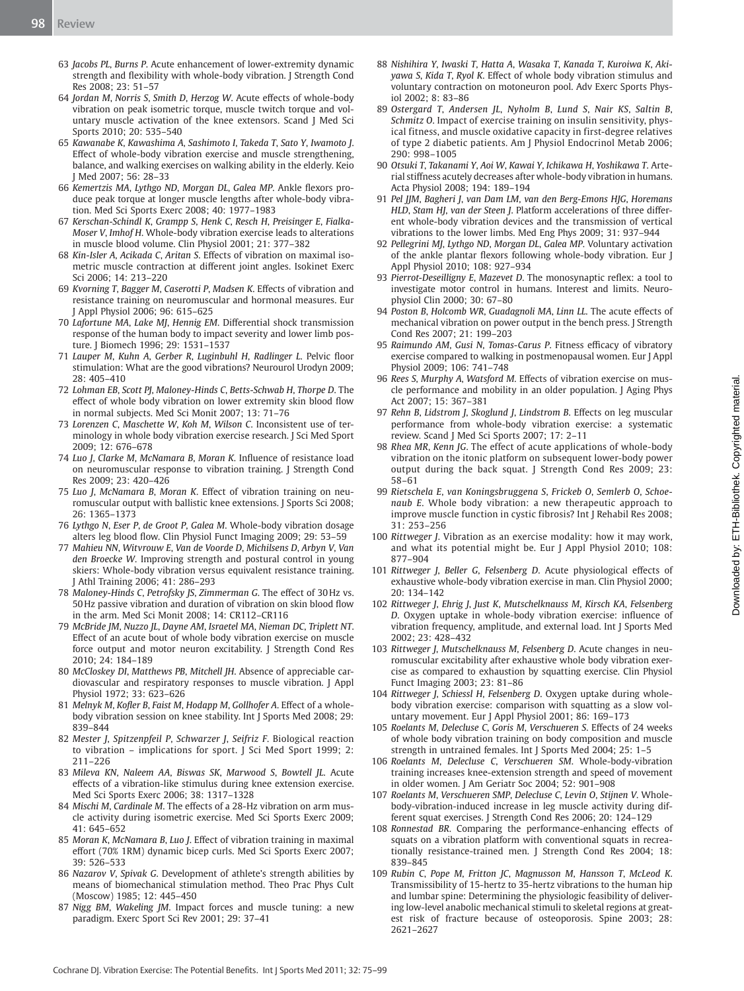- 63 *Jacobs PL* , *Burns P* . Acute enhancement of lower-extremity dynamic strength and flexibility with whole-body vibration. J Strength Cond Res 2008; 23: 51-57
- 64 *Jordan M, Norris S, Smith D, Herzog W. Acute effects of whole-body* vibration on peak isometric torque, muscle twitch torque and voluntary muscle activation of the knee extensors. Scand J Med Sci Sports 2010; 20: 535-540
- 65 *Kawanabe K* , *Kawashima A* , *Sashimoto I* , *Takeda T* , *Sato Y* , *Iwamoto J* . Effect of whole-body vibration exercise and muscle strengthening, balance, and walking exercises on walking ability in the elderly . Keio J Med 2007; 56: 28-33
- 66 *Kemertzis MA, Lythgo ND, Morgan DL, Galea MP. Ankle flexors pro*duce peak torque at longer muscle lengths after whole-body vibration. Med Sci Sports Exerc 2008; 40: 1977-1983
- 67 *Kerschan-Schindl K* , *Grampp S* , *Henk C* , *Resch H* , *Preisinger E* , *Fialka-Moser V* , *Imhof H* . Whole-body vibration exercise leads to alterations in muscle blood volume. Clin Physiol 2001; 21: 377-382
- 68 *Kin-Isler A* , *Acikada C* , *Aritan S* . Eff ects of vibration on maximal isometric muscle contraction at different joint angles. Isokinet Exerc Sci 2006: 14: 213-220
- 69 *Kvorning T* , *Bagger M* , *Caserotti P* , *Madsen K* . Eff ects of vibration and resistance training on neuromuscular and hormonal measures. Eur J Appl Physiol 2006 ; 96 : 615 – 625
- 70 *Lafortune MA* , *Lake MJ* , *Hennig EM* . Diff erential shock transmission response of the human body to impact severity and lower limb posture. J Biomech 1996; 29: 1531-1537
- 71 *Lauper M* , *Kuhn A* , *Gerber R* , *Luginbuhl H* , *Radlinger L* . Pelvic fl oor stimulation: What are the good vibrations? Neurourol Urodyn 2009 ; 28: 405-410
- 72 *Lohman EB* , *Scott PJ* , *Maloney-Hinds C* , *Betts-Schwab H* , *Thorpe D* . The effect of whole body vibration on lower extremity skin blood flow in normal subjects. Med Sci Monit 2007; 13: 71-76
- 73 *Lorenzen C* , *Maschette W* , *Koh M* , *Wilson C* . Inconsistent use of terminology in whole body vibration exercise research . J Sci Med Sport  $2009:12:676-678$
- 74 *Luo J* , *Clarke M* , *McNamara B* , *Moran K* . Infl uence of resistance load on neuromuscular response to vibration training . J Strength Cond Res 2009; 23: 420-426
- 75 Luo J, McNamara B, Moran K. Effect of vibration training on neuromuscular output with ballistic knee extensions . J Sports Sci 2008 ; 26 : 1365 – 1373
- 76 *Lythgo N* , *Eser P* , *de Groot P* , *Galea M* . Whole-body vibration dosage alters leg blood flow. Clin Physiol Funct Imaging 2009; 29: 53-59
- 77 *Mahieu NN* , *Witvrouw E* , *Van de Voorde D* , *Michilsens D* , *Arbyn V* , *Van den Broecke W* . Improving strength and postural control in young skiers: Whole-body vibration versus equivalent resistance training. J Athl Training 2006 ; 41 : 286 – 293
- 78 Maloney-Hinds C, Petrofsky JS, Zimmerman G. The effect of 30Hz vs. 50 Hz passive vibration and duration of vibration on skin blood flow in the arm. Med Sci Monit 2008; 14: CR112-CR116
- 79 *McBride JM* , *Nuzzo JL* , *Dayne AM* , *Israetel MA* , *Nieman DC* , *Triplett NT* . Effect of an acute bout of whole body vibration exercise on muscle force output and motor neuron excitability. J Strength Cond Res 2010; 24: 184-189
- 80 *McCloskey DI* , *Matthews PB* , *Mitchell JH* . Absence of appreciable cardiovascular and respiratory responses to muscle vibration . J Appl Physiol 1972; 33: 623-626
- 81 *Melnyk M, Kofler B, Faist M, Hodapp M, Gollhofer A. Effect of a whole*body vibration session on knee stability. Int J Sports Med 2008; 29: 839 – 844
- 82 *Mester J* , *Spitzenpfeil P* , *Schwarzer J* , *Seifriz F* . Biological reaction to vibration - implications for sport. J Sci Med Sport 1999; 2: 211 – 226
- 83 *Mileva KN* , *Naleem AA* , *Biswas SK* , *Marwood S* , *Bowtell JL* . Acute effects of a vibration-like stimulus during knee extension exercise. Med Sci Sports Exerc 2006; 38: 1317-1328
- 84 *Mischi M, Cardinale M.* The effects of a 28-Hz vibration on arm muscle activity during isometric exercise. Med Sci Sports Exerc 2009; 41 : 645 – 652
- 85 *Moran K, McNamara B, Luo J.* Effect of vibration training in maximal effort (70% 1RM) dynamic bicep curls. Med Sci Sports Exerc 2007; 39 : 526 – 533
- 86 *Nazarov V* , *Spivak G* . Development of athlete's strength abilities by means of biomechanical stimulation method. Theo Prac Phys Cult (Moscow) 1985: 12: 445-450
- 87 *Nigg BM* , *Wakeling JM* . Impact forces and muscle tuning: a new paradigm. Exerc Sport Sci Rev 2001; 29: 37-41
- 88 *Nishihira Y* , *Iwaski T* , *Hatta A* , *Wasaka T* , *Kanada T* , *Kuroiwa K* , *Akiyawa S*, *Kida T*, *Ryol K*. Effect of whole body vibration stimulus and voluntary contraction on motoneuron pool . Adv Exerc Sports Physiol 2002; 8: 83-86
- 89 *Ostergard T* , *Andersen JL* , *Nyholm B* , *Lund S* , *Nair KS* , *Saltin B* , *Schmitz O* . Impact of exercise training on insulin sensitivity, physical fitness, and muscle oxidative capacity in first-degree relatives of type 2 diabetic patients . Am J Physiol Endocrinol Metab 2006 ; 290: 998-1005
- 90 *Otsuki T* , *Takanami Y* , *Aoi W* , *Kawai Y* , *Ichikawa H* , *Yoshikawa T* . Arterial stiffness acutely decreases after whole-body vibration in humans. Acta Physiol 2008; 194: 189-194
- 91 *Pel JJM* , *Bagheri J* , *van Dam LM* , *van den Berg-Emons HJG* , *Horemans HLD*, *Stam HJ*, *van der Steen J*. Platform accelerations of three different whole-body vibration devices and the transmission of vertical vibrations to the lower limbs. Med Eng Phys 2009; 31: 937-944
- 92 *Pellegrini MJ* , *Lythgo ND* , *Morgan DL* , *Galea MP* . Voluntary activation of the ankle plantar flexors following whole-body vibration. Eur J Appl Physiol 2010; 108: 927-934
- 93 Pierrot-Deseilligny E, Mazevet D. The monosynaptic reflex: a tool to investigate motor control in humans. Interest and limits. Neurophysiol Clin 2000; 30: 67-80
- 94 Poston B, Holcomb WR, Guadagnoli MA, Linn LL. The acute effects of mechanical vibration on power output in the bench press . J Strength Cond Res 2007: 21: 199-203
- 95 Raimundo AM, Gusi N, Tomas-Carus P. Fitness efficacy of vibratory exercise compared to walking in postmenopausal women. Eur J Appl Physiol 2009; 106: 741-748
- 96 *Rees S, Murphy A, Watsford M. Effects of vibration exercise on mus*cle performance and mobility in an older population . J Aging Phys Act 2007; 15: 367-381
- 97 *Rehn B, Lidstrom J, Skoglund J, Lindstrom B. Effects on leg muscular* performance from whole-body vibration exercise: a systematic review. Scand J Med Sci Sports 2007; 17: 2-11
- 98 *Rhea MR* , *Kenn JG* . The effect of acute applications of whole-body vibration on the itonic platform on subsequent lower-body power output during the back squat. J Strength Cond Res 2009; 23: 58 – 61
- 99 *Rietschela E* , *van Koningsbruggena S* , *Frickeb O* , *Semlerb O* , *Schoenaub E* . Whole body vibration: a new therapeutic approach to improve muscle function in cystic fibrosis? Int J Rehabil Res 2008 ; 31 : 253 – 256
- 100 *Rittweger J* . Vibration as an exercise modality: how it may work, and what its potential might be. Eur J Appl Physiol 2010; 108: 877 – 904
- 101 Rittweger J, Beller G, Felsenberg D. Acute physiological effects of exhaustive whole-body vibration exercise in man. Clin Physiol 2000; 20: 134-142
- 102 *Rittweger J* , *Ehrig J* , *Just K* , *Mutschelknauss M* , *Kirsch KA* , *Felsenberg D*. Oxygen uptake in whole-body vibration exercise: influence of vibration frequency, amplitude, and external load. Int J Sports Med 2002 ; 23 : 428 – 432
- 103 *Rittweger J* , *Mutschelknauss M* , *Felsenberg D* . Acute changes in neuromuscular excitability after exhaustive whole body vibration exercise as compared to exhaustion by squatting exercise . Clin Physiol Funct Imaging 2003; 23: 81-86
- 104 *Rittweger J* , *Schiessl H* , *Felsenberg D* . Oxygen uptake during wholebody vibration exercise: comparison with squatting as a slow voluntary movement. Eur J Appl Physiol 2001; 86: 169-173
- 105 *Roelants M* , *Delecluse C* , *Goris M* , *Verschueren S* . Eff ects of 24 weeks of whole body vibration training on body composition and muscle strength in untrained females. Int J Sports Med 2004; 25: 1-5
- 106 *Roelants M* , *Delecluse C* , *Verschueren SM* . Whole-body-vibration training increases knee-extension strength and speed of movement in older women. I Am Geriatr Soc 2004: 52: 901-908
- 107 *Roelants M* , *Verschueren SMP* , *Delecluse C* , *Levin O* , *Stijnen V* . Wholebody-vibration-induced increase in leg muscle activity during different squat exercises. J Strength Cond Res 2006; 20: 124-129
- 108 Ronnestad BR. Comparing the performance-enhancing effects of squats on a vibration platform with conventional squats in recreationally resistance-trained men. J Strength Cond Res 2004; 18: 839 – 845
- 109 *Rubin C* , *Pope M* , *Fritton JC* , *Magnusson M* , *Hansson T* , *McLeod K* . Transmissibility of 15-hertz to 35-hertz vibrations to the human hip and lumbar spine: Determining the physiologic feasibility of delivering low-level anabolic mechanical stimuli to skeletal regions at greatest risk of fracture because of osteoporosis. Spine 2003; 28: 2621 – 2627